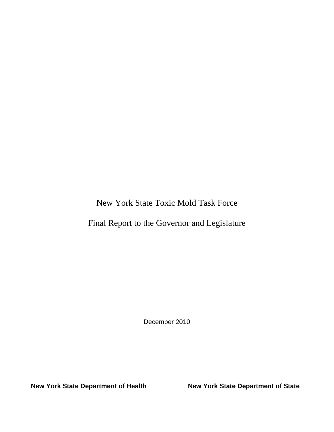New York State Toxic Mold Task Force

Final Report to the Governor and Legislature

December 2010

**New York State Department of Health Mew York State Department of State**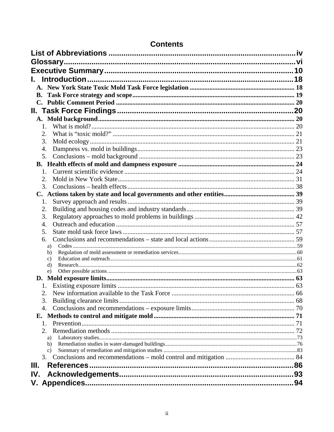| $1_{-}$             |  |
|---------------------|--|
|                     |  |
| 3.                  |  |
| 4.                  |  |
| 5.                  |  |
|                     |  |
| 1.                  |  |
| 2.                  |  |
| 3.                  |  |
|                     |  |
| 1.                  |  |
| 2.                  |  |
| 3.                  |  |
| 4.                  |  |
| 5.                  |  |
| 6.                  |  |
| a)                  |  |
| b)<br>$\mathbf{c})$ |  |
| d)                  |  |
| e)                  |  |
| D.                  |  |
| 1.                  |  |
| 2                   |  |
| 3.                  |  |
| 4.                  |  |
|                     |  |
|                     |  |
| 2.                  |  |
| a)                  |  |
| b)<br>c)            |  |
| 3.                  |  |
| Ш.                  |  |
| IV.                 |  |
|                     |  |
|                     |  |

# **Contents**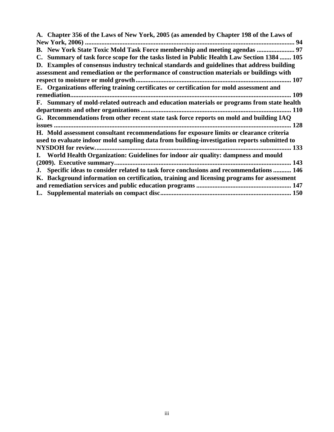| A. Chapter 356 of the Laws of New York, 2005 (as amended by Chapter 198 of the Laws of             |    |
|----------------------------------------------------------------------------------------------------|----|
|                                                                                                    | 94 |
| B. New York State Toxic Mold Task Force membership and meeting agendas  97                         |    |
| C. Summary of task force scope for the tasks listed in Public Health Law Section 1384  105         |    |
| D. Examples of consensus industry technical standards and guidelines that address building         |    |
| assessment and remediation or the performance of construction materials or buildings with          |    |
|                                                                                                    |    |
| E. Organizations offering training certificates or certification for mold assessment and           |    |
|                                                                                                    |    |
| F. Summary of mold-related outreach and education materials or programs from state health          |    |
|                                                                                                    |    |
| G. Recommendations from other recent state task force reports on mold and building IAQ             |    |
|                                                                                                    |    |
| H. Mold assessment consultant recommendations for exposure limits or clearance criteria            |    |
| used to evaluate indoor mold sampling data from building-investigation reports submitted to        |    |
|                                                                                                    |    |
| I. World Health Organization: Guidelines for indoor air quality: dampness and mould                |    |
|                                                                                                    |    |
| Specific ideas to consider related to task force conclusions and recommendations  146<br><b>J.</b> |    |
| K. Background information on certification, training and licensing programs for assessment         |    |
|                                                                                                    |    |
|                                                                                                    |    |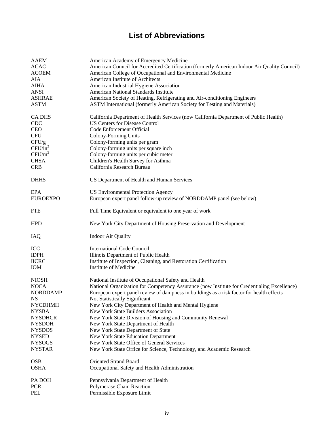# **List of Abbreviations**

<span id="page-3-0"></span>

| <b>AAEM</b>                  | American Academy of Emergency Medicine                                                       |
|------------------------------|----------------------------------------------------------------------------------------------|
| <b>ACAC</b>                  | American Council for Accredited Certification (formerly American Indoor Air Quality Council) |
| <b>ACOEM</b>                 | American College of Occupational and Environmental Medicine                                  |
| AIA                          | American Institute of Architects                                                             |
| <b>AIHA</b>                  | American Industrial Hygiene Association                                                      |
| <b>ANSI</b>                  | American National Standards Institute                                                        |
| <b>ASHRAE</b>                | American Society of Heating, Refrigerating and Air-conditioning Engineers                    |
| <b>ASTM</b>                  | ASTM International (formerly American Society for Testing and Materials)                     |
|                              |                                                                                              |
| <b>CADHS</b>                 | California Department of Health Services (now California Department of Public Health)        |
| <b>CDC</b>                   | <b>US Centers for Disease Control</b>                                                        |
| <b>CEO</b>                   | Code Enforcement Official                                                                    |
| <b>CFU</b>                   | Colony-Forming Units                                                                         |
|                              | Colony-forming units per gram                                                                |
| CFU/g<br>CFU/in <sup>2</sup> |                                                                                              |
| $CFU/m^3$                    | Colony-forming units per square inch                                                         |
|                              | Colony-forming units per cubic meter                                                         |
| <b>CHSA</b>                  | Children's Health Survey for Asthma                                                          |
| <b>CRB</b>                   | California Research Bureau                                                                   |
| <b>DHHS</b>                  | US Department of Health and Human Services                                                   |
| EPA                          | <b>US Environmental Protection Agency</b>                                                    |
| <b>EUROEXPO</b>              | European expert panel follow-up review of NORDDAMP panel (see below)                         |
|                              |                                                                                              |
| <b>FTE</b>                   | Full Time Equivalent or equivalent to one year of work                                       |
| <b>HPD</b>                   | New York City Department of Housing Preservation and Development                             |
| IAQ                          | <b>Indoor Air Quality</b>                                                                    |
| ICC                          | <b>International Code Council</b>                                                            |
| <b>IDPH</b>                  | Illinois Department of Public Health                                                         |
| <b>IICRC</b>                 | Institute of Inspection, Cleaning, and Restoration Certification                             |
| <b>IOM</b>                   | <b>Institute of Medicine</b>                                                                 |
|                              |                                                                                              |
| <b>NIOSH</b>                 | National Institute of Occupational Safety and Health                                         |
| <b>NOCA</b>                  | National Organization for Competency Assurance (now Institute for Credentialing Excellence)  |
| <b>NORDDAMP</b>              | European expert panel review of dampness in buildings as a risk factor for health effects    |
| <b>NS</b>                    | Not Statistically Significant                                                                |
| <b>NYCDHMH</b>               | New York City Department of Health and Mental Hygiene                                        |
| <b>NYSBA</b>                 | <b>New York State Builders Association</b>                                                   |
| <b>NYSDHCR</b>               | New York State Division of Housing and Community Renewal                                     |
| <b>NYSDOH</b>                | New York State Department of Health                                                          |
| <b>NYSDOS</b>                | New York State Department of State                                                           |
| <b>NYSED</b>                 | New York State Education Department                                                          |
| <b>NYSOGS</b>                | New York State Office of General Services                                                    |
| <b>NYSTAR</b>                | New York State Office for Science, Technology, and Academic Research                         |
|                              | <b>Oriented Strand Board</b>                                                                 |
| <b>OSB</b>                   |                                                                                              |
| <b>OSHA</b>                  | Occupational Safety and Health Administration                                                |
| PA DOH                       | Pennsylvania Department of Health                                                            |
| <b>PCR</b>                   | Polymerase Chain Reaction                                                                    |
| PEL                          | Permissible Exposure Limit                                                                   |
|                              |                                                                                              |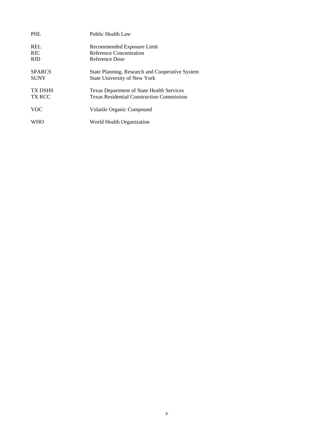| <b>PHL</b>     | Public Health Law                                |
|----------------|--------------------------------------------------|
| <b>REL</b>     | Recommended Exposure Limit                       |
| RfC            | Reference Concentration                          |
| <b>RfD</b>     | Reference Dose                                   |
| <b>SPARCS</b>  | State Planning, Research and Cooperative System  |
| <b>SUNY</b>    | <b>State University of New York</b>              |
| <b>TX DSHS</b> | <b>Texas Department of State Health Services</b> |
| TX RCC         | <b>Texas Residential Construction Commission</b> |
| <b>VOC</b>     | Volatile Organic Compound                        |
| WHO            | World Health Organization                        |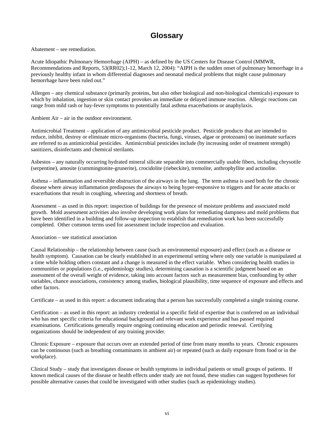# **Glossary**

<span id="page-5-0"></span>Abatement – see remediation.

 Acute Idiopathic Pulmonary Hemorrhage (AIPH) – as defined by the US Centers for Disease Control (MMWR, Recommendations and Reports, 53(RR02);1-12, March 12, 2004): "AIPH is the sudden onset of pulmonary hemorrhage in a previously healthy infant in whom differential diagnoses and neonatal medical problems that might cause pulmonary hemorrhage have been ruled out."

 range from mild rash or hay-fever symptoms to potentially fatal asthma exacerbations or anaphylaxis. Allergen – any chemical substance (primarily proteins, but also other biological and non-biological chemicals) exposure to which by inhalation, ingestion or skin contact provokes an immediate or delayed immune reaction. Allergic reactions can

Ambient Air – air in the outdoor environment.

Antimicrobial Treatment – application of any antimicrobial pesticide product. Pesticide products that are intended to reduce, inhibit, destroy or eliminate micro-organisms (bacteria, fungi, viruses, algae or protozoans) on inanimate surfaces are referred to as antimicrobial pesticides. Antimicrobial pesticides include (by increasing order of treatment strength) sanitizers, disinfectants and chemical sterilants.

Asbestos – any naturally occurring hydrated mineral silicate separable into commercially usable fibers, including chrysotile (serpentine), amosite (cummingtonite-grunerite), crocidolite (riebeckite), tremolite, anthrophyllite and actinolite.

Asthma – inflammation and reversible obstruction of the airways in the lung. The term asthma is used both for the chronic disease where airway inflammation predisposes the airways to being hyper-responsive to triggers and for acute attacks or exacerbations that result in coughing, wheezing and shortness of breath.

Assessment – as used in this report: inspection of buildings for the presence of moisture problems and associated mold growth. Mold assessment activities also involve developing work plans for remediating dampness and mold problems that have been identified in a building and follow-up inspection to establish that remediation work has been successfully completed. Other common terms used for assessment include inspection and evaluation.

#### Association – see statistical association

 communities or populations (i.e., epidemiology studies), determining causation is a scientific judgment based on an Causal Relationship – the relationship between cause (such as environmental exposure) and effect (such as a disease or health symptom). Causation can be clearly established in an experimental setting where only one variable is manipulated at a time while holding others constant and a change is measured in the effect variable. When considering health studies in assessment of the overall weight of evidence, taking into account factors such as measurement bias, confounding by other variables, chance associations, consistency among studies, biological plausibility, time sequence of exposure and effects and other factors.

Certificate – as used in this report: a document indicating that a person has successfully completed a single training course.

Certification – as used in this report: an industry credential in a specific field of expertise that is conferred on an individual who has met specific criteria for educational background and relevant work experience and has passed required examinations. Certifications generally require ongoing continuing education and periodic renewal. Certifying organizations should be independent of any training provider.

 Chronic Exposure – exposure that occurs over an extended period of time from many months to years. Chronic exposures can be continuous (such as breathing contaminants in ambient air) or repeated (such as daily exposure from food or in the workplace).

 possible alternative causes that could be investigated with other studies (such as epidemiology studies). Clinical Study – study that investigates disease or health symptoms in individual patients or small groups of patients. If known medical causes of the disease or health effects under study are not found, these studies can suggest hypotheses for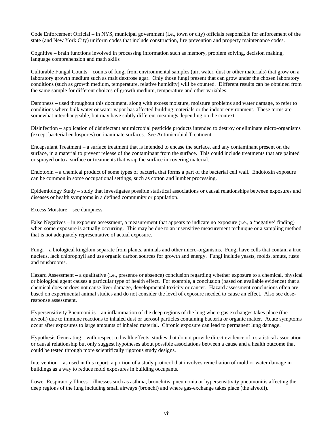Code Enforcement Official – in NYS, municipal government (i.e., town or city) officials responsible for enforcement of the state (and New York City) uniform codes that include construction, fire prevention and property maintenance codes.

Cognitive – brain functions involved in processing information such as memory, problem solving, decision making, language comprehension and math skills

 Culturable Fungal Counts – counts of fungi from environmental samples (air, water, dust or other materials) that grow on a laboratory growth medium such as malt dextrose agar. Only those fungi present that can grow under the chosen laboratory conditions (such as growth medium, temperature, relative humidity) will be counted. Different results can be obtained from the same sample for different choices of growth medium, temperature and other variables.

Dampness – used throughout this document, along with excess moisture, moisture problems and water damage, to refer to conditions where bulk water or water vapor has affected building materials or the indoor environment. These terms are somewhat interchangeable, but may have subtly different meanings depending on the context.

Disinfection – application of disinfectant antimicrobial pesticide products intended to destroy or eliminate micro-organisms (except bacterial endospores) on inanimate surfaces. See Antimicrobial Treatment.

Encapsulant Treatment – a surface treatment that is intended to encase the surface, and any contaminant present on the surface, in a material to prevent release of the contaminant from the surface. This could include treatments that are painted or sprayed onto a surface or treatments that wrap the surface in covering material.

Endotoxin – a chemical product of some types of bacteria that forms a part of the bacterial cell wall. Endotoxin exposure can be common in some occupational settings, such as cotton and lumber processing.

 Epidemiology Study – study that investigates possible statistical associations or causal relationships between exposures and diseases or health symptoms in a defined community or population.

Excess Moisture – see dampness.

False Negatives – in exposure assessment, a measurement that appears to indicate no exposure (i.e., a 'negative' finding) when some exposure is actually occurring. This may be due to an insensitive measurement technique or a sampling method that is not adequately representative of actual exposure.

Fungi – a biological kingdom separate from plants, animals and other micro-organisms. Fungi have cells that contain a true nucleus, lack chlorophyll and use organic carbon sources for growth and energy. Fungi include yeasts, molds, smuts, rusts and mushrooms.

Hazard Assessment – a qualitative (i.e., presence or absence) conclusion regarding whether exposure to a chemical, physical or biological agent causes a particular type of health effect. For example, a conclusion (based on available evidence) that a chemical does or does not cause liver damage, developmental toxicity or cancer. Hazard assessment conclusions often are based on experimental animal studies and do not consider the level of exposure needed to cause an effect. Also see doseresponse assessment.

Hypersensitivity Pneumonitis – an inflammation of the deep regions of the lung where gas exchanges takes place (the alveoli) due to immune reactions to inhaled dust or aerosol particles containing bacteria or organic matter. Acute symptoms occur after exposures to large amounts of inhaled material. Chronic exposure can lead to permanent lung damage.

 Hypothesis Generating – with respect to health effects, studies that do not provide direct evidence of a statistical association or causal relationship but only suggest hypotheses about possible associations between a cause and a health outcome that could be tested through more scientifically rigorous study designs.

Intervention – as used in this report: a portion of a study protocol that involves remediation of mold or water damage in buildings as a way to reduce mold exposures in building occupants.

Lower Respiratory Illness – illnesses such as asthma, bronchitis, pneumonia or hypersensitivity pneumonitis affecting the deep regions of the lung including small airways (bronchi) and where gas-exchange takes place (the alveoli).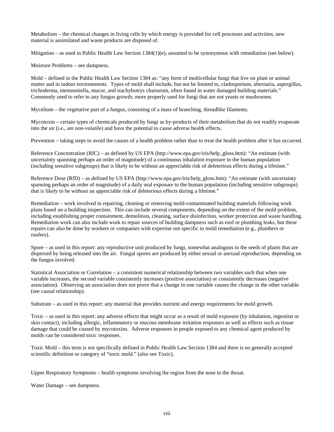Metabolism – the chemical changes in living cells by which energy is provided for cell processes and activities, new material is assimilated and waste products are disposed of.

Mitigation – as used in Public Health Law Section 1384(1)(e), assumed to be synonymous with remediation (see below).

Moisture Problems – see dampness.

 Mold – defined in the Public Health Law Section 1384 as: "any form of multicellular fungi that live on plant or animal Commonly used to refer to any fungus growth; more properly used for fungi that are not yeasts or mushrooms. matter and in indoor environments. Types of mold shall include, but not be limited to, cladosporium, alternaria, aspergillus, trichoderma, memnoniella, mucor, and stachybotrys chartarum, often found in water damaged building materials."

Mycelium – the vegetative part of a fungus, consisting of a mass of branching, threadlike filaments.

 Mycotoxin – certain types of chemicals produced by fungi as by-products of their metabolism that do not readily evaporate into the air (i.e., are non-volatile) and have the potential to cause adverse health effects.

Prevention – taking steps to avoid the causes of a health problem rather than to treat the health problem after it has occurred.

 Reference Concentration (RfC) – as defined by US EPA (http://www.epa.gov/iris/help\_gloss.htm): "An estimate (with uncertainty spanning perhaps an order of magnitude) of a continuous inhalation exposure to the human population (including sensitive subgroups) that is likely to be without an appreciable risk of deleterious effects during a lifetime."

 Reference Dose (RfD) – as defined by US EPA (http://www.epa.gov/iris/help\_gloss.htm): "An estimate (with uncertainty that is likely to be without an appreciable risk of deleterious effects during a lifetime." spanning perhaps an order of magnitude) of a daily oral exposure to the human population (including sensitive subgroups)

 Remediation work can also include work to repair sources of building dampness such as roof or plumbing leaks, but these repairs can also be done by workers or companies with expertise not specific to mold remediation (e.g., plumbers or Remediation – work involved in repairing, cleaning or removing mold-contaminated building materials following work plans based on a building inspection. This can include several components, depending on the extent of the mold problem, including establishing proper containment, demolition, cleaning, surface disinfection, worker protection and waste handling. roofers).

 dispersed by being released into the air. Fungal spores are produced by either sexual or asexual reproduction, depending on Spore – as used in this report: any reproductive unit produced by fungi, somewhat analogous to the seeds of plants that are the fungus involved.

Statistical Association or Correlation – a consistent numerical relationship between two variables such that when one variable increases, the second variable consistently increases (positive association) or consistently decreases (negative association). Observing an association does not prove that a change in one variable causes the change in the other variable (see causal relationship).

Substrate – as used in this report: any material that provides nutrient and energy requirements for mold growth.

Toxic – as used in this report: any adverse effects that might occur as a result of mold exposure (by inhalation, ingestion or skin contact), including allergic, inflammatory or mucous membrane irritation responses as well as effects such as tissue damage that could be caused by mycotoxins. Adverse responses in people exposed to any chemical agent produced by molds can be considered toxic responses.

Toxic Mold – this term is not specifically defined in Public Health Law Section 1384 and there is no generally accepted scientific definition or category of "toxic mold." (also see Toxic).

Upper Respiratory Symptoms – health symptoms involving the region from the nose to the throat.

Water Damage – see dampness.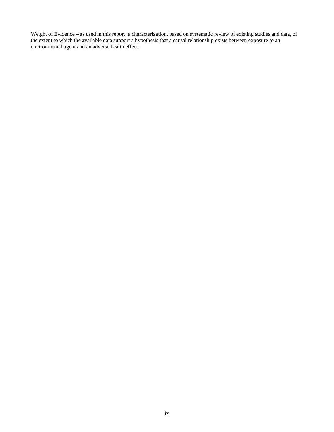Weight of Evidence – as used in this report: a characterization, based on systematic review of existing studies and data, of the extent to which the available data support a hypothesis that a causal relationship exists between exposure to an environmental agent and an adverse health effect.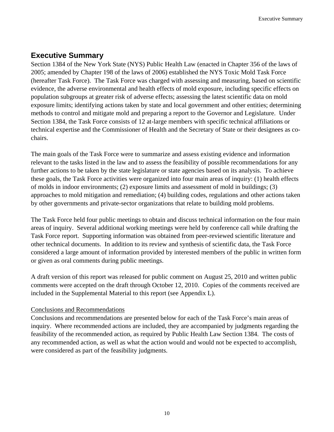# <span id="page-9-0"></span>**Executive Summary**

Section 1384 of the New York State (NYS) Public Health Law (enacted in Chapter 356 of the laws of 2005; amended by Chapter 198 of the laws of 2006) established the NYS Toxic Mold Task Force (hereafter Task Force). The Task Force was charged with assessing and measuring, based on scientific evidence, the adverse environmental and health effects of mold exposure, including specific effects on population subgroups at greater risk of adverse effects; assessing the latest scientific data on mold exposure limits; identifying actions taken by state and local government and other entities; determining methods to control and mitigate mold and preparing a report to the Governor and Legislature. Under Section 1384, the Task Force consists of 12 at-large members with specific technical affiliations or technical expertise and the Commissioner of Health and the Secretary of State or their designees as cochairs.

The main goals of the Task Force were to summarize and assess existing evidence and information relevant to the tasks listed in the law and to assess the feasibility of possible recommendations for any further actions to be taken by the state legislature or state agencies based on its analysis. To achieve these goals, the Task Force activities were organized into four main areas of inquiry: (1) health effects of molds in indoor environments; (2) exposure limits and assessment of mold in buildings; (3) approaches to mold mitigation and remediation; (4) building codes, regulations and other actions taken by other governments and private-sector organizations that relate to building mold problems.

The Task Force held four public meetings to obtain and discuss technical information on the four main areas of inquiry. Several additional working meetings were held by conference call while drafting the Task Force report. Supporting information was obtained from peer-reviewed scientific literature and other technical documents. In addition to its review and synthesis of scientific data, the Task Force considered a large amount of information provided by interested members of the public in written form or given as oral comments during public meetings.

A draft version of this report was released for public comment on August 25, 2010 and written public comments were accepted on the draft through October 12, 2010. Copies of the comments received are included in the Supplemental Material to this report (see Appendix L).

### Conclusions and Recommendations

Conclusions and recommendations are presented below for each of the Task Force's main areas of inquiry. Where recommended actions are included, they are accompanied by judgments regarding the feasibility of the recommended action, as required by Public Health Law Section 1384. The costs of any recommended action, as well as what the action would and would not be expected to accomplish, were considered as part of the feasibility judgments.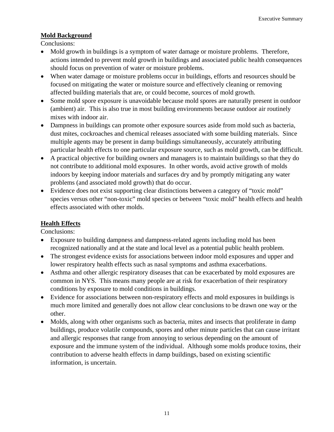#### **Mold Background**

Conclusions:

- Mold growth in buildings is a symptom of water damage or moisture problems. Therefore, actions intended to prevent mold growth in buildings and associated public health consequences should focus on prevention of water or moisture problems.
- When water damage or moisture problems occur in buildings, efforts and resources should be focused on mitigating the water or moisture source and effectively cleaning or removing affected building materials that are, or could become, sources of mold growth.
- Some mold spore exposure is unavoidable because mold spores are naturally present in outdoor (ambient) air. This is also true in most building environments because outdoor air routinely mixes with indoor air.
- Dampness in buildings can promote other exposure sources aside from mold such as bacteria, dust mites, cockroaches and chemical releases associated with some building materials. Since multiple agents may be present in damp buildings simultaneously, accurately attributing particular health effects to one particular exposure source, such as mold growth, can be difficult.
- A practical objective for building owners and managers is to maintain buildings so that they do not contribute to additional mold exposures. In other words, avoid active growth of molds indoors by keeping indoor materials and surfaces dry and by promptly mitigating any water problems (and associated mold growth) that do occur.
- Evidence does not exist supporting clear distinctions between a category of "toxic mold" species versus other "non-toxic" mold species or between "toxic mold" health effects and health effects associated with other molds.

### **Health Effects**

Conclusions:

- Exposure to building dampness and dampness-related agents including mold has been recognized nationally and at the state and local level as a potential public health problem.
- The strongest evidence exists for associations between indoor mold exposures and upper and lower respiratory health effects such as nasal symptoms and asthma exacerbations.
- Asthma and other allergic respiratory diseases that can be exacerbated by mold exposures are common in NYS. This means many people are at risk for exacerbation of their respiratory conditions by exposure to mold conditions in buildings.
- Evidence for associations between non-respiratory effects and mold exposures in buildings is much more limited and generally does not allow clear conclusions to be drawn one way or the other.
- Molds, along with other organisms such as bacteria, mites and insects that proliferate in damp buildings, produce volatile compounds, spores and other minute particles that can cause irritant and allergic responses that range from annoying to serious depending on the amount of exposure and the immune system of the individual. Although some molds produce toxins, their contribution to adverse health effects in damp buildings, based on existing scientific information, is uncertain.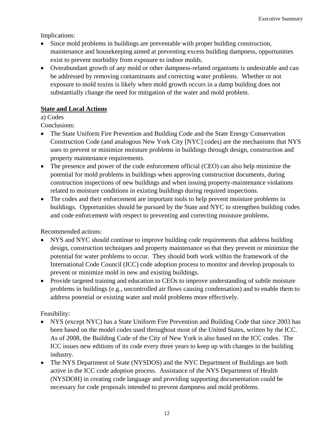Implications:

- Since mold problems in buildings are preventable with proper building construction, maintenance and housekeeping aimed at preventing excess building dampness, opportunities exist to prevent morbidity from exposure to indoor molds.
- Overabundant growth of any mold or other dampness-related organisms is undesirable and can be addressed by removing contaminants and correcting water problems. Whether or not exposure to mold toxins is likely when mold growth occurs in a damp building does not substantially change the need for mitigation of the water and mold problem.

### **State and Local Actions**

### a) Codes

Conclusions:

- The State Uniform Fire Prevention and Building Code and the State Energy Conservation Construction Code (and analogous New York City [NYC] codes) are the mechanisms that NYS uses to prevent or minimize moisture problems in buildings through design, construction and property maintenance requirements.
- The presence and power of the code enforcement official (CEO) can also help minimize the potential for mold problems in buildings when approving construction documents, during construction inspections of new buildings and when issuing property-maintenance violations related to moisture conditions in existing buildings during required inspections.
- The codes and their enforcement are important tools to help prevent moisture problems in buildings. Opportunities should be pursued by the State and NYC to strengthen building codes and code enforcement with respect to preventing and correcting moisture problems.

Recommended actions:

- NYS and NYC should continue to improve building code requirements that address building design, construction techniques and property maintenance so that they prevent or minimize the potential for water problems to occur. They should both work within the framework of the International Code Council (ICC) code adoption process to monitor and develop proposals to prevent or minimize mold in new and existing buildings.
- Provide targeted training and education to CEOs to improve understanding of subtle moisture problems in buildings (e.g., uncontrolled air flows causing condensation) and to enable them to address potential or existing water and mold problems more effectively.

Feasibility:

- NYS (except NYC) has a State Uniform Fire Prevention and Building Code that since 2003 has been based on the model codes used throughout most of the United States, written by the ICC. As of 2008, the Building Code of the City of New York is also based on the ICC codes. The ICC issues new editions of its code every three years to keep up with changes in the building industry.
- The NYS Department of State (NYSDOS) and the NYC Department of Buildings are both active in the ICC code adoption process. Assistance of the NYS Department of Health (NYSDOH) in creating code language and providing supporting documentation could be necessary for code proposals intended to prevent dampness and mold problems.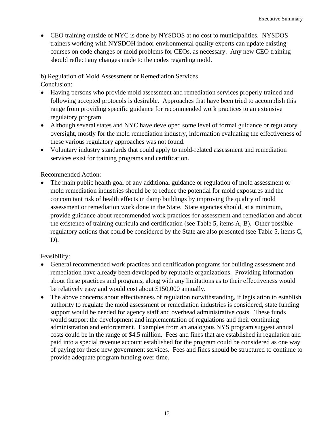• CEO training outside of NYC is done by NYSDOS at no cost to municipalities. NYSDOS trainers working with NYSDOH indoor environmental quality experts can update existing courses on code changes or mold problems for CEOs, as necessary. Any new CEO training should reflect any changes made to the codes regarding mold.

b) Regulation of Mold Assessment or Remediation Services Conclusion:

- Having persons who provide mold assessment and remediation services properly trained and following accepted protocols is desirable. Approaches that have been tried to accomplish this range from providing specific guidance for recommended work practices to an extensive regulatory program.
- Although several states and NYC have developed some level of formal guidance or regulatory oversight, mostly for the mold remediation industry, information evaluating the effectiveness of these various regulatory approaches was not found.
- • Voluntary industry standards that could apply to mold-related assessment and remediation services exist for training programs and certification.

Recommended Action:

• The main public health goal of any additional guidance or regulation of mold assessment or mold remediation industries should be to reduce the potential for mold exposures and the concomitant risk of health effects in damp buildings by improving the quality of mold assessment or remediation work done in the State. State agencies should, at a minimum, provide guidance about recommended work practices for assessment and remediation and about the existence of training curricula and certification (see Table 5, items A, B). Other possible regulatory actions that could be considered by the State are also presented (see Table 5, items C, D).

Feasibility:

- General recommended work practices and certification programs for building assessment and remediation have already been developed by reputable organizations. Providing information about these practices and programs, along with any limitations as to their effectiveness would be relatively easy and would cost about \$150,000 annually.
- The above concerns about effectiveness of regulation notwithstanding, if legislation to establish authority to regulate the mold assessment or remediation industries is considered, state funding support would be needed for agency staff and overhead administrative costs. These funds would support the development and implementation of regulations and their continuing administration and enforcement. Examples from an analogous NYS program suggest annual costs could be in the range of \$4.5 million. Fees and fines that are established in regulation and paid into a special revenue account established for the program could be considered as one way of paying for these new government services. Fees and fines should be structured to continue to provide adequate program funding over time.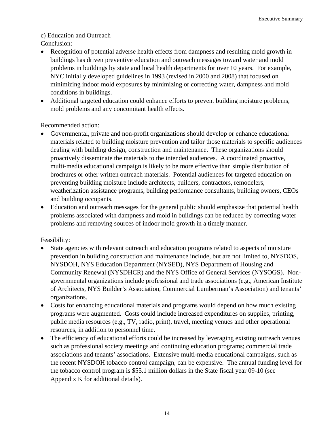### c) Education and Outreach

Conclusion:

- Recognition of potential adverse health effects from dampness and resulting mold growth in buildings has driven preventive education and outreach messages toward water and mold problems in buildings by state and local health departments for over 10 years. For example, NYC initially developed guidelines in 1993 (revised in 2000 and 2008) that focused on minimizing indoor mold exposures by minimizing or correcting water, dampness and mold conditions in buildings.
- Additional targeted education could enhance efforts to prevent building moisture problems, mold problems and any concomitant health effects.

Recommended action:

- Governmental, private and non-profit organizations should develop or enhance educational materials related to building moisture prevention and tailor those materials to specific audiences dealing with building design, construction and maintenance. These organizations should proactively disseminate the materials to the intended audiences. A coordinated proactive, multi-media educational campaign is likely to be more effective than simple distribution of brochures or other written outreach materials. Potential audiences for targeted education on preventing building moisture include architects, builders, contractors, remodelers, weatherization assistance programs, building performance consultants, building owners, CEOs and building occupants.
- Education and outreach messages for the general public should emphasize that potential health problems associated with dampness and mold in buildings can be reduced by correcting water problems and removing sources of indoor mold growth in a timely manner.

Feasibility:

- State agencies with relevant outreach and education programs related to aspects of moisture prevention in building construction and maintenance include, but are not limited to, NYSDOS, NYSDOH, NYS Education Department (NYSED), NYS Department of Housing and Community Renewal (NYSDHCR) and the NYS Office of General Services (NYSOGS). Nongovernmental organizations include professional and trade associations (e.g., American Institute of Architects, NYS Builder's Association, Commercial Lumberman's Association) and tenants' organizations.
- • Costs for enhancing educational materials and programs would depend on how much existing programs were augmented. Costs could include increased expenditures on supplies, printing, public media resources (e.g., TV, radio, print), travel, meeting venues and other operational resources, in addition to personnel time.
- The efficiency of educational efforts could be increased by leveraging existing outreach venues such as professional society meetings and continuing education programs; commercial trade associations and tenants' associations. Extensive multi-media educational campaigns, such as the recent NYSDOH tobacco control campaign, can be expensive. The annual funding level for the tobacco control program is \$55.1 million dollars in the State fiscal year 09-10 (see Appendix K for additional details).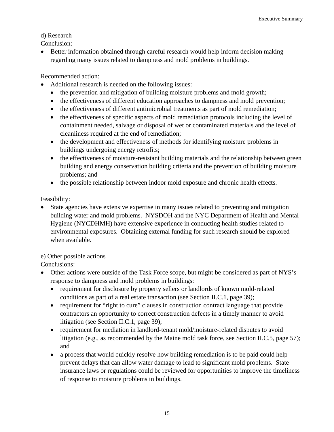### d) Research

Conclusion:

• Better information obtained through careful research would help inform decision making regarding many issues related to dampness and mold problems in buildings.

Recommended action:

- Additional research is needed on the following issues:
	- the prevention and mitigation of building moisture problems and mold growth;
	- the effectiveness of different education approaches to dampness and mold prevention;
	- the effectiveness of different antimicrobial treatments as part of mold remediation;
	- the effectiveness of specific aspects of mold remediation protocols including the level of containment needed, salvage or disposal of wet or contaminated materials and the level of cleanliness required at the end of remediation;
	- the development and effectiveness of methods for identifying moisture problems in buildings undergoing energy retrofits;
	- the effectiveness of moisture-resistant building materials and the relationship between green building and energy conservation building criteria and the prevention of building moisture problems; and
	- the possible relationship between indoor mold exposure and chronic health effects.

Feasibility:

• State agencies have extensive expertise in many issues related to preventing and mitigation building water and mold problems. NYSDOH and the NYC Department of Health and Mental Hygiene (NYCDHMH) have extensive experience in conducting health studies related to environmental exposures. Obtaining external funding for such research should be explored when available.

### e) Other possible actions

Conclusions:

- Other actions were outside of the Task Force scope, but might be considered as part of NYS's response to dampness and mold problems in buildings:
	- requirement for disclosure by property sellers or landlords of known mold-related conditions as part of a real estate transaction (see Section II.C.1, page 39);
	- requirement for "right to cure" clauses in construction contract language that provide contractors an opportunity to correct construction defects in a timely manner to avoid litigation (see Section II.C.1, page 39);
	- requirement for mediation in landlord-tenant mold/moisture-related disputes to avoid litigation (e.g., as recommended by the Maine mold task force, see Section II.C.5, page 57); and
	- a process that would quickly resolve how building remediation is to be paid could help prevent delays that can allow water damage to lead to significant mold problems. State insurance laws or regulations could be reviewed for opportunities to improve the timeliness of response to moisture problems in buildings.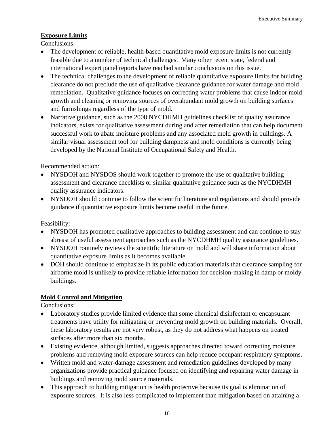### **Exposure Limits**

Conclusions:

- The development of reliable, health-based quantitative mold exposure limits is not currently feasible due to a number of technical challenges. Many other recent state, federal and international expert panel reports have reached similar conclusions on this issue.
- The technical challenges to the development of reliable quantitative exposure limits for building clearance do not preclude the use of qualitative clearance guidance for water damage and mold remediation. Qualitative guidance focuses on correcting water problems that cause indoor mold growth and cleaning or removing sources of overabundant mold growth on building surfaces and furnishings regardless of the type of mold.
- Narrative guidance, such as the 2008 NYCDHMH guidelines checklist of quality assurance indicators, exists for qualitative assessment during and after remediation that can help document successful work to abate moisture problems and any associated mold growth in buildings. A similar visual assessment tool for building dampness and mold conditions is currently being developed by the National Institute of Occupational Safety and Health.

Recommended action:

- NYSDOH and NYSDOS should work together to promote the use of qualitative building assessment and clearance checklists or similar qualitative guidance such as the NYCDHMH quality assurance indicators.
- NYSDOH should continue to follow the scientific literature and regulations and should provide guidance if quantitative exposure limits become useful in the future.

Feasibility:

- NYSDOH has promoted qualitative approaches to building assessment and can continue to stay abreast of useful assessment approaches such as the NYCDHMH quality assurance guidelines.
- NYSDOH routinely reviews the scientific literature on mold and will share information about quantitative exposure limits as it becomes available.
- DOH should continue to emphasize in its public education materials that clearance sampling for airborne mold is unlikely to provide reliable information for decision-making in damp or moldy buildings.

## **Mold Control and Mitigation**

Conclusions:

- Laboratory studies provide limited evidence that some chemical disinfectant or encapsulant treatments have utility for mitigating or preventing mold growth on building materials. Overall, these laboratory results are not very robust, as they do not address what happens on treated surfaces after more than six months.
- Existing evidence, although limited, suggests approaches directed toward correcting moisture problems and removing mold exposure sources can help reduce occupant respiratory symptoms.
- Written mold and water-damage assessment and remediation guidelines developed by many organizations provide practical guidance focused on identifying and repairing water damage in buildings and removing mold source materials.
- • This approach to building mitigation is health protective because its goal is elimination of exposure sources. It is also less complicated to implement than mitigation based on attaining a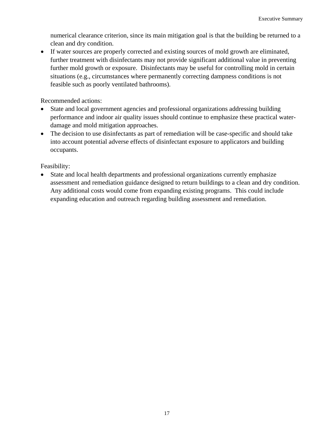numerical clearance criterion, since its main mitigation goal is that the building be returned to a clean and dry condition.

• If water sources are properly corrected and existing sources of mold growth are eliminated, further treatment with disinfectants may not provide significant additional value in preventing further mold growth or exposure. Disinfectants may be useful for controlling mold in certain situations (e.g., circumstances where permanently correcting dampness conditions is not feasible such as poorly ventilated bathrooms).

Recommended actions:

- State and local government agencies and professional organizations addressing building performance and indoor air quality issues should continue to emphasize these practical waterdamage and mold mitigation approaches.
- The decision to use disinfectants as part of remediation will be case-specific and should take into account potential adverse effects of disinfectant exposure to applicators and building occupants.

Feasibility:

• State and local health departments and professional organizations currently emphasize assessment and remediation guidance designed to return buildings to a clean and dry condition. Any additional costs would come from expanding existing programs. This could include expanding education and outreach regarding building assessment and remediation.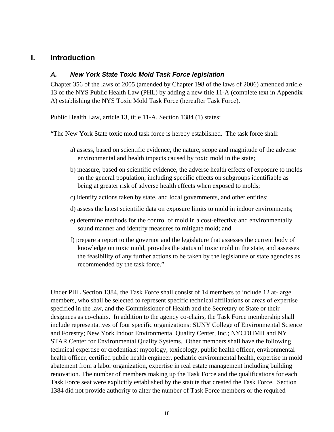## <span id="page-17-0"></span>**I. Introduction**

### *A. New York State Toxic Mold Task Force legislation*

Chapter 356 of the laws of 2005 (amended by Chapter 198 of the laws of 2006) amended article 13 of the NYS Public Health Law (PHL) by adding a new title 11-A (complete text in Appendix A) establishing the NYS Toxic Mold Task Force (hereafter Task Force).

Public Health Law, article 13, title 11-A, Section 1384 (1) states:

"The New York State toxic mold task force is hereby established. The task force shall:

- a) assess, based on scientific evidence, the nature, scope and magnitude of the adverse environmental and health impacts caused by toxic mold in the state;
- b) measure, based on scientific evidence, the adverse health effects of exposure to molds on the general population, including specific effects on subgroups identifiable as being at greater risk of adverse health effects when exposed to molds;
- c) identify actions taken by state, and local governments, and other entities;
- d) assess the latest scientific data on exposure limits to mold in indoor environments;
- e) determine methods for the control of mold in a cost-effective and environmentally sound manner and identify measures to mitigate mold; and
- f) prepare a report to the governor and the legislature that assesses the current body of knowledge on toxic mold, provides the status of toxic mold in the state, and assesses the feasibility of any further actions to be taken by the legislature or state agencies as recommended by the task force."

Under PHL Section 1384, the Task Force shall consist of 14 members to include 12 at-large members, who shall be selected to represent specific technical affiliations or areas of expertise specified in the law, and the Commissioner of Health and the Secretary of State or their designees as co-chairs. In addition to the agency co-chairs, the Task Force membership shall include representatives of four specific organizations: SUNY College of Environmental Science and Forestry; New York Indoor Environmental Quality Center, Inc.; NYCDHMH and NY STAR Center for Environmental Quality Systems. Other members shall have the following technical expertise or credentials: mycology, toxicology, public health officer, environmental health officer, certified public health engineer, pediatric environmental health, expertise in mold abatement from a labor organization, expertise in real estate management including building renovation. The number of members making up the Task Force and the qualifications for each Task Force seat were explicitly established by the statute that created the Task Force. Section 1384 did not provide authority to alter the number of Task Force members or the required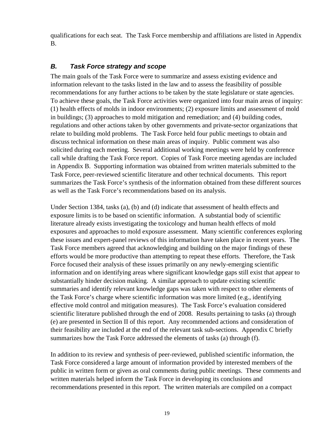<span id="page-18-0"></span>qualifications for each seat. The Task Force membership and affiliations are listed in Appendix B.

### *B. Task Force strategy and scope*

The main goals of the Task Force were to summarize and assess existing evidence and information relevant to the tasks listed in the law and to assess the feasibility of possible recommendations for any further actions to be taken by the state legislature or state agencies. To achieve these goals, the Task Force activities were organized into four main areas of inquiry: (1) health effects of molds in indoor environments; (2) exposure limits and assessment of mold in buildings; (3) approaches to mold mitigation and remediation; and (4) building codes, regulations and other actions taken by other governments and private-sector organizations that relate to building mold problems. The Task Force held four public meetings to obtain and discuss technical information on these main areas of inquiry. Public comment was also solicited during each meeting. Several additional working meetings were held by conference call while drafting the Task Force report. Copies of Task Force meeting agendas are included in Appendix B. Supporting information was obtained from written materials submitted to the Task Force, peer-reviewed scientific literature and other technical documents. This report summarizes the Task Force's synthesis of the information obtained from these different sources as well as the Task Force's recommendations based on its analysis.

Under Section 1384, tasks (a), (b) and (d) indicate that assessment of health effects and exposure limits is to be based on scientific information. A substantial body of scientific literature already exists investigating the toxicology and human health effects of mold exposures and approaches to mold exposure assessment. Many scientific conferences exploring these issues and expert-panel reviews of this information have taken place in recent years. The Task Force members agreed that acknowledging and building on the major findings of these efforts would be more productive than attempting to repeat these efforts. Therefore, the Task Force focused their analysis of these issues primarily on any newly-emerging scientific information and on identifying areas where significant knowledge gaps still exist that appear to substantially hinder decision making. A similar approach to update existing scientific summaries and identify relevant knowledge gaps was taken with respect to other elements of the Task Force's charge where scientific information was more limited (e.g., identifying effective mold control and mitigation measures). The Task Force's evaluation considered scientific literature published through the end of 2008. Results pertaining to tasks (a) through (e) are presented in Section II of this report. Any recommended actions and consideration of their feasibility are included at the end of the relevant task sub-sections. Appendix C briefly summarizes how the Task Force addressed the elements of tasks (a) through (f).

In addition to its review and synthesis of peer-reviewed, published scientific information, the Task Force considered a large amount of information provided by interested members of the public in written form or given as oral comments during public meetings. These comments and written materials helped inform the Task Force in developing its conclusions and recommendations presented in this report. The written materials are compiled on a compact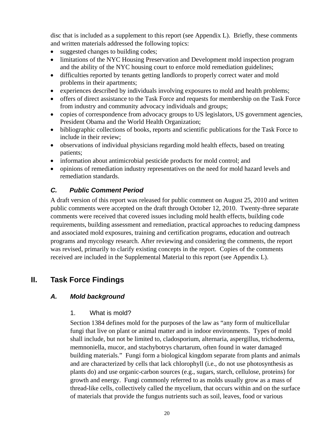<span id="page-19-0"></span>disc that is included as a supplement to this report (see Appendix L). Briefly, these comments and written materials addressed the following topics:

- suggested changes to building codes;
- limitations of the NYC Housing Preservation and Development mold inspection program and the ability of the NYC housing court to enforce mold remediation guidelines;
- difficulties reported by tenants getting landlords to properly correct water and mold problems in their apartments;
- experiences described by individuals involving exposures to mold and health problems;
- offers of direct assistance to the Task Force and requests for membership on the Task Force from industry and community advocacy individuals and groups;
- copies of correspondence from advocacy groups to US legislators, US government agencies, President Obama and the World Health Organization;
- bibliographic collections of books, reports and scientific publications for the Task Force to include in their review;
- observations of individual physicians regarding mold health effects, based on treating patients;
- information about antimicrobial pesticide products for mold control; and
- opinions of remediation industry representatives on the need for mold hazard levels and remediation standards.

## *C. Public Comment Period*

A draft version of this report was released for public comment on August 25, 2010 and written public comments were accepted on the draft through October 12, 2010. Twenty-three separate comments were received that covered issues including mold health effects, building code requirements, building assessment and remediation, practical approaches to reducing dampness and associated mold exposures, training and certification programs, education and outreach programs and mycology research. After reviewing and considering the comments, the report was revised, primarily to clarify existing concepts in the report. Copies of the comments received are included in the Supplemental Material to this report (see Appendix L).

# **II. Task Force Findings**

## *A. Mold background*

### 1. What is mold?

Section 1384 defines mold for the purposes of the law as "any form of multicellular fungi that live on plant or animal matter and in indoor environments. Types of mold shall include, but not be limited to, cladosporium, alternaria, aspergillus, trichoderma, memnoniella, mucor, and stachybotrys chartarum, often found in water damaged building materials." Fungi form a biological kingdom separate from plants and animals and are characterized by cells that lack chlorophyll (i.e., do not use photosynthesis as plants do) and use organic-carbon sources (e.g., sugars, starch, cellulose, proteins) for growth and energy. Fungi commonly referred to as molds usually grow as a mass of thread-like cells, collectively called the mycelium, that occurs within and on the surface of materials that provide the fungus nutrients such as soil, leaves, food or various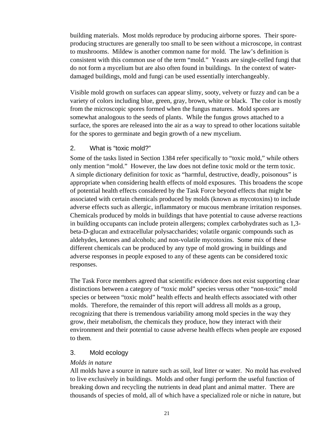<span id="page-20-0"></span>building materials. Most molds reproduce by producing airborne spores. Their sporeproducing structures are generally too small to be seen without a microscope, in contrast to mushrooms. Mildew is another common name for mold. The law's definition is consistent with this common use of the term "mold." Yeasts are single-celled fungi that do not form a mycelium but are also often found in buildings. In the context of waterdamaged buildings, mold and fungi can be used essentially interchangeably.

Visible mold growth on surfaces can appear slimy, sooty, velvety or fuzzy and can be a variety of colors including blue, green, gray, brown, white or black. The color is mostly from the microscopic spores formed when the fungus matures. Mold spores are somewhat analogous to the seeds of plants. While the fungus grows attached to a surface, the spores are released into the air as a way to spread to other locations suitable for the spores to germinate and begin growth of a new mycelium.

#### 2. What is "toxic mold?"

Some of the tasks listed in Section 1384 refer specifically to "toxic mold," while others only mention "mold." However, the law does not define toxic mold or the term toxic. A simple dictionary definition for toxic as "harmful, destructive, deadly, poisonous" is appropriate when considering health effects of mold exposures. This broadens the scope of potential health effects considered by the Task Force beyond effects that might be associated with certain chemicals produced by molds (known as mycotoxins) to include adverse effects such as allergic, inflammatory or mucous membrane irritation responses. Chemicals produced by molds in buildings that have potential to cause adverse reactions in building occupants can include protein allergens; complex carbohydrates such as 1,3 beta-D-glucan and extracellular polysaccharides; volatile organic compounds such as aldehydes, ketones and alcohols; and non-volatile mycotoxins. Some mix of these different chemicals can be produced by any type of mold growing in buildings and adverse responses in people exposed to any of these agents can be considered toxic responses.

The Task Force members agreed that scientific evidence does not exist supporting clear distinctions between a category of "toxic mold" species versus other "non-toxic" mold species or between "toxic mold" health effects and health effects associated with other molds. Therefore, the remainder of this report will address all molds as a group, recognizing that there is tremendous variability among mold species in the way they grow, their metabolism, the chemicals they produce, how they interact with their environment and their potential to cause adverse health effects when people are exposed to them.

### 3. Mold ecology

#### *Molds in nature*

All molds have a source in nature such as soil, leaf litter or water. No mold has evolved to live exclusively in buildings. Molds and other fungi perform the useful function of breaking down and recycling the nutrients in dead plant and animal matter. There are thousands of species of mold, all of which have a specialized role or niche in nature, but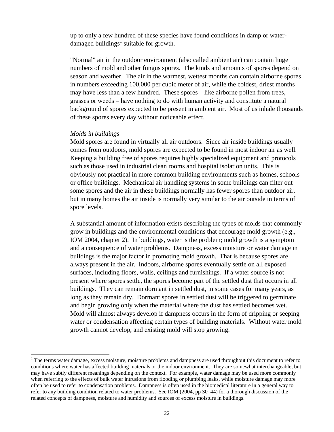up to only a few hundred of these species have found conditions in damp or waterdamaged buildings<sup>1</sup> suitable for growth.

"Normal" air in the outdoor environment (also called ambient air) can contain huge numbers of mold and other fungus spores. The kinds and amounts of spores depend on season and weather. The air in the warmest, wettest months can contain airborne spores in numbers exceeding 100,000 per cubic meter of air, while the coldest, driest months may have less than a few hundred. These spores – like airborne pollen from trees, grasses or weeds – have nothing to do with human activity and constitute a natural background of spores expected to be present in ambient air. Most of us inhale thousands of these spores every day without noticeable effect.

#### *Molds in buildings*

 $\overline{\phantom{a}}$ 

Mold spores are found in virtually all air outdoors. Since air inside buildings usually comes from outdoors, mold spores are expected to be found in most indoor air as well. Keeping a building free of spores requires highly specialized equipment and protocols such as those used in industrial clean rooms and hospital isolation units. This is obviously not practical in more common building environments such as homes, schools or office buildings. Mechanical air handling systems in some buildings can filter out some spores and the air in these buildings normally has fewer spores than outdoor air, but in many homes the air inside is normally very similar to the air outside in terms of spore levels.

A substantial amount of information exists describing the types of molds that commonly grow in buildings and the environmental conditions that encourage mold growth (e.g., IOM 2004, chapter 2). In buildings, water is the problem; mold growth is a symptom and a consequence of water problems. Dampness, excess moisture or water damage in buildings is the major factor in promoting mold growth. That is because spores are always present in the air. Indoors, airborne spores eventually settle on all exposed surfaces, including floors, walls, ceilings and furnishings. If a water source is not present where spores settle, the spores become part of the settled dust that occurs in all buildings. They can remain dormant in settled dust, in some cases for many years, as long as they remain dry. Dormant spores in settled dust will be triggered to germinate and begin growing only when the material where the dust has settled becomes wet. Mold will almost always develop if dampness occurs in the form of dripping or seeping water or condensation affecting certain types of building materials. Without water mold growth cannot develop, and existing mold will stop growing.

 may have subtly different meanings depending on the context. For example, water damage may be used more commonly often be used to refer to condensation problems. Dampness is often used in the biomedical literature in a general way to  $1$  The terms water damage, excess moisture, moisture problems and dampness are used throughout this document to refer to conditions where water has affected building materials or the indoor environment. They are somewhat interchangeable, but when referring to the effects of bulk water intrusions from flooding or plumbing leaks, while moisture damage may more refer to any building condition related to water problems. See IOM (2004, pp 30–44) for a thorough discussion of the related concepts of dampness, moisture and humidity and sources of excess moisture in buildings.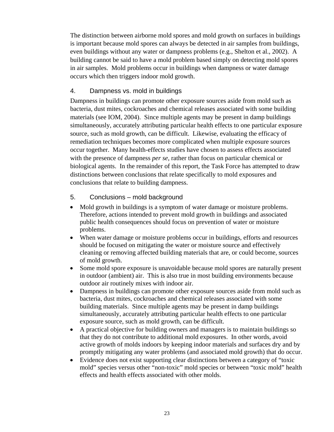<span id="page-22-0"></span>The distinction between airborne mold spores and mold growth on surfaces in buildings is important because mold spores can always be detected in air samples from buildings, even buildings without any water or dampness problems (e.g., Shelton et al., 2002). A building cannot be said to have a mold problem based simply on detecting mold spores in air samples. Mold problems occur in buildings when dampness or water damage occurs which then triggers indoor mold growth.

### 4. Dampness vs. mold in buildings

Dampness in buildings can promote other exposure sources aside from mold such as bacteria, dust mites, cockroaches and chemical releases associated with some building materials (see IOM, 2004). Since multiple agents may be present in damp buildings simultaneously, accurately attributing particular health effects to one particular exposure source, such as mold growth, can be difficult. Likewise, evaluating the efficacy of remediation techniques becomes more complicated when multiple exposure sources occur together. Many health-effects studies have chosen to assess effects associated with the presence of dampness *per se*, rather than focus on particular chemical or biological agents. In the remainder of this report, the Task Force has attempted to draw distinctions between conclusions that relate specifically to mold exposures and conclusions that relate to building dampness.

### 5. Conclusions – mold background

- Mold growth in buildings is a symptom of water damage or moisture problems. Therefore, actions intended to prevent mold growth in buildings and associated public health consequences should focus on prevention of water or moisture problems.
- When water damage or moisture problems occur in buildings, efforts and resources should be focused on mitigating the water or moisture source and effectively cleaning or removing affected building materials that are, or could become, sources of mold growth.
- Some mold spore exposure is unavoidable because mold spores are naturally present in outdoor (ambient) air. This is also true in most building environments because outdoor air routinely mixes with indoor air.
- Dampness in buildings can promote other exposure sources aside from mold such as bacteria, dust mites, cockroaches and chemical releases associated with some building materials. Since multiple agents may be present in damp buildings simultaneously, accurately attributing particular health effects to one particular exposure source, such as mold growth, can be difficult.
- A practical objective for building owners and managers is to maintain buildings so that they do not contribute to additional mold exposures. In other words, avoid active growth of molds indoors by keeping indoor materials and surfaces dry and by promptly mitigating any water problems (and associated mold growth) that do occur.
- Evidence does not exist supporting clear distinctions between a category of "toxic" mold" species versus other "non-toxic" mold species or between "toxic mold" health effects and health effects associated with other molds.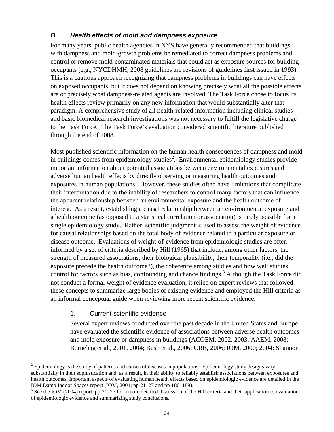### <span id="page-23-0"></span>*B. Health effects of mold and dampness exposure*

For many years, public health agencies in NYS have generally recommended that buildings with dampness and mold-growth problems be remediated to correct dampness problems and control or remove mold-contaminated materials that could act as exposure sources for building occupants (e.g., NYCDHMH, 2008 guidelines are revisions of guidelines first issued in 1993). This is a cautious approach recognizing that dampness problems in buildings can have effects on exposed occupants, but it does not depend on knowing precisely what all the possible effects are or precisely what dampness-related agents are involved. The Task Force chose to focus its health effects review primarily on any new information that would substantially alter that paradigm. A comprehensive study of all health-related information including clinical studies and basic biomedical research investigations was not necessary to fulfill the legislative charge to the Task Force. The Task Force's evaluation considered scientific literature published through the end of 2008.

Most published scientific information on the human health consequences of dampness and mold in buildings comes from epidemiology studies<sup>2</sup>. Environmental epidemiology studies provide important information about potential associations between environmental exposures and adverse human health effects by directly observing or measuring health outcomes and exposures in human populations. However, these studies often have limitations that complicate their interpretation due to the inability of researchers to control many factors that can influence the apparent relationship between an environmental exposure and the health outcome of interest. As a result, establishing a causal relationship between an environmental exposure and a health outcome (as opposed to a statistical correlation or association) is rarely possible for a single epidemiology study. Rather, scientific judgment is used to assess the weight of evidence for causal relationships based on the total body of evidence related to a particular exposure or disease outcome. Evaluations of weight-of-evidence from epidemiologic studies are often informed by a set of criteria described by Hill (1965) that include, among other factors, the strength of measured associations, their biological plausibility, their temporality (i.e., did the exposure precede the health outcome?), the coherence among studies and how well studies control for factors such as bias, confounding and chance findings.<sup>3</sup> Although the Task Force did not conduct a formal weight of evidence evaluation, it relied on expert reviews that followed these concepts to summarize large bodies of existing evidence and employed the Hill criteria as an informal conceptual guide when reviewing more recent scientific evidence.

### 1. Current scientific evidence

 $\overline{a}$ 

Several expert reviews conducted over the past decade in the United States and Europe have evaluated the scientific evidence of associations between adverse health outcomes and mold exposure or dampness in buildings (ACOEM, 2002, 2003; AAEM, 2008; Bornehag et al., 2001, 2004; Bush et al., 2006; CRB, 2006; IOM, 2000; 2004; Shannon

 $2$  Epidemiology is the study of patterns and causes of diseases in populations. Epidemiology study designs vary substantially in their sophistication and, as a result, in their ability to reliably establish associations between exposures and health outcomes. Important aspects of evaluating human health effects based on epidemiologic evidence are detailed in the IOM Damp Indoor Spaces report (IOM, 2004; pp 21–27 and pp 186–189).

 $3$  See the IOM (2004) report, pp 21–27 for a more detailed discussion of the Hill criteria and their application to evaluation of epidemiologic evidence and summarizing study conclusions.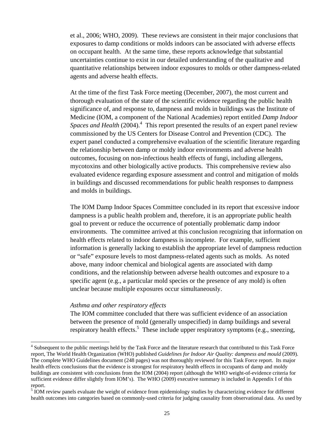et al., 2006; WHO, 2009). These reviews are consistent in their major conclusions that exposures to damp conditions or molds indoors can be associated with adverse effects on occupant health. At the same time, these reports acknowledge that substantial uncertainties continue to exist in our detailed understanding of the qualitative and quantitative relationships between indoor exposures to molds or other dampness-related agents and adverse health effects.

At the time of the first Task Force meeting (December, 2007), the most current and thorough evaluation of the state of the scientific evidence regarding the public health significance of, and response to, dampness and molds in buildings was the Institute of Medicine (IOM, a component of the National Academies) report entitled *Damp Indoor*  Spaces and Health (2004).<sup>4</sup> This report presented the results of an expert panel review commissioned by the US Centers for Disease Control and Prevention (CDC). The expert panel conducted a comprehensive evaluation of the scientific literature regarding the relationship between damp or moldy indoor environments and adverse health outcomes, focusing on non-infectious health effects of fungi, including allergens, mycotoxins and other biologically active products. This comprehensive review also evaluated evidence regarding exposure assessment and control and mitigation of molds in buildings and discussed recommendations for public health responses to dampness and molds in buildings.

The IOM Damp Indoor Spaces Committee concluded in its report that excessive indoor dampness is a public health problem and, therefore, it is an appropriate public health goal to prevent or reduce the occurrence of potentially problematic damp indoor environments. The committee arrived at this conclusion recognizing that information on health effects related to indoor dampness is incomplete. For example, sufficient information is generally lacking to establish the appropriate level of dampness reduction or "safe" exposure levels to most dampness-related agents such as molds. As noted above, many indoor chemical and biological agents are associated with damp conditions, and the relationship between adverse health outcomes and exposure to a specific agent (e.g., a particular mold species or the presence of any mold) is often unclear because multiple exposures occur simultaneously.

#### *Asthma and other respiratory effects*

 $\overline{a}$ 

The IOM committee concluded that there was sufficient evidence of an association between the presence of mold (generally unspecified) in damp buildings and several respiratory health effects.<sup>5</sup> These include upper respiratory symptoms (e.g., sneezing,

<sup>&</sup>lt;sup>4</sup> Subsequent to the public meetings held by the Task Force and the literature research that contributed to this Task Force report, The World Health Organization (WHO) published *Guidelines for Indoor Air Quality: dampness and mould* (2009). buildings are consistent with conclusions from the IOM (2004) report (although the WHO weight-of-evidence criteria for The complete WHO Guidelines document (248 pages) was not thoroughly reviewed for this Task Force report. Its major health effects conclusions that the evidence is strongest for respiratory health effects in occupants of damp and moldy sufficient evidence differ slightly from IOM's). The WHO (2009) executive summary is included in Appendix I of this report.

 $5$  IOM review panels evaluate the weight of evidence from epidemiology studies by characterizing evidence for different health outcomes into categories based on commonly-used criteria for judging causality from observational data. As used by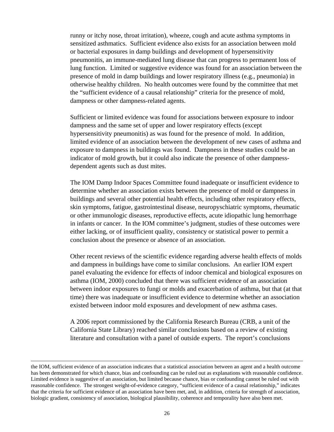runny or itchy nose, throat irritation), wheeze, cough and acute asthma symptoms in sensitized asthmatics. Sufficient evidence also exists for an association between mold or bacterial exposures in damp buildings and development of hypersensitivity pneumonitis, an immune-mediated lung disease that can progress to permanent loss of lung function. Limited or suggestive evidence was found for an association between the presence of mold in damp buildings and lower respiratory illness (e.g., pneumonia) in otherwise healthy children. No health outcomes were found by the committee that met the "sufficient evidence of a causal relationship" criteria for the presence of mold, dampness or other dampness-related agents.

Sufficient or limited evidence was found for associations between exposure to indoor dampness and the same set of upper and lower respiratory effects (except hypersensitivity pneumonitis) as was found for the presence of mold. In addition, limited evidence of an association between the development of new cases of asthma and exposure to dampness in buildings was found. Dampness in these studies could be an indicator of mold growth, but it could also indicate the presence of other dampnessdependent agents such as dust mites.

The IOM Damp Indoor Spaces Committee found inadequate or insufficient evidence to determine whether an association exists between the presence of mold or dampness in buildings and several other potential health effects, including other respiratory effects, skin symptoms, fatigue, gastrointestinal disease, neuropyschiatric symptoms, rheumatic or other immunologic diseases, reproductive effects, acute idiopathic lung hemorrhage in infants or cancer. In the IOM committee's judgment, studies of these outcomes were either lacking, or of insufficient quality, consistency or statistical power to permit a conclusion about the presence or absence of an association.

Other recent reviews of the scientific evidence regarding adverse health effects of molds and dampness in buildings have come to similar conclusions. An earlier IOM expert panel evaluating the evidence for effects of indoor chemical and biological exposures on asthma (IOM, 2000) concluded that there was sufficient evidence of an association between indoor exposures to fungi or molds and exacerbation of asthma, but that (at that time) there was inadequate or insufficient evidence to determine whether an association existed between indoor mold exposures and development of new asthma cases.

A 2006 report commissioned by the California Research Bureau (CRB, a unit of the California State Library) reached similar conclusions based on a review of existing literature and consultation with a panel of outside experts. The report's conclusions

 $\overline{a}$ 

 that the criteria for sufficient evidence of an association have been met, and, in addition, criteria for strength of association, the IOM, sufficient evidence of an association indicates that a statistical association between an agent and a health outcome has been demonstrated for which chance, bias and confounding can be ruled out as explanations with reasonable confidence. Limited evidence is suggestive of an association, but limited because chance, bias or confounding cannot be ruled out with reasonable confidence. The strongest weight-of-evidence category, "sufficient evidence of a causal relationship," indicates biologic gradient, consistency of association, biological plausibility, coherence and temporality have also been met.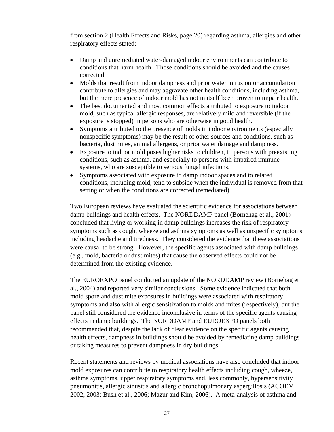from section 2 (Health Effects and Risks, page 20) regarding asthma, allergies and other respiratory effects stated:

- Damp and unremediated water-damaged indoor environments can contribute to conditions that harm health. Those conditions should be avoided and the causes corrected.
- Molds that result from indoor dampness and prior water intrusion or accumulation contribute to allergies and may aggravate other health conditions, including asthma, but the mere presence of indoor mold has not in itself been proven to impair health.
- The best documented and most common effects attributed to exposure to indoor mold, such as typical allergic responses, are relatively mild and reversible (if the exposure is stopped) in persons who are otherwise in good health.
- Symptoms attributed to the presence of molds in indoor environments (especially nonspecific symptoms) may be the result of other sources and conditions, such as bacteria, dust mites, animal allergens, or prior water damage and dampness.
- Exposure to indoor mold poses higher risks to children, to persons with preexisting conditions, such as asthma, and especially to persons with impaired immune systems, who are susceptible to serious fungal infections.
- Symptoms associated with exposure to damp indoor spaces and to related conditions, including mold, tend to subside when the individual is removed from that setting or when the conditions are corrected (remediated).

Two European reviews have evaluated the scientific evidence for associations between damp buildings and health effects. The NORDDAMP panel (Bornehag et al., 2001) concluded that living or working in damp buildings increases the risk of respiratory symptoms such as cough, wheeze and asthma symptoms as well as unspecific symptoms including headache and tiredness. They considered the evidence that these associations were causal to be strong. However, the specific agents associated with damp buildings (e.g., mold, bacteria or dust mites) that cause the observed effects could not be determined from the existing evidence.

The EUROEXPO panel conducted an update of the NORDDAMP review (Bornehag et al., 2004) and reported very similar conclusions. Some evidence indicated that both mold spore and dust mite exposures in buildings were associated with respiratory symptoms and also with allergic sensitization to molds and mites (respectively), but the panel still considered the evidence inconclusive in terms of the specific agents causing effects in damp buildings. The NORDDAMP and EUROEXPO panels both recommended that, despite the lack of clear evidence on the specific agents causing health effects, dampness in buildings should be avoided by remediating damp buildings or taking measures to prevent dampness in dry buildings.

Recent statements and reviews by medical associations have also concluded that indoor mold exposures can contribute to respiratory health effects including cough, wheeze, asthma symptoms, upper respiratory symptoms and, less commonly, hypersensitivity pneumonitis, allergic sinusitis and allergic bronchopulmonary aspergillosis (ACOEM, 2002, 2003; Bush et al., 2006; Mazur and Kim, 2006). A meta-analysis of asthma and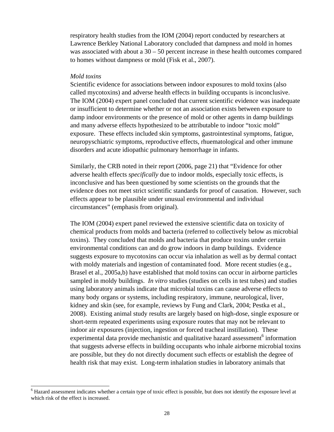respiratory health studies from the IOM (2004) report conducted by researchers at Lawrence Berkley National Laboratory concluded that dampness and mold in homes was associated with about a  $30 - 50$  percent increase in these health outcomes compared to homes without dampness or mold (Fisk et al., 2007).

#### *Mold toxins*

 $\overline{\phantom{a}}$ 

Scientific evidence for associations between indoor exposures to mold toxins (also called mycotoxins) and adverse health effects in building occupants is inconclusive. The IOM (2004) expert panel concluded that current scientific evidence was inadequate or insufficient to determine whether or not an association exists between exposure to damp indoor environments or the presence of mold or other agents in damp buildings and many adverse effects hypothesized to be attributable to indoor "toxic mold" exposure. These effects included skin symptoms, gastrointestinal symptoms, fatigue, neuropyschiatric symptoms, reproductive effects, rhuematological and other immune disorders and acute idiopathic pulmonary hemorrhage in infants.

Similarly, the CRB noted in their report (2006, page 21) that "Evidence for other adverse health effects *specifically* due to indoor molds, especially toxic effects, is inconclusive and has been questioned by some scientists on the grounds that the evidence does not meet strict scientific standards for proof of causation. However, such effects appear to be plausible under unusual environmental and individual circumstances" (emphasis from original).

The IOM (2004) expert panel reviewed the extensive scientific data on toxicity of chemical products from molds and bacteria (referred to collectively below as microbial toxins). They concluded that molds and bacteria that produce toxins under certain environmental conditions can and do grow indoors in damp buildings. Evidence suggests exposure to mycotoxins can occur via inhalation as well as by dermal contact with moldy materials and ingestion of contaminated food. More recent studies (e.g., Brasel et al., 2005a,b) have established that mold toxins can occur in airborne particles sampled in moldy buildings. *In vitro* studies (studies on cells in test tubes) and studies using laboratory animals indicate that microbial toxins can cause adverse effects to many body organs or systems, including respiratory, immune, neurological, liver, kidney and skin (see, for example, reviews by Fung and Clark, 2004; Pestka et al., 2008). Existing animal study results are largely based on high-dose, single exposure or short-term repeated experiments using exposure routes that may not be relevant to indoor air exposures (injection, ingestion or forced tracheal instillation). These experimental data provide mechanistic and qualitative hazard assessment $^6$  information that suggests adverse effects in building occupants who inhale airborne microbial toxins are possible, but they do not directly document such effects or establish the degree of health risk that may exist. Long-term inhalation studies in laboratory animals that

 which risk of the effect is increased. <sup>6</sup> Hazard assessment indicates whether a certain type of toxic effect is possible, but does not identify the exposure level at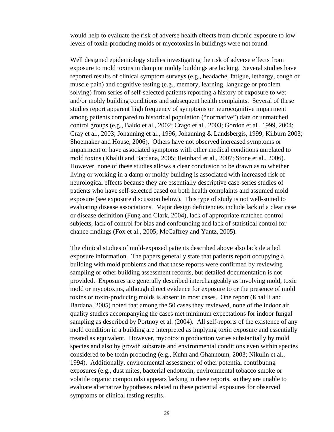would help to evaluate the risk of adverse health effects from chronic exposure to low levels of toxin-producing molds or mycotoxins in buildings were not found.

Well designed epidemiology studies investigating the risk of adverse effects from exposure to mold toxins in damp or moldy buildings are lacking. Several studies have reported results of clinical symptom surveys (e.g., headache, fatigue, lethargy, cough or muscle pain) and cognitive testing (e.g., memory, learning, language or problem solving) from series of self-selected patients reporting a history of exposure to wet and/or moldy building conditions and subsequent health complaints. Several of these studies report apparent high frequency of symptoms or neurocognitive impairment among patients compared to historical population ("normative") data or unmatched control groups (e.g., Baldo et al., 2002; Crago et al., 2003; Gordon et al., 1999, 2004; Gray et al., 2003; Johanning et al., 1996; Johanning & Landsbergis, 1999; Kilburn 2003; Shoemaker and House, 2006). Others have not observed increased symptoms or impairment or have associated symptoms with other medical conditions unrelated to mold toxins (Khalili and Bardana, 2005; Reinhard et al., 2007; Stone et al., 2006). However, none of these studies allows a clear conclusion to be drawn as to whether living or working in a damp or moldy building is associated with increased risk of neurological effects because they are essentially descriptive case-series studies of patients who have self-selected based on both health complaints and assumed mold exposure (see exposure discussion below). This type of study is not well-suited to evaluating disease associations. Major design deficiencies include lack of a clear case or disease definition (Fung and Clark, 2004), lack of appropriate matched control subjects, lack of control for bias and confounding and lack of statistical control for chance findings (Fox et al., 2005; McCaffrey and Yantz, 2005).

The clinical studies of mold-exposed patients described above also lack detailed exposure information. The papers generally state that patients report occupying a building with mold problems and that these reports were confirmed by reviewing sampling or other building assessment records, but detailed documentation is not provided. Exposures are generally described interchangeably as involving mold, toxic mold or mycotoxins, although direct evidence for exposure to or the presence of mold toxins or toxin-producing molds is absent in most cases. One report (Khalili and Bardana, 2005) noted that among the 50 cases they reviewed, none of the indoor air quality studies accompanying the cases met minimum expectations for indoor fungal sampling as described by Portnoy et al. (2004). All self-reports of the existence of any mold condition in a building are interpreted as implying toxin exposure and essentially treated as equivalent. However, mycotoxin production varies substantially by mold species and also by growth substrate and environmental conditions even within species considered to be toxin producing (e.g., Kuhn and Ghannoum, 2003; Nikulin et al., 1994). Additionally, environmental assessment of other potential contributing exposures (e.g., dust mites, bacterial endotoxin, environmental tobacco smoke or volatile organic compounds) appears lacking in these reports, so they are unable to evaluate alternative hypotheses related to these potential exposures for observed symptoms or clinical testing results.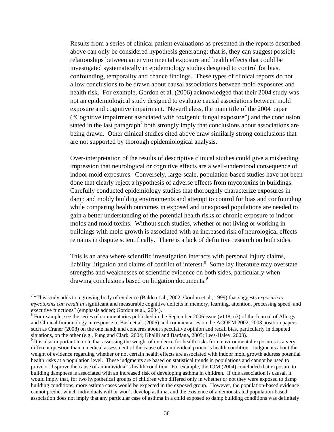Results from a series of clinical patient evaluations as presented in the reports described above can only be considered hypothesis generating; that is, they can suggest possible relationships between an environmental exposure and health effects that could be investigated systematically in epidemiology studies designed to control for bias, confounding, temporality and chance findings. These types of clinical reports do not allow conclusions to be drawn about causal associations between mold exposures and health risk. For example, Gordon et al. (2006) acknowledged that their 2004 study was not an epidemiological study designed to evaluate causal associations between mold exposure and cognitive impairment. Nevertheless, the main title of the 2004 paper ("Cognitive impairment associated with toxigenic fungal exposure") and the conclusion stated in the last paragraph<sup>7</sup> both strongly imply that conclusions about associations are being drawn. Other clinical studies cited above draw similarly strong conclusions that are not supported by thorough epidemiological analysis.

Over-interpretation of the results of descriptive clinical studies could give a misleading impression that neurological or cognitive effects are a well-understood consequence of indoor mold exposures. Conversely, large-scale, population-based studies have not been done that clearly reject a hypothesis of adverse effects from mycotoxins in buildings. Carefully conducted epidemiology studies that thoroughly characterize exposures in damp and moldy building environments and attempt to control for bias and confounding while comparing health outcomes in exposed and unexposed populations are needed to gain a better understanding of the potential health risks of chronic exposure to indoor molds and mold toxins. Without such studies, whether or not living or working in buildings with mold growth is associated with an increased risk of neurological effects remains in dispute scientifically. There is a lack of definitive research on both sides.

This is an area where scientific investigation interacts with personal injury claims, liability litigation and claims of conflict of interest. $8$  Some lay literature may overstate strengths and weaknesses of scientific evidence on both sides, particularly when drawing conclusions based on litigation documents.<sup>9</sup>

 $\overline{\phantom{a}}$ 

 7 "This study adds to a growing body of evidence (Baldo et al., 2002; Gordon et al., 1999) that suggests *exposure to mycotoxins can result in* significant and measurable cognitive deficits in memory, learning, attention, processing speed, and executive functions" (emphasis added; Gordon et al., 2004).

<sup>&</sup>lt;sup>8</sup> For example, see the series of commentaries published in the September 2006 issue (v118, n3) of the Journal of Allergy and Clinical Immunology in response to Bush et al. (2006) and commentaries on the ACOEM 2002, 2003 position papers such as Craner (2008) on the one hand; and concerns about speculative opinion and recall bias, particularly in disputed situations, on the other (e.g., Fung and Clark, 2004; Khalili and Bardana, 2005; Lees-Haley, 2003).

 health risks at a population level. These judgments are based on statistical trends in populations and cannot be used to would imply that, for two hypothetical groups of children who differed only in whether or not they were exposed to damp <sup>9</sup> It is also important to note that assessing the weight of evidence for health risks from environmental exposures is a very different question than a medical assessment of the cause of an individual patient's health condition. Judgments about the weight of evidence regarding whether or not certain health effects are associated with indoor mold growth address potential prove or disprove the cause of an individual's health condition. For example, the IOM (2004) concluded that exposure to building dampness is associated with an increased risk of developing asthma in children. If this association is causal, it building conditions, more asthma cases would be expected in the exposed group. However, the population-based evidence cannot predict which individuals will or won't develop asthma, and the existence of a demonstrated population-based association does not imply that any particular case of asthma in a child exposed to damp building conditions was definitely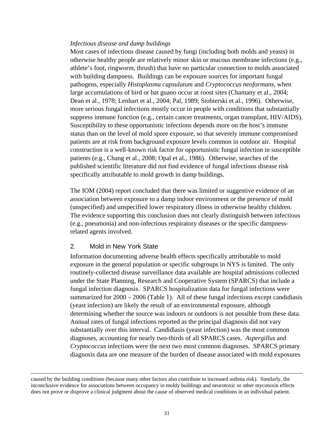#### <span id="page-30-0"></span>*Infectious disease and damp buildings*

Most cases of infectious disease caused by fungi (including both molds and yeasts) in otherwise healthy people are relatively minor skin or mucous membrane infections (e.g., athlete's foot, ringworm, thrush) that have no particular connection to molds associated with building dampness. Buildings can be exposure sources for important fungal pathogens, especially *Histoplasma capsulatum* and *Cryptococcus neoformans*, when large accumulations of bird or bat guano occur at roost sites (Chamany et al., 2004; Dean et al., 1978; Lenhart et al., 2004; Pal, 1989; Stobierski et al., 1996). Otherwise, more serious fungal infections mostly occur in people with conditions that substantially suppress immune function (e.g., certain cancer treatments, organ transplant, HIV/AIDS). Susceptibility to these opportunistic infections depends more on the host's immune status than on the level of mold spore exposure, so that severely immune compromised patients are at risk from background exposure levels common in outdoor air. Hospital construction is a well-known risk factor for opportunistic fungal infection in susceptible patients (e.g., Chang et al., 2008; Opal et al., 1986). Otherwise, searches of the published scientific literature did not find evidence of fungal infectious disease risk specifically attributable to mold growth in damp buildings.

The IOM (2004) report concluded that there was limited or suggestive evidence of an association between exposure to a damp indoor environment or the presence of mold (unspecified) and unspecified lower respiratory illness in otherwise healthy children. The evidence supporting this conclusion does not clearly distinguish between infectious (e.g., pneumonia) and non-infectious respiratory diseases or the specific dampnessrelated agents involved.

### 2. Mold in New York State

 $\overline{\phantom{a}}$ 

Information documenting adverse health effects specifically attributable to mold exposure in the general population or specific subgroups in NYS is limited. The only routinely-collected disease surveillance data available are hospital admissions collected under the State Planning, Research and Cooperative System (SPARCS) that include a fungal infection diagnosis. SPARCS hospitalization data for fungal infections were summarized for  $2000 - 2006$  (Table 1). All of these fungal infections except candidiasis (yeast infection) are likely the result of an environmental exposure, although determining whether the source was indoors or outdoors is not possible from these data. Annual rates of fungal infections reported as the principal diagnosis did not vary substantially over this interval. Candidiasis (yeast infection) was the most common diagnoses, accounting for nearly two-thirds of all SPARCS cases. *Aspergillus* and *Cryptococcus* infections were the next two most common diagnoses. SPARCS primary diagnosis data are one measure of the burden of disease associated with mold exposures

caused by the building conditions (because many other factors also contribute to increased asthma risk). Similarly, the inconclusive evidence for associations between occupancy in moldy buildings and neurotoxic or other mycotoxin effects does not prove or disprove a clinical judgment about the cause of observed medical conditions in an individual patient.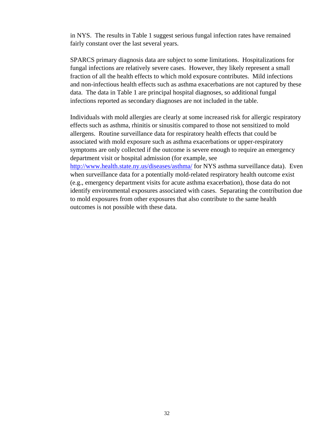in NYS. The results in Table 1 suggest serious fungal infection rates have remained fairly constant over the last several years.

SPARCS primary diagnosis data are subject to some limitations. Hospitalizations for fungal infections are relatively severe cases. However, they likely represent a small fraction of all the health effects to which mold exposure contributes. Mild infections and non-infectious health effects such as asthma exacerbations are not captured by these data. The data in Table 1 are principal hospital diagnoses, so additional fungal infections reported as secondary diagnoses are not included in the table.

Individuals with mold allergies are clearly at some increased risk for allergic respiratory effects such as asthma, rhinitis or sinusitis compared to those not sensitized to mold allergens. Routine surveillance data for respiratory health effects that could be associated with mold exposure such as asthma exacerbations or upper-respiratory symptoms are only collected if the outcome is severe enough to require an emergency department visit or hospital admission (for example, see http://www.health.state.ny.us/diseases/asthma/ for NYS asthma surveillance data). Even

when surveillance data for a potentially mold-related respiratory health outcome exist (e.g., emergency department visits for acute asthma exacerbation), those data do not identify environmental exposures associated with cases. Separating the contribution due to mold exposures from other exposures that also contribute to the same health outcomes is not possible with these data.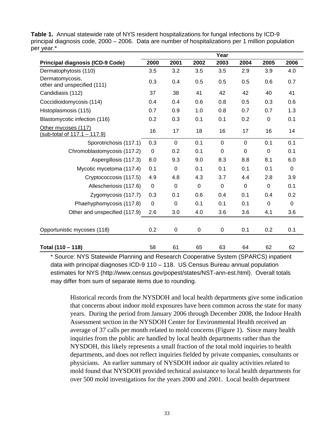|                                                     | Year             |           |             |             |             |                  |             |
|-----------------------------------------------------|------------------|-----------|-------------|-------------|-------------|------------------|-------------|
| <b>Principal diagnosis (ICD-9 Code)</b>             | 2000             | 2001      | 2002        | 2003        | 2004        | 2005             | 2006        |
| Dermatophytosis (110)                               | 3.5              | 3.2       | 3.5         | 3.5         | 2.9         | 3.9              | 4.0         |
| Dermatomycosis,<br>other and unspecified (111)      | 0.3              | 0.4       | 0.5         | 0.5         | 0.5         | 0.6              | 0.7         |
| Candidiasis (112)                                   | 37               | 38        | 41          | 42          | 42          | 40               | 41          |
| Coccidioidomycosis (114)                            | 0.4              | 0.4       | 0.6         | 0.8         | 0.5         | 0.3              | 0.6         |
| Histoplasmosis (115)                                | 0.7              | 0.9       | 1.0         | 0.8         | 0.7         | 0.7              | 1.3         |
| Blastomycotic infection (116)                       | 0.2              | 0.3       | 0.1         | 0.1         | 0.2         | $\pmb{0}$        | 0.1         |
| Other mycoses (117)<br>(sub-total of 117.1 - 117.9) | 16               | 17        | 18          | 16          | 17          | 16               | 14          |
| Sporotrichosis (117.1)                              | 0.3              | $\pmb{0}$ | 0.1         | $\mathbf 0$ | $\mathbf 0$ | 0.1              | 0.1         |
| Chromoblastomycosis (117.2)                         | $\mathbf 0$      | 0.2       | 0.1         | 0           | $\pmb{0}$   | $\boldsymbol{0}$ | 0.1         |
| Aspergillosis (117.3)                               | 8.0              | 9.3       | 9.0         | 8.3         | 8.8         | 8.1              | 6.0         |
| Mycotic mycetoma (117.4)                            | 0.1              | 0         | 0.1         | 0.1         | 0.1         | 0.1              | $\mathbf 0$ |
| Cryptococcosis (117.5)                              | 4.9              | 4.8       | 4.3         | 3.7         | 4.4         | 2.8              | 3.9         |
| Allescheriosis (117.6)                              | $\boldsymbol{0}$ | 0         | $\mathbf 0$ | $\mathbf 0$ | $\mathbf 0$ | $\mathbf 0$      | 0.1         |
| Zygomycosis (117.7)                                 | 0.3              | 0.1       | 0.6         | 0.4         | 0.1         | 0.4              | 0.2         |
| Phaehyphomycosis (117.8)                            | $\pmb{0}$        | 0         | 0.1         | 0.1         | 0.1         | 0                | $\mathbf 0$ |
| Other and unspecified (117.9)                       | 2.6              | 3.0       | 4.0         | 3.6         | 3.6         | 4.1              | 3.6         |
| Opportunistic mycoses (118)                         | 0.2              | 0         | $\mathbf 0$ | 0           | 0.1         | 0.2              | 0.1         |
| Total (110 - 118)                                   | 58               | 61        | 65          | 63          | 64          | 62               | 62          |

**Table 1.** Annual statewide rate of NYS resident hospitalizations for fungal infections by ICD-9 principal diagnosis code, 2000 – 2006. Data are number of hospitalizations per 1 million population per year.\*

\* Source: NYS Statewide Planning and Research Cooperative System (SPARCS) inpatient data with principal diagnoses ICD-9 110 – 118. US Census Bureau annual population estimates for NYS (http://www.census.gov/popest/states/NST-ann-est.html). Overall totals may differ from sum of separate items due to rounding.

Historical records from the NYSDOH and local health departments give some indication that concerns about indoor mold exposures have been common across the state for many years. During the period from January 2006 through December 2008, the Indoor Health Assessment section in the NYSDOH Center for Environmental Health received an average of 37 calls per month related to mold concerns (Figure 1). Since many health inquiries from the public are handled by local health departments rather than the NYSDOH, this likely represents a small fraction of the total mold inquiries to health departments, and does not reflect inquiries fielded by private companies, consultants or physicians. An earlier summary of NYSDOH indoor air quality activities related to mold found that NYSDOH provided technical assistance to local health departments for over 500 mold investigations for the years 2000 and 2001. Local health department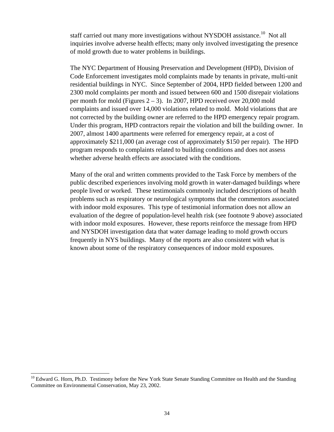staff carried out many more investigations without NYSDOH assistance.<sup>10</sup> Not all inquiries involve adverse health effects; many only involved investigating the presence of mold growth due to water problems in buildings.

The NYC Department of Housing Preservation and Development (HPD), Division of Code Enforcement investigates mold complaints made by tenants in private, multi-unit residential buildings in NYC. Since September of 2004, HPD fielded between 1200 and 2300 mold complaints per month and issued between 600 and 1500 disrepair violations per month for mold (Figures  $2 - 3$ ). In 2007, HPD received over 20,000 mold complaints and issued over 14,000 violations related to mold. Mold violations that are not corrected by the building owner are referred to the HPD emergency repair program. Under this program, HPD contractors repair the violation and bill the building owner. In 2007, almost 1400 apartments were referred for emergency repair, at a cost of approximately \$211,000 (an average cost of approximately \$150 per repair). The HPD program responds to complaints related to building conditions and does not assess whether adverse health effects are associated with the conditions.

Many of the oral and written comments provided to the Task Force by members of the public described experiences involving mold growth in water-damaged buildings where people lived or worked. These testimonials commonly included descriptions of health problems such as respiratory or neurological symptoms that the commentors associated with indoor mold exposures. This type of testimonial information does not allow an evaluation of the degree of population-level health risk (see footnote 9 above) associated with indoor mold exposures. However, these reports reinforce the message from HPD and NYSDOH investigation data that water damage leading to mold growth occurs frequently in NYS buildings. Many of the reports are also consistent with what is known about some of the respiratory consequences of indoor mold exposures.

 $\overline{\phantom{a}}$ 

<sup>&</sup>lt;sup>10</sup> Edward G. Horn, Ph.D. Testimony before the New York State Senate Standing Committee on Health and the Standing Committee on Environmental Conservation, May 23, 2002.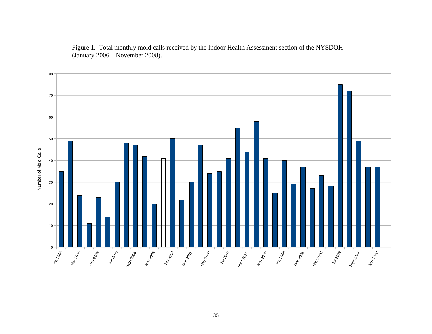

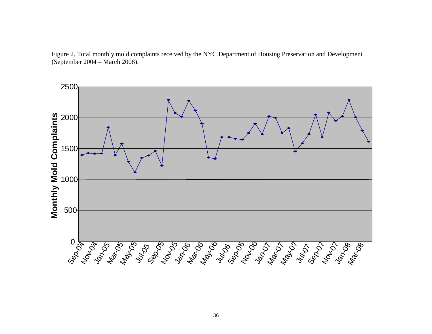Figure 2. Total monthly mold complaints received by the NYC Department of Housing Preservation and Development (September 2004 – March 2008).

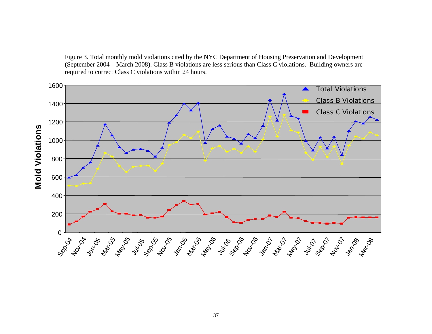Figure 3. Total monthly mold violations cited by the NYC Department of Housing Preservation and Development (September 2004 – March 2008). Class B violations are less serious than Class C violations. Building owners are required to correct Class C violations within 24 hours.

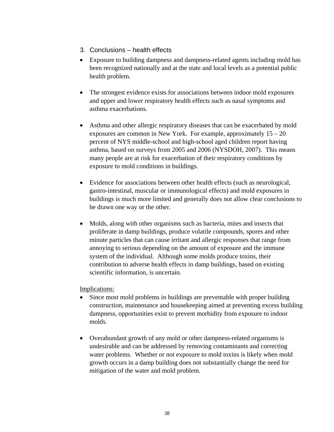- 3. Conclusions health effects
- Exposure to building dampness and dampness-related agents including mold has been recognized nationally and at the state and local levels as a potential public health problem.
- The strongest evidence exists for associations between indoor mold exposures and upper and lower respiratory health effects such as nasal symptoms and asthma exacerbations.
- Asthma and other allergic respiratory diseases that can be exacerbated by mold exposures are common in New York. For example, approximately 15 – 20 percent of NYS middle-school and high-school aged children report having asthma, based on surveys from 2005 and 2006 (NYSDOH, 2007). This means many people are at risk for exacerbation of their respiratory conditions by exposure to mold conditions in buildings.
- Evidence for associations between other health effects (such as neurological, gastro-intestinal, muscular or immunological effects) and mold exposures in buildings is much more limited and generally does not allow clear conclusions to be drawn one way or the other.
- Molds, along with other organisms such as bacteria, mites and insects that proliferate in damp buildings, produce volatile compounds, spores and other minute particles that can cause irritant and allergic responses that range from annoying to serious depending on the amount of exposure and the immune system of the individual. Although some molds produce toxins, their contribution to adverse health effects in damp buildings, based on existing scientific information, is uncertain.

Implications:

- Since most mold problems in buildings are preventable with proper building construction, maintenance and housekeeping aimed at preventing excess building dampness, opportunities exist to prevent morbidity from exposure to indoor molds.
- Overabundant growth of any mold or other dampness-related organisms is undesirable and can be addressed by removing contaminants and correcting water problems. Whether or not exposure to mold toxins is likely when mold growth occurs in a damp building does not substantially change the need for mitigation of the water and mold problem.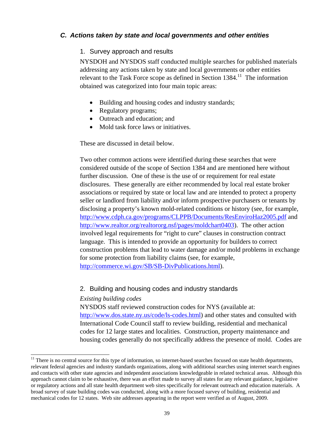## *C. Actions taken by state and local governments and other entities*

## 1. Survey approach and results

NYSDOH and NYSDOS staff conducted multiple searches for published materials addressing any actions taken by state and local governments or other entities relevant to the Task Force scope as defined in Section  $1384$ .<sup>11</sup> The information obtained was categorized into four main topic areas:

- Building and housing codes and industry standards;
- Regulatory programs;
- Outreach and education; and
- Mold task force laws or initiatives.

These are discussed in detail below.

Two other common actions were identified during these searches that were considered outside of the scope of Section 1384 and are mentioned here without further discussion. One of these is the use of or requirement for real estate disclosures. These generally are either recommended by local real estate broker associations or required by state or local law and are intended to protect a property seller or landlord from liability and/or inform prospective purchasers or tenants by disclosing a property's known mold-related conditions or history (see, for example, http://www.cdph.ca.gov/programs/CLPPB/Documents/ResEnviroHaz2005.pdf and http://www.realtor.org/realtororg.nsf/pages/moldchart0403). The other action involved legal requirements for "right to cure" clauses in construction contract language. This is intended to provide an opportunity for builders to correct construction problems that lead to water damage and/or mold problems in exchange for some protection from liability claims (see, for example, http://commerce.wi.gov/SB/SB-DivPublications.html).

## 2. Building and housing codes and industry standards

## *Existing building codes*

 $\overline{\phantom{a}}$ 

NYSDOS staff reviewed construction codes for NYS (available at: http://www.dos.state.ny.us/code/ls-codes.html) and other states and consulted with International Code Council staff to review building, residential and mechanical codes for 12 large states and localities. Construction, property maintenance and housing codes generally do not specifically address the presence of mold. Codes are

 broad survey of state building codes was conducted, along with a more focused survey of building, residential and  $11$  There is no central source for this type of information, so internet-based searches focused on state health departments, relevant federal agencies and industry standards organizations, along with additional searches using internet search engines and contacts with other state agencies and independent associations knowledgeable in related technical areas. Although this approach cannot claim to be exhaustive, there was an effort made to survey all states for any relevant guidance, legislative or regulatory actions and all state health department web sites specifically for relevant outreach and education materials. A mechanical codes for 12 states. Web site addresses appearing in the report were verified as of August, 2009.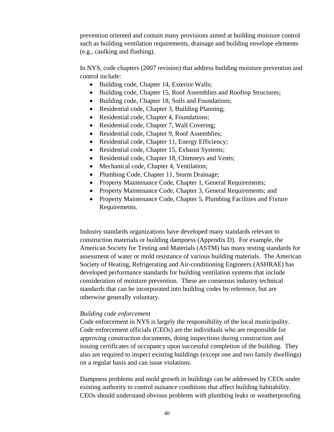prevention oriented and contain many provisions aimed at building moisture control such as building ventilation requirements, drainage and building envelope elements (e.g., caulking and flashing).

In NYS, code chapters (2007 revision) that address building moisture prevention and control include:

- Building code, Chapter 14, Exterior Walls;
- Building code, Chapter 15, Roof Assemblies and Rooftop Structures;
- Building code, Chapter 18, Soils and Foundations;
- Residential code, Chapter 3, Building Planning;
- Residential code, Chapter 4, Foundations;
- Residential code, Chapter 7, Wall Covering;
- Residential code, Chapter 9, Roof Assemblies;
- Residential code, Chapter 11, Energy Efficiency;
- Residential code, Chapter 15, Exhaust Systems;
- Residential code, Chapter 18, Chimneys and Vents;
- Mechanical code, Chapter 4, Ventilation;
- Plumbing Code, Chapter 11, Storm Drainage;
- Property Maintenance Code, Chapter 1, General Requirements;
- Property Maintenance Code, Chapter 3, General Requirements; and
- Property Maintenance Code, Chapter 5, Plumbing Facilities and Fixture Requirements.

Industry standards organizations have developed many standards relevant to construction materials or building dampness (Appendix D). For example, the American Society for Testing and Materials (ASTM) has many testing standards for assessment of water or mold resistance of various building materials. The American Society of Heating, Refrigerating and Air-conditioning Engineers (ASHRAE) has developed performance standards for building ventilation systems that include consideration of moisture prevention. These are consensus industry technical standards that can be incorporated into building codes by reference, but are otherwise generally voluntary.

#### *Building code enforcement*

Code enforcement in NYS is largely the responsibility of the local municipality. Code enforcement officials (CEOs) are the individuals who are responsible for approving construction documents, doing inspections during construction and issuing certificates of occupancy upon successful completion of the building. They also are required to inspect existing buildings (except one and two family dwellings) on a regular basis and can issue violations.

Dampness problems and mold growth in buildings can be addressed by CEOs under existing authority to control nuisance conditions that affect building habitability. CEOs should understand obvious problems with plumbing leaks or weatherproofing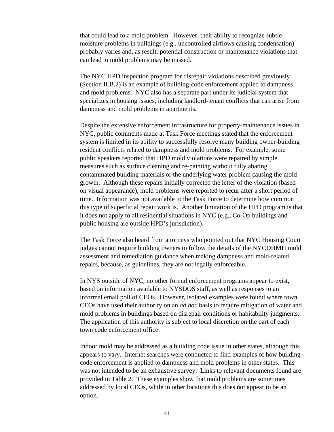that could lead to a mold problem. However, their ability to recognize subtle moisture problems in buildings (e.g., uncontrolled airflows causing condensation) probably varies and, as result, potential construction or maintenance violations that can lead to mold problems may be missed.

The NYC HPD inspection program for disrepair violations described previously (Section II.B.2) is an example of building-code enforcement applied to dampness and mold problems. NYC also has a separate part under its judicial system that specializes in housing issues, including landlord-tenant conflicts that can arise from dampness and mold problems in apartments.

Despite the extensive enforcement infrastructure for property-maintenance issues in NYC, public comments made at Task Force meetings stated that the enforcement system is limited in its ability to successfully resolve many building owner-building resident conflicts related to dampness and mold problems. For example, some public speakers reported that HPD mold violations were repaired by simple measures such as surface cleaning and re-painting without fully abating contaminated building materials or the underlying water problem causing the mold growth. Although these repairs initially corrected the letter of the violation (based on visual appearance), mold problems were reported to recur after a short period of time. Information was not available to the Task Force to determine how common this type of superficial repair work is. Another limitation of the HPD program is that it does not apply to all residential situations in NYC (e.g., Co-Op buildings and public housing are outside HPD's jurisdiction).

The Task Force also heard from attorneys who pointed out that NYC Housing Court judges cannot require building owners to follow the details of the NYCDHMH mold assessment and remediation guidance when making dampness and mold-related repairs, because, as guidelines, they are not legally enforceable.

In NYS outside of NYC, no other formal enforcement programs appear to exist, based on information available to NYSDOS staff, as well as responses to an informal email poll of CEOs. However, isolated examples were found where town CEOs have used their authority on an *ad hoc* basis to require mitigation of water and mold problems in buildings based on disrepair conditions or habitability judgments. The application of this authority is subject to local discretion on the part of each town code enforcement office.

Indoor mold may be addressed as a building code issue in other states, although this appears to vary. Internet searches were conducted to find examples of how buildingcode enforcement is applied to dampness and mold problems in other states. This was not intended to be an exhaustive survey. Links to relevant documents found are provided in Table 2. These examples show that mold problems are sometimes addressed by local CEOs, while in other locations this does not appear to be an option.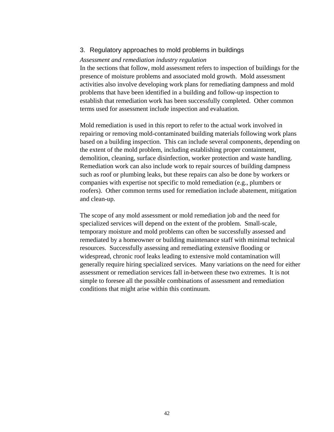### 3. Regulatory approaches to mold problems in buildings

#### *Assessment and remediation industry regulation*

In the sections that follow, mold assessment refers to inspection of buildings for the presence of moisture problems and associated mold growth. Mold assessment activities also involve developing work plans for remediating dampness and mold problems that have been identified in a building and follow-up inspection to establish that remediation work has been successfully completed. Other common terms used for assessment include inspection and evaluation.

Mold remediation is used in this report to refer to the actual work involved in repairing or removing mold-contaminated building materials following work plans based on a building inspection. This can include several components, depending on the extent of the mold problem, including establishing proper containment, demolition, cleaning, surface disinfection, worker protection and waste handling. Remediation work can also include work to repair sources of building dampness such as roof or plumbing leaks, but these repairs can also be done by workers or companies with expertise not specific to mold remediation (e.g., plumbers or roofers). Other common terms used for remediation include abatement, mitigation and clean-up.

The scope of any mold assessment or mold remediation job and the need for specialized services will depend on the extent of the problem. Small-scale, temporary moisture and mold problems can often be successfully assessed and remediated by a homeowner or building maintenance staff with minimal technical resources. Successfully assessing and remediating extensive flooding or widespread, chronic roof leaks leading to extensive mold contamination will generally require hiring specialized services. Many variations on the need for either assessment or remediation services fall in-between these two extremes. It is not simple to foresee all the possible combinations of assessment and remediation conditions that might arise within this continuum.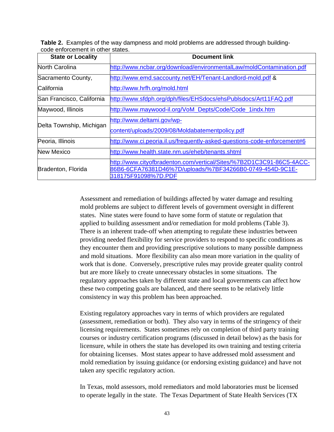| State or Locality                                                                              | Document link |  |  |  |  |
|------------------------------------------------------------------------------------------------|---------------|--|--|--|--|
| code enforcement in other states.                                                              |               |  |  |  |  |
| <b>Table 2.</b> Examples of the way dampness and mold problems are addressed through building- |               |  |  |  |  |

| <b>State or Locality</b>  | <b>Document link</b>                                                                                                                                    |
|---------------------------|---------------------------------------------------------------------------------------------------------------------------------------------------------|
| North Carolina            | http://www.ncbar.org/download/environmentalLaw/moldContamination.pdf                                                                                    |
| Sacramento County,        | http://www.emd.saccounty.net/EH/Tenant-Landlord-mold.pdf &                                                                                              |
| California                | http://www.hrfh.org/mold.html                                                                                                                           |
| San Francisco, California | http://www.sfdph.org/dph/files/EHSdocs/ehsPublsdocs/Art11FAQ.pdf                                                                                        |
| Maywood, Illinois         | http://www.maywood-il.org/VoM_Depts/Code/Code_1indx.htm                                                                                                 |
| Delta Township, Michigan  | http://www.deltami.gov/wp-<br>content/uploads/2009/08/Moldabatementpolicy.pdf                                                                           |
| Peoria, Illinois          | http://www.ci.peoria.il.us/frequently-asked-questions-code-enforcement#6                                                                                |
| New Mexico                | http://www.health.state.nm.us/eheb/tenants.shtml                                                                                                        |
| Bradenton, Florida        | http://www.cityofbradenton.com/vertical/Sites/%7B2D1C3C91-86C5-4ACC-<br>86B6-6CFA76381D46%7D/uploads/%7BF34266B0-0749-454D-9C1E-<br>318175F91098%7D.PDF |

Assessment and remediation of buildings affected by water damage and resulting mold problems are subject to different levels of government oversight in different states. Nine states were found to have some form of statute or regulation that applied to building assessment and/or remediation for mold problems (Table 3). There is an inherent trade-off when attempting to regulate these industries between providing needed flexibility for service providers to respond to specific conditions as they encounter them and providing prescriptive solutions to many possible dampness and mold situations. More flexibility can also mean more variation in the quality of work that is done. Conversely, prescriptive rules may provide greater quality control but are more likely to create unnecessary obstacles in some situations. The regulatory approaches taken by different state and local governments can affect how these two competing goals are balanced, and there seems to be relatively little consistency in way this problem has been approached.

Existing regulatory approaches vary in terms of which providers are regulated (assessment, remediation or both). They also vary in terms of the stringency of their licensing requirements. States sometimes rely on completion of third party training courses or industry certification programs (discussed in detail below) as the basis for licensure, while in others the state has developed its own training and testing criteria for obtaining licenses. Most states appear to have addressed mold assessment and mold remediation by issuing guidance (or endorsing existing guidance) and have not taken any specific regulatory action.

In Texas, mold assessors, mold remediators and mold laboratories must be licensed to operate legally in the state. The Texas Department of State Health Services (TX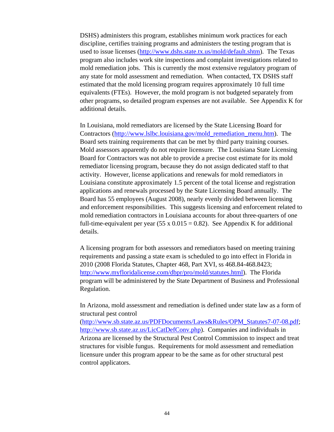DSHS) administers this program, establishes minimum work practices for each discipline, certifies training programs and administers the testing program that is used to issue licenses (http://www.dshs.state.tx.us/mold/default.shtm). The Texas program also includes work site inspections and complaint investigations related to mold remediation jobs. This is currently the most extensive regulatory program of any state for mold assessment and remediation. When contacted, TX DSHS staff estimated that the mold licensing program requires approximately 10 full time equivalents (FTEs). However, the mold program is not budgeted separately from other programs, so detailed program expenses are not available. See Appendix K for additional details.

In Louisiana, mold remediators are licensed by the State Licensing Board for Contractors (http://www.lslbc.louisiana.gov/mold\_remediation\_menu.htm). The Board sets training requirements that can be met by third party training courses. Mold assessors apparently do not require licensure. The Louisiana State Licensing Board for Contractors was not able to provide a precise cost estimate for its mold remediator licensing program, because they do not assign dedicated staff to that activity. However, license applications and renewals for mold remediators in Louisiana constitute approximately 1.5 percent of the total license and registration applications and renewals processed by the State Licensing Board annually. The Board has 55 employees (August 2008), nearly evenly divided between licensing and enforcement responsibilities. This suggests licensing and enforcement related to mold remediation contractors in Louisiana accounts for about three-quarters of one full-time-equivalent per year (55 x  $0.015 = 0.82$ ). See Appendix K for additional details.

A licensing program for both assessors and remediators based on meeting training requirements and passing a state exam is scheduled to go into effect in Florida in 2010 (2008 Florida Statutes, Chapter 468, Part XVI, ss 468.84-468.8423; http://www.myfloridalicense.com/dbpr/pro/mold/statutes.html). The Florida program will be administered by the State Department of Business and Professional Regulation.

In Arizona, mold assessment and remediation is defined under state law as a form of structural pest control

(http://www.sb.state.az.us/PDFDocuments/Laws&Rules/OPM\_Statutes7-07-08.pdf; http://www.sb.state.az.us/LicCatDefConv.php). Companies and individuals in Arizona are licensed by the Structural Pest Control Commission to inspect and treat structures for visible fungus. Requirements for mold assessment and remediation licensure under this program appear to be the same as for other structural pest control applicators.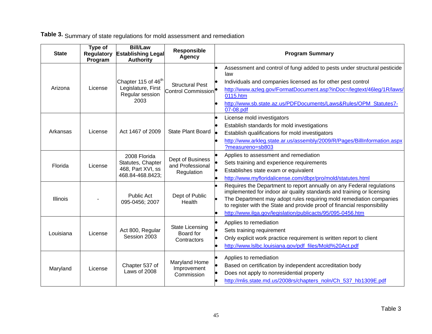| <b>State</b>    | Type of<br><b>Regulatory</b><br>Program | <b>Bill/Law</b><br><b>Establishing Legal</b><br><b>Authority</b>                 | <b>Responsible</b><br>Agency                              | <b>Program Summary</b>                                                                                                                                                                                                                                                                                                                                           |
|-----------------|-----------------------------------------|----------------------------------------------------------------------------------|-----------------------------------------------------------|------------------------------------------------------------------------------------------------------------------------------------------------------------------------------------------------------------------------------------------------------------------------------------------------------------------------------------------------------------------|
| Arizona         | License                                 | Chapter 115 of 46 <sup>th</sup><br>Legislature, First<br>Regular session<br>2003 | <b>Structural Pest</b><br>Control Commission <sup>®</sup> | Assessment and control of fungi added to pests under structural pesticide<br>law<br>Individuals and companies licensed as for other pest control<br>http://www.azleg.gov/FormatDocument.asp?inDoc=/legtext/46leg/1R/laws/<br>0115.htm<br>http://www.sb.state.az.us/PDFDocuments/Laws&Rules/OPM Statutes7-<br>07-08.pdf                                           |
| Arkansas        | License                                 | Act 1467 of 2009                                                                 | <b>State Plant Board</b>                                  | License mold investigators<br>Establish standards for mold investigations<br>Establish qualifications for mold investigators<br>http://www.arkleg.state.ar.us/assembly/2009/R/Pages/BillInformation.aspx<br>?measureno=sb803                                                                                                                                     |
| Florida         | License                                 | 2008 Florida<br>Statutes, Chapter<br>468, Part XVI, ss<br>468.84-468.8423;       | Dept of Business<br>and Professional<br>Regulation        | Applies to assessment and remediation<br>Sets training and experience requirements<br>Establishes state exam or equivalent<br>http://www.myfloridalicense.com/dbpr/pro/mold/statutes.html                                                                                                                                                                        |
| <b>Illinois</b> |                                         | <b>Public Act</b><br>095-0456; 2007                                              | Dept of Public<br>Health                                  | Requires the Department to report annually on any Federal regulations<br>implemented for indoor air quality standards and training or licensing<br>The Department may adopt rules requiring mold remediation companies<br>to register with the State and provide proof of financial responsibility<br>http://www.ilga.gov/legislation/publicacts/95/095-0456.htm |
| Louisiana       | License                                 | Act 800, Regular<br>Session 2003                                                 | State Licensing<br>Board for<br>Contractors               | Applies to remediation<br>Sets training requirement<br>Only explicit work practice requirement is written report to client<br>http://www.lslbc.louisiana.gov/pdf files/Mold%20Act.pdf                                                                                                                                                                            |
| Maryland        | License                                 | Chapter 537 of<br>Laws of 2008                                                   | Maryland Home<br>Improvement<br>Commission                | Applies to remediation<br>Based on certification by independent accreditation body<br>Does not apply to nonresidential property<br>http://mlis.state.md.us/2008rs/chapters_noln/Ch_537_hb1309E.pdf                                                                                                                                                               |

# **Table 3.** Summary of state regulations for mold assessment and remediation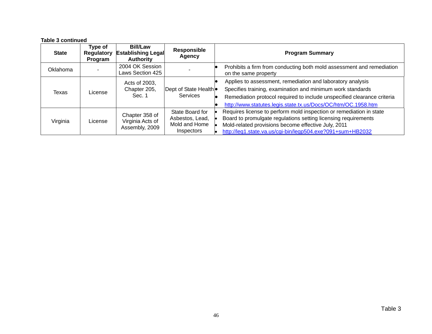| Table 3 continued |                                  |                                                                  |                                                                   |                                                                                                                                                                                                                                                                      |
|-------------------|----------------------------------|------------------------------------------------------------------|-------------------------------------------------------------------|----------------------------------------------------------------------------------------------------------------------------------------------------------------------------------------------------------------------------------------------------------------------|
| <b>State</b>      | Type of<br>Regulatory<br>Program | <b>Bill/Law</b><br><b>Establishing Legal</b><br><b>Authority</b> | <b>Responsible</b><br>Agency                                      | <b>Program Summary</b>                                                                                                                                                                                                                                               |
| Oklahoma          |                                  | 2004 OK Session<br>Laws Section 425                              |                                                                   | Prohibits a firm from conducting both mold assessment and remediation<br>on the same property                                                                                                                                                                        |
| Texas             | License                          | Acts of 2003,<br>Chapter 205,<br>Sec. 1                          | Dept of State Health<br><b>Services</b>                           | Applies to assessment, remediation and laboratory analysis<br>Specifies training, examination and minimum work standards<br>Remediation protocol required to include unspecified clearance criteria<br>http://www.statutes.legis.state.tx.us/Docs/OC/htm/OC.1958.htm |
| Virginia          | License                          | Chapter 358 of<br>Virginia Acts of<br>Assembly, 2009             | State Board for<br>Asbestos, Lead,<br>Mold and Home<br>Inspectors | Requires license to perform mold inspection or remediation in state<br>Board to promulgate regulations setting licensing requirements<br>Mold-related provisions become effective July, 2011<br>http://leg1.state.va.us/cgi-bin/legp504.exe?091+sum+HB2032           |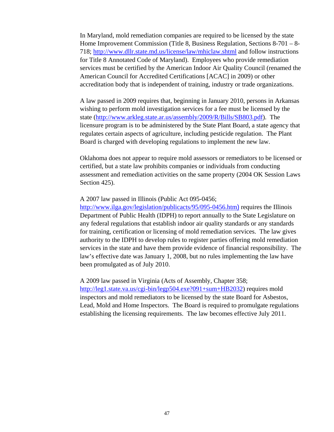In Maryland, mold remediation companies are required to be licensed by the state Home Improvement Commission (Title 8, Business Regulation, Sections 8-701 – 8 718; http://www.dllr.state.md.us/license/law/mhiclaw.shtml and follow instructions for Title 8 Annotated Code of Maryland). Employees who provide remediation services must be certified by the American Indoor Air Quality Council (renamed the American Council for Accredited Certifications [ACAC] in 2009) or other accreditation body that is independent of training, industry or trade organizations.

A law passed in 2009 requires that, beginning in January 2010, persons in Arkansas wishing to perform mold investigation services for a fee must be licensed by the state (http://www.arkleg.state.ar.us/assembly/2009/R/Bills/SB803.pdf). The licensure program is to be administered by the State Plant Board, a state agency that regulates certain aspects of agriculture, including pesticide regulation. The Plant Board is charged with developing regulations to implement the new law.

Oklahoma does not appear to require mold assessors or remediators to be licensed or certified, but a state law prohibits companies or individuals from conducting assessment and remediation activities on the same property (2004 OK Session Laws Section 425).

#### A 2007 law passed in Illinois (Public Act 095-0456;

http://www.ilga.gov/legislation/publicacts/95/095-0456.htm) requires the Illinois Department of Public Health (IDPH) to report annually to the State Legislature on any federal regulations that establish indoor air quality standards or any standards for training, certification or licensing of mold remediation services. The law gives authority to the IDPH to develop rules to register parties offering mold remediation services in the state and have them provide evidence of financial responsibility. The law's effective date was January 1, 2008, but no rules implementing the law have been promulgated as of July 2010.

A 2009 law passed in Virginia (Acts of Assembly, Chapter 358; http://leg1.state.va.us/cgi-bin/legp504.exe?091+sum+HB2032) requires mold inspectors and mold remediators to be licensed by the state Board for Asbestos, Lead, Mold and Home Inspectors. The Board is required to promulgate regulations establishing the licensing requirements. The law becomes effective July 2011.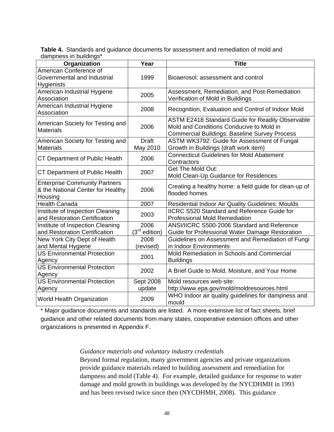**Table 4.** Standards and guidance documents for assessment and remediation of mold and dampness in buildings\*

| uamphess in buildings<br>Organization                                                | Year                     | <b>Title</b>                                                                                                                                         |
|--------------------------------------------------------------------------------------|--------------------------|------------------------------------------------------------------------------------------------------------------------------------------------------|
| American Conference of<br>Governmental and Industrial<br><b>Hygienists</b>           | 1999                     | Bioaerosol: assessment and control                                                                                                                   |
| American Industrial Hygiene<br>Association                                           | 2005                     | Assessment, Remediation, and Post-Remediation<br>Verification of Mold in Buildings                                                                   |
| American Industrial Hygiene<br>Association                                           | 2008                     | Recognition, Evaluation and Control of Indoor Mold                                                                                                   |
| American Society for Testing and<br><b>Materials</b>                                 | 2006                     | ASTM E2418 Standard Guide for Readily Observable<br>Mold and Conditions Conducive to Mold in<br><b>Commercial Buildings: Baseline Survey Process</b> |
| American Society for Testing and<br><b>Materials</b>                                 | <b>Draft</b><br>May 2010 | ASTM WK3792: Guide for Assessment of Fungal<br>Growth in Buildings (draft work item)                                                                 |
| CT Department of Public Health                                                       | 2006                     | <b>Connecticut Guidelines for Mold Abatement</b><br>Contractors                                                                                      |
| CT Department of Public Health                                                       | 2007                     | <b>Get The Mold Out:</b><br>Mold Clean-Up Guidance for Residences                                                                                    |
| <b>Enterprise Community Partners</b><br>& the National Center for Healthy<br>Housing | 2006                     | Creating a healthy home: a field guide for clean-up of<br>flooded homes                                                                              |
| <b>Health Canada</b>                                                                 | 2007                     | Residential Indoor Air Quality Guidelines: Moulds                                                                                                    |
| Institute of Inspection Cleaning<br>and Restoration Certification                    | 2003                     | <b>IICRC S520 Standard and Reference Guide for</b><br><b>Professional Mold Remediation</b>                                                           |
| Institute of Inspection Cleaning<br>and Restoration Certification                    | 2006<br>$(3rd$ edition)  | ANSI/IICRC S500-2006 Standard and Reference<br>Guide for Professional Water Damage Restoration                                                       |
| New York City Dept of Health<br>and Mental Hygiene                                   | 2008<br>(revised)        | Guidelines on Assessment and Remediation of Fungi<br>in Indoor Environments                                                                          |
| <b>US Environmental Protection</b><br>Agency                                         | 2001                     | Mold Remediation in Schools and Commercial<br><b>Buildings</b>                                                                                       |
| <b>US Environmental Protection</b><br>Agency                                         | 2002                     | A Brief Guide to Mold, Moisture, and Your Home                                                                                                       |
| <b>US Environmental Protection</b><br>Agency                                         | Sept 2008<br>update      | Mold resources web site:<br>http://www.epa.gov/mold/moldresources.html                                                                               |
| World Health Organization                                                            | 2009                     | WHO Indoor air quality guidelines for dampness and<br>mould                                                                                          |

\* Major guidance documents and standards are listed. A more extensive list of fact sheets, brief guidance and other related documents from many states, cooperative extension offices and other organizations is presented in Appendix F.

#### *Guidance materials and voluntary industry credentials*

Beyond formal regulation, many government agencies and private organizations provide guidance materials related to building assessment and remediation for dampness and mold (Table 4). For example, detailed guidance for response to water damage and mold growth in buildings was developed by the NYCDHMH in 1993 and has been revised twice since then (NYCDHMH, 2008). This guidance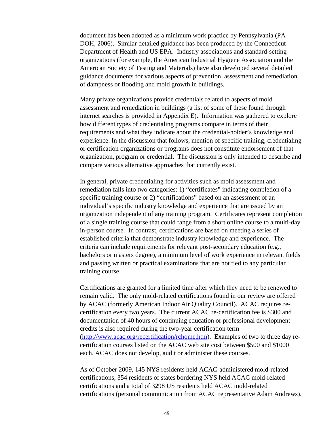document has been adopted as a minimum work practice by Pennsylvania (PA DOH, 2006). Similar detailed guidance has been produced by the Connecticut Department of Health and US EPA. Industry associations and standard-setting organizations (for example, the American Industrial Hygiene Association and the American Society of Testing and Materials) have also developed several detailed guidance documents for various aspects of prevention, assessment and remediation of dampness or flooding and mold growth in buildings.

Many private organizations provide credentials related to aspects of mold assessment and remediation in buildings (a list of some of these found through internet searches is provided in Appendix E). Information was gathered to explore how different types of credentialing programs compare in terms of their requirements and what they indicate about the credential-holder's knowledge and experience. In the discussion that follows, mention of specific training, credentialing or certification organizations or programs does not constitute endorsement of that organization, program or credential. The discussion is only intended to describe and compare various alternative approaches that currently exist.

In general, private credentialing for activities such as mold assessment and remediation falls into two categories: 1) "certificates" indicating completion of a specific training course or 2) "certifications" based on an assessment of an individual's specific industry knowledge and experience that are issued by an organization independent of any training program. Certificates represent completion of a single training course that could range from a short online course to a multi-day in-person course. In contrast, certifications are based on meeting a series of established criteria that demonstrate industry knowledge and experience. The criteria can include requirements for relevant post-secondary education (e.g., bachelors or masters degree), a minimum level of work experience in relevant fields and passing written or practical examinations that are not tied to any particular training course.

Certifications are granted for a limited time after which they need to be renewed to remain valid. The only mold-related certifications found in our review are offered by ACAC (formerly American Indoor Air Quality Council). ACAC requires recertification every two years. The current ACAC re-certification fee is \$300 and documentation of 40 hours of continuing education or professional development credits is also required during the two-year certification term (http://www.acac.org/recertification/rchome.htm). Examples of two to three day recertification courses listed on the ACAC web site cost between \$500 and \$1000 each. ACAC does not develop, audit or administer these courses.

As of October 2009, 145 NYS residents held ACAC-administered mold-related certifications, 354 residents of states bordering NYS held ACAC mold-related certifications and a total of 3298 US residents held ACAC mold-related certifications (personal communication from ACAC representative Adam Andrews).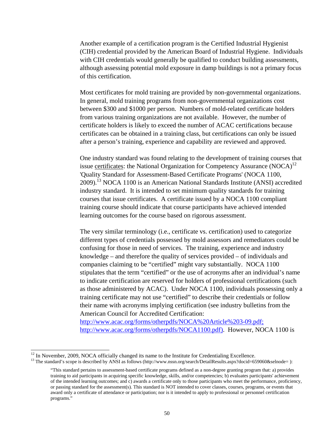Another example of a certification program is the Certified Industrial Hygienist (CIH) credential provided by the American Board of Industrial Hygiene. Individuals with CIH credentials would generally be qualified to conduct building assessments, although assessing potential mold exposure in damp buildings is not a primary focus of this certification.

Most certificates for mold training are provided by non-governmental organizations. In general, mold training programs from non-governmental organizations cost between \$300 and \$1000 per person. Numbers of mold-related certificate holders from various training organizations are not available. However, the number of certificate holders is likely to exceed the number of ACAC certifications because certificates can be obtained in a training class, but certifications can only be issued after a person's training, experience and capability are reviewed and approved.

One industry standard was found relating to the development of training courses that issue certificates: the National Organization for Competency Assurance  $(NOCA)^{12}$ 'Quality Standard for Assessment-Based Certificate Programs' (NOCA 1100, 2009).<sup>13</sup> NOCA 1100 is an American National Standards Institute (ANSI) accredited industry standard. It is intended to set minimum quality standards for training courses that issue certificates. A certificate issued by a NOCA 1100 compliant training course should indicate that course participants have achieved intended learning outcomes for the course based on rigorous assessment.

The very similar terminology (i.e., certificate vs. certification) used to categorize different types of credentials possessed by mold assessors and remediators could be confusing for those in need of services. The training, experience and industry knowledge – and therefore the quality of services provided – of individuals and companies claiming to be "certified" might vary substantially. NOCA 1100 stipulates that the term "certified" or the use of acronyms after an individual's name to indicate certification are reserved for holders of professional certifications (such as those administered by ACAC). Under NOCA 1100, individuals possessing only a training certificate may not use "certified" to describe their credentials or follow their name with acronyms implying certification (see industry bulletins from the American Council for Accredited Certification:

http://www.acac.org/forms/otherpdfs/NOCA%20Article%203-09.pdf; http://www.acac.org/forms/otherpdfs/NOCA1100.pdf). However, NOCA 1100 is

 $\overline{\phantom{a}}$ 

<sup>&</sup>lt;sup>12</sup> In November, 2009, NOCA officially changed its name to the Institute for Credentialing Excellence.

<sup>&</sup>lt;sup>13</sup> The standard's scope is described by ANSI as follows (http://www.nssn.org/search/DetailResults.aspx?docid=659060&selnode= ):

<sup>&</sup>quot;This standard pertains to assessment-based certificate programs defined as a non-degree granting program that: a) provides training to aid participants in acquiring specific knowledge, skills, and/or competencies; b) evaluates participants' achievement of the intended learning outcomes; and c) awards a certificate only to those participants who meet the performance, proficiency, or passing standard for the assessment(s). This standard is NOT intended to cover classes, courses, programs, or events that award only a certificate of attendance or participation; nor is it intended to apply to professional or personnel certification programs."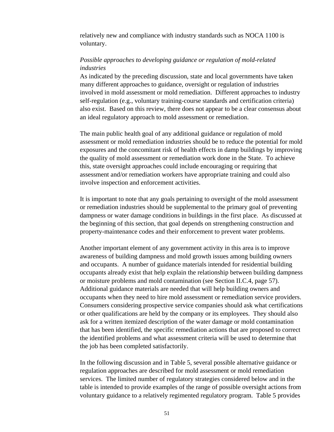relatively new and compliance with industry standards such as NOCA 1100 is voluntary.

## *Possible approaches to developing guidance or regulation of mold-related industries*

As indicated by the preceding discussion, state and local governments have taken many different approaches to guidance, oversight or regulation of industries involved in mold assessment or mold remediation. Different approaches to industry self-regulation (e.g., voluntary training-course standards and certification criteria) also exist. Based on this review, there does not appear to be a clear consensus about an ideal regulatory approach to mold assessment or remediation.

The main public health goal of any additional guidance or regulation of mold assessment or mold remediation industries should be to reduce the potential for mold exposures and the concomitant risk of health effects in damp buildings by improving the quality of mold assessment or remediation work done in the State. To achieve this, state oversight approaches could include encouraging or requiring that assessment and/or remediation workers have appropriate training and could also involve inspection and enforcement activities.

It is important to note that any goals pertaining to oversight of the mold assessment or remediation industries should be supplemental to the primary goal of preventing dampness or water damage conditions in buildings in the first place. As discussed at the beginning of this section, that goal depends on strengthening construction and property-maintenance codes and their enforcement to prevent water problems.

Another important element of any government activity in this area is to improve awareness of building dampness and mold growth issues among building owners and occupants. A number of guidance materials intended for residential building occupants already exist that help explain the relationship between building dampness or moisture problems and mold contamination (see Section II.C.4, page 57). Additional guidance materials are needed that will help building owners and occupants when they need to hire mold assessment or remediation service providers. Consumers considering prospective service companies should ask what certifications or other qualifications are held by the company or its employees. They should also ask for a written itemized description of the water damage or mold contamination that has been identified, the specific remediation actions that are proposed to correct the identified problems and what assessment criteria will be used to determine that the job has been completed satisfactorily.

In the following discussion and in Table 5, several possible alternative guidance or regulation approaches are described for mold assessment or mold remediation services. The limited number of regulatory strategies considered below and in the table is intended to provide examples of the range of possible oversight actions from voluntary guidance to a relatively regimented regulatory program. Table 5 provides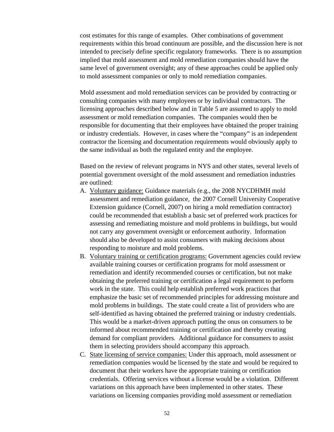cost estimates for this range of examples. Other combinations of government requirements within this broad continuum are possible, and the discussion here is not intended to precisely define specific regulatory frameworks. There is no assumption implied that mold assessment and mold remediation companies should have the same level of government oversight; any of these approaches could be applied only to mold assessment companies or only to mold remediation companies.

Mold assessment and mold remediation services can be provided by contracting or consulting companies with many employees or by individual contractors. The licensing approaches described below and in Table 5 are assumed to apply to mold assessment or mold remediation companies. The companies would then be responsible for documenting that their employees have obtained the proper training or industry credentials. However, in cases where the "company" is an independent contractor the licensing and documentation requirements would obviously apply to the same individual as both the regulated entity and the employee.

Based on the review of relevant programs in NYS and other states, several levels of potential government oversight of the mold assessment and remediation industries are outlined:

- A. Voluntary guidance: Guidance materials (e.g., the 2008 NYCDHMH mold assessment and remediation guidance, the 2007 Cornell University Cooperative Extension guidance (Cornell, 2007) on hiring a mold remediation contractor) could be recommended that establish a basic set of preferred work practices for assessing and remediating moisture and mold problems in buildings, but would not carry any government oversight or enforcement authority. Information should also be developed to assist consumers with making decisions about responding to moisture and mold problems.
- B. Voluntary training or certification programs: Government agencies could review available training courses or certification programs for mold assessment or remediation and identify recommended courses or certification, but not make obtaining the preferred training or certification a legal requirement to perform work in the state. This could help establish preferred work practices that emphasize the basic set of recommended principles for addressing moisture and mold problems in buildings. The state could create a list of providers who are self-identified as having obtained the preferred training or industry credentials. This would be a market-driven approach putting the onus on consumers to be informed about recommended training or certification and thereby creating demand for compliant providers. Additional guidance for consumers to assist them in selecting providers should accompany this approach.
- C. State licensing of service companies: Under this approach, mold assessment or remediation companies would be licensed by the state and would be required to document that their workers have the appropriate training or certification credentials. Offering services without a license would be a violation. Different variations on this approach have been implemented in other states. These variations on licensing companies providing mold assessment or remediation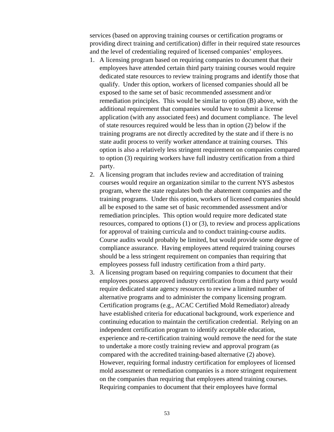services (based on approving training courses or certification programs or providing direct training and certification) differ in their required state resources and the level of credentialing required of licensed companies' employees.

- 1. A licensing program based on requiring companies to document that their employees have attended certain third party training courses would require dedicated state resources to review training programs and identify those that qualify. Under this option, workers of licensed companies should all be exposed to the same set of basic recommended assessment and/or remediation principles. This would be similar to option (B) above, with the additional requirement that companies would have to submit a license application (with any associated fees) and document compliance. The level of state resources required would be less than in option (2) below if the training programs are not directly accredited by the state and if there is no state audit process to verify worker attendance at training courses. This option is also a relatively less stringent requirement on companies compared to option (3) requiring workers have full industry certification from a third party.
- 2. A licensing program that includes review and accreditation of training courses would require an organization similar to the current NYS asbestos program, where the state regulates both the abatement companies and the training programs. Under this option, workers of licensed companies should all be exposed to the same set of basic recommended assessment and/or remediation principles. This option would require more dedicated state resources, compared to options (1) or (3), to review and process applications for approval of training curricula and to conduct training-course audits. Course audits would probably be limited, but would provide some degree of compliance assurance. Having employees attend required training courses should be a less stringent requirement on companies than requiring that employees possess full industry certification from a third party.
- 3. A licensing program based on requiring companies to document that their employees possess approved industry certification from a third party would require dedicated state agency resources to review a limited number of alternative programs and to administer the company licensing program. Certification programs (e.g., ACAC Certified Mold Remediator) already have established criteria for educational background, work experience and continuing education to maintain the certification credential. Relying on an independent certification program to identify acceptable education, experience and re-certification training would remove the need for the state to undertake a more costly training review and approval program (as compared with the accredited training-based alternative (2) above). However, requiring formal industry certification for employees of licensed mold assessment or remediation companies is a more stringent requirement on the companies than requiring that employees attend training courses. Requiring companies to document that their employees have formal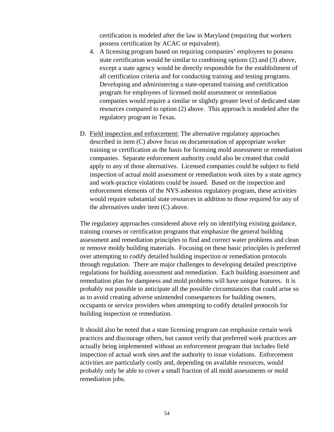certification is modeled after the law in Maryland (requiring that workers possess certification by ACAC or equivalent).

- 4. A licensing program based on requiring companies' employees to possess state certification would be similar to combining options (2) and (3) above, except a state agency would be directly responsible for the establishment of all certification criteria and for conducting training and testing programs. Developing and administering a state-operated training and certification program for employees of licensed mold assessment or remediation companies would require a similar or slightly greater level of dedicated state resources compared to option (2) above. This approach is modeled after the regulatory program in Texas.
- D. Field inspection and enforcement: The alternative regulatory approaches described in item (C) above focus on documentation of appropriate worker training or certification as the basis for licensing mold assessment or remediation companies. Separate enforcement authority could also be created that could apply to any of those alternatives. Licensed companies could be subject to field inspection of actual mold assessment or remediation work sites by a state agency and work-practice violations could be issued. Based on the inspection and enforcement elements of the NYS asbestos regulatory program, these activities would require substantial state resources in addition to those required for any of the alternatives under item (C) above.

The regulatory approaches considered above rely on identifying existing guidance, training courses or certification programs that emphasize the general building assessment and remediation principles to find and correct water problems and clean or remove moldy building materials. Focusing on these basic principles is preferred over attempting to codify detailed building inspection or remediation protocols through regulation. There are major challenges to developing detailed prescriptive regulations for building assessment and remediation. Each building assessment and remediation plan for dampness and mold problems will have unique features. It is probably not possible to anticipate all the possible circumstances that could arise so as to avoid creating adverse unintended consequences for building owners, occupants or service providers when attempting to codify detailed protocols for building inspection or remediation.

It should also be noted that a state licensing program can emphasize certain work practices and discourage others, but cannot verify that preferred work practices are actually being implemented without an enforcement program that includes field inspection of actual work sites and the authority to issue violations. Enforcement activities are particularly costly and, depending on available resources, would probably only be able to cover a small fraction of all mold assessments or mold remediation jobs.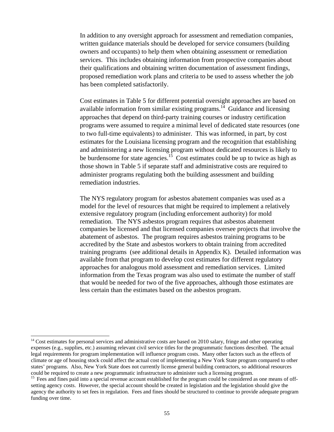In addition to any oversight approach for assessment and remediation companies, written guidance materials should be developed for service consumers (building owners and occupants) to help them when obtaining assessment or remediation services. This includes obtaining information from prospective companies about their qualifications and obtaining written documentation of assessment findings, proposed remediation work plans and criteria to be used to assess whether the job has been completed satisfactorily.

Cost estimates in Table 5 for different potential oversight approaches are based on available information from similar existing programs.<sup>14</sup> Guidance and licensing approaches that depend on third-party training courses or industry certification programs were assumed to require a minimal level of dedicated state resources (one to two full-time equivalents) to administer. This was informed, in part, by cost estimates for the Louisiana licensing program and the recognition that establishing and administering a new licensing program without dedicated resources is likely to be burdensome for state agencies.<sup>15</sup> Cost estimates could be up to twice as high as those shown in Table 5 if separate staff and administrative costs are required to administer programs regulating both the building assessment and building remediation industries.

The NYS regulatory program for asbestos abatement companies was used as a model for the level of resources that might be required to implement a relatively extensive regulatory program (including enforcement authority) for mold remediation. The NYS asbestos program requires that asbestos abatement companies be licensed and that licensed companies oversee projects that involve the abatement of asbestos. The program requires asbestos training programs to be accredited by the State and asbestos workers to obtain training from accredited training programs (see additional details in Appendix K). Detailed information was available from that program to develop cost estimates for different regulatory approaches for analogous mold assessment and remediation services. Limited information from the Texas program was also used to estimate the number of staff that would be needed for two of the five approaches, although those estimates are less certain than the estimates based on the asbestos program.

 $\overline{\phantom{a}}$ 

 $14$  Cost estimates for personal services and administrative costs are based on 2010 salary, fringe and other operating expenses (e.g., supplies, etc.) assuming relevant civil service titles for the programmatic functions described. The actual legal requirements for program implementation will influence program costs. Many other factors such as the effects of climate or age of housing stock could affect the actual cost of implementing a New York State program compared to other states' programs. Also, New York State does not currently license general building contractors, so additional resources could be required to create a new programmatic infrastructure to administer such a licensing program.<br><sup>15</sup> Fees and fines paid into a special revenue account established for the program could be considered as one means of

 agency the authority to set fees in regulation. Fees and fines should be structured to continue to provide adequate program setting agency costs. However, the special account should be created in legislation and the legislation should give the funding over time.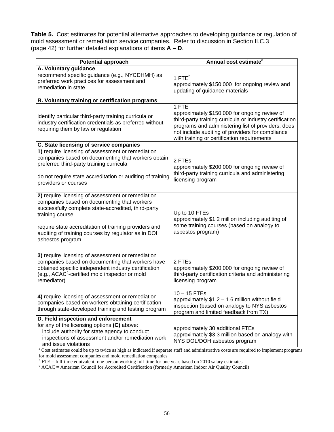**Table 5.** Cost estimates for potential alternative approaches to developing guidance or regulation of mold assessment or remediation service companies. Refer to discussion in Section II.C.3 (page 42) for further detailed explanations of items **A – D**.

| <b>Potential approach</b>                                                                                                                                                                                                                                                                                      | Annual cost estimate <sup>a</sup>                                                                                                                                                                                                                                           |  |  |  |
|----------------------------------------------------------------------------------------------------------------------------------------------------------------------------------------------------------------------------------------------------------------------------------------------------------------|-----------------------------------------------------------------------------------------------------------------------------------------------------------------------------------------------------------------------------------------------------------------------------|--|--|--|
| A. Voluntary guidance                                                                                                                                                                                                                                                                                          |                                                                                                                                                                                                                                                                             |  |  |  |
| recommend specific guidance (e.g., NYCDHMH) as<br>preferred work practices for assessment and<br>remediation in state                                                                                                                                                                                          | 1 $FTE^b$<br>approximately \$150,000 for ongoing review and<br>updating of guidance materials                                                                                                                                                                               |  |  |  |
| B. Voluntary training or certification programs                                                                                                                                                                                                                                                                |                                                                                                                                                                                                                                                                             |  |  |  |
| identify particular third-party training curricula or<br>industry certification credentials as preferred without<br>requiring them by law or regulation                                                                                                                                                        | 1 FTE<br>approximately \$150,000 for ongoing review of<br>third-party training curricula or industry certification<br>programs and administering list of providers; does<br>not include auditing of providers for compliance<br>with training or certification requirements |  |  |  |
| C. State licensing of service companies                                                                                                                                                                                                                                                                        |                                                                                                                                                                                                                                                                             |  |  |  |
| 1) require licensing of assessment or remediation<br>companies based on documenting that workers obtain<br>preferred third-party training curricula                                                                                                                                                            | 2 FTEs<br>approximately \$200,000 for ongoing review of<br>third-party training curricula and administering                                                                                                                                                                 |  |  |  |
| do not require state accreditation or auditing of training<br>providers or courses                                                                                                                                                                                                                             | licensing program                                                                                                                                                                                                                                                           |  |  |  |
| 2) require licensing of assessment or remediation<br>companies based on documenting that workers<br>successfully complete state-accredited, third-party<br>training course<br>require state accreditation of training providers and<br>auditing of training courses by regulator as in DOH<br>asbestos program | Up to 10 FTEs<br>approximately \$1.2 million including auditing of<br>some training courses (based on analogy to<br>asbestos program)                                                                                                                                       |  |  |  |
| 3) require licensing of assessment or remediation<br>companies based on documenting that workers have<br>obtained specific independent industry certification<br>(e.g., ACAC <sup>c</sup> -certified mold inspector or mold<br>remediator)                                                                     | 2 FTEs<br>approximately \$200,000 for ongoing review of<br>third-party certification criteria and administering<br>licensing program                                                                                                                                        |  |  |  |
| 4) require licensing of assessment or remediation<br>companies based on workers obtaining certification<br>through state-developed training and testing program                                                                                                                                                | $10 - 15$ FTEs<br>approximately $$1.2 - 1.6$ million without field<br>inspection (based on analogy to NYS asbestos<br>program and limited feedback from TX)                                                                                                                 |  |  |  |
| D. Field inspection and enforcement                                                                                                                                                                                                                                                                            |                                                                                                                                                                                                                                                                             |  |  |  |
| for any of the licensing options (C) above:<br>include authority for state agency to conduct<br>inspections of assessment and/or remediation work<br>and issue violations                                                                                                                                      | approximately 30 additional FTEs<br>approximately \$3.3 million based on analogy with<br>NYS DOL/DOH asbestos program                                                                                                                                                       |  |  |  |

<sup>a</sup> Cost estimates could be up to twice as high as indicated if separate staff and administrative costs are required to implement programs for mold assessment companies and mold remediation companies

 $b$  FTE = full-time equivalent; one person working full-time for one year, based on 2010 salary estimates can consider  $c$  according  $C$  or  $c$  is  $C$  and  $c$  is  $C$  and  $c$  is  $C$  and  $c$  is  $C$  and  $c$  is  $C$  and  $c$  is

ACAC = American Council for Accredited Certification (formerly American Indoor Air Quality Council)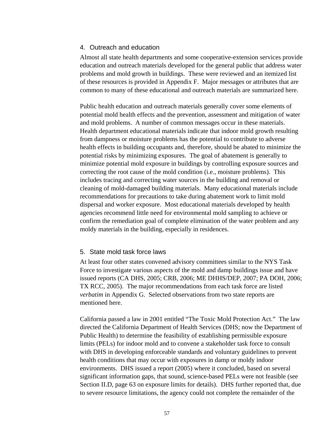#### 4. Outreach and education

Almost all state health departments and some cooperative-extension services provide education and outreach materials developed for the general public that address water problems and mold growth in buildings. These were reviewed and an itemized list of these resources is provided in Appendix F. Major messages or attributes that are common to many of these educational and outreach materials are summarized here.

Public health education and outreach materials generally cover some elements of potential mold health effects and the prevention, assessment and mitigation of water and mold problems. A number of common messages occur in these materials. Health department educational materials indicate that indoor mold growth resulting from dampness or moisture problems has the potential to contribute to adverse health effects in building occupants and, therefore, should be abated to minimize the potential risks by minimizing exposures. The goal of abatement is generally to minimize potential mold exposure in buildings by controlling exposure sources and correcting the root cause of the mold condition (i.e., moisture problems). This includes tracing and correcting water sources in the building and removal or cleaning of mold-damaged building materials. Many educational materials include recommendations for precautions to take during abatement work to limit mold dispersal and worker exposure. Most educational materials developed by health agencies recommend little need for environmental mold sampling to achieve or confirm the remediation goal of complete elimination of the water problem and any moldy materials in the building, especially in residences.

#### 5. State mold task force laws

At least four other states convened advisory committees similar to the NYS Task Force to investigate various aspects of the mold and damp buildings issue and have issued reports (CA DHS, 2005; CRB, 2006; ME DHHS/DEP, 2007; PA DOH, 2006; TX RCC, 2005). The major recommendations from each task force are listed *verbatim* in Appendix G. Selected observations from two state reports are mentioned here.

California passed a law in 2001 entitled "The Toxic Mold Protection Act." The law directed the California Department of Health Services (DHS; now the Department of Public Health) to determine the feasibility of establishing permissible exposure limits (PELs) for indoor mold and to convene a stakeholder task force to consult with DHS in developing enforceable standards and voluntary guidelines to prevent health conditions that may occur with exposures in damp or moldy indoor environments. DHS issued a report (2005) where it concluded, based on several significant information gaps, that sound, science-based PELs were not feasible (see Section II.D, page 63 on exposure limits for details). DHS further reported that, due to severe resource limitations, the agency could not complete the remainder of the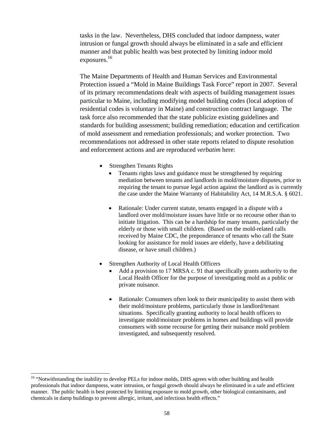tasks in the law. Nevertheless, DHS concluded that indoor dampness, water intrusion or fungal growth should always be eliminated in a safe and efficient manner and that public health was best protected by limiting indoor mold  $exposures.<sup>16</sup>$ 

The Maine Departments of Health and Human Services and Environmental Protection issued a "Mold in Maine Buildings Task Force" report in 2007. Several of its primary recommendations dealt with aspects of building management issues particular to Maine, including modifying model building codes (local adoption of residential codes is voluntary in Maine) and construction contract language. The task force also recommended that the state publicize existing guidelines and standards for building assessment; building remediation; education and certification of mold assessment and remediation professionals; and worker protection. Two recommendations not addressed in other state reports related to dispute resolution and enforcement actions and are reproduced *verbatim* here:

- Strengthen Tenants Rights
	- Tenants rights laws and guidance must be strengthened by requiring mediation between tenants and landlords in mold/moisture disputes, prior to requiring the tenant to pursue legal action against the landlord as is currently the case under the Maine Warranty of Habitability Act, 14 M.R.S.A. § 6021.
	- Rationale: Under current statute, tenants engaged in a dispute with a landlord over mold/moisture issues have little or no recourse other than to initiate litigation. This can be a hardship for many tenants, particularly the elderly or those with small children. (Based on the mold-related calls received by Maine CDC, the preponderance of tenants who call the State looking for assistance for mold issues are elderly, have a debilitating disease, or have small children.)
- Strengthen Authority of Local Health Officers
	- Add a provision to 17 MRSA c. 91 that specifically grants authority to the Local Health Officer for the purpose of investigating mold as a public or private nuisance.
	- Rationale: Consumers often look to their municipality to assist them with their mold/moisture problems, particularly those in landlord/tenant situations. Specifically granting authority to local health officers to investigate mold/moisture problems in homes and buildings will provide consumers with some recourse for getting their nuisance mold problem investigated, and subsequently resolved.

 $\overline{\phantom{a}}$ 

 professionals that indoor dampness, water intrusion, or fungal growth should always be eliminated in a safe and efficient <sup>16</sup> "Notwithstanding the inability to develop PELs for indoor molds, DHS agrees with other building and health manner. The public health is best protected by limiting exposure to mold growth, other biological contaminants, and chemicals in damp buildings to prevent allergic, irritant, and infectious health effects."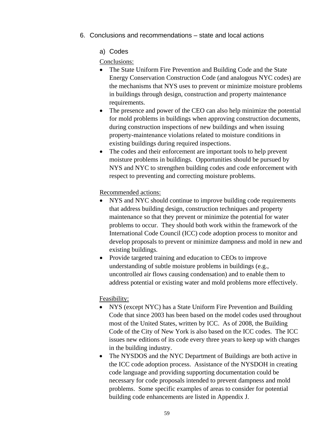6. Conclusions and recommendations – state and local actions

## a) Codes

Conclusions:

- The State Uniform Fire Prevention and Building Code and the State Energy Conservation Construction Code (and analogous NYC codes) are the mechanisms that NYS uses to prevent or minimize moisture problems in buildings through design, construction and property maintenance requirements.
- The presence and power of the CEO can also help minimize the potential for mold problems in buildings when approving construction documents, during construction inspections of new buildings and when issuing property-maintenance violations related to moisture conditions in existing buildings during required inspections.
- The codes and their enforcement are important tools to help prevent moisture problems in buildings. Opportunities should be pursued by NYS and NYC to strengthen building codes and code enforcement with respect to preventing and correcting moisture problems.

Recommended actions:

- NYS and NYC should continue to improve building code requirements that address building design, construction techniques and property maintenance so that they prevent or minimize the potential for water problems to occur. They should both work within the framework of the International Code Council (ICC) code adoption process to monitor and develop proposals to prevent or minimize dampness and mold in new and existing buildings.
- Provide targeted training and education to CEOs to improve understanding of subtle moisture problems in buildings (e.g., uncontrolled air flows causing condensation) and to enable them to address potential or existing water and mold problems more effectively.

# Feasibility:

- NYS (except NYC) has a State Uniform Fire Prevention and Building Code that since 2003 has been based on the model codes used throughout most of the United States, written by ICC. As of 2008, the Building Code of the City of New York is also based on the ICC codes. The ICC issues new editions of its code every three years to keep up with changes in the building industry.
- The NYSDOS and the NYC Department of Buildings are both active in the ICC code adoption process. Assistance of the NYSDOH in creating code language and providing supporting documentation could be necessary for code proposals intended to prevent dampness and mold problems. Some specific examples of areas to consider for potential building code enhancements are listed in Appendix J.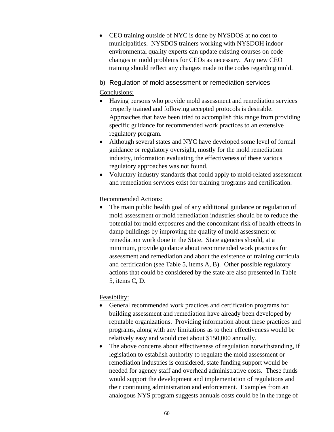- CEO training outside of NYC is done by NYSDOS at no cost to municipalities. NYSDOS trainers working with NYSDOH indoor environmental quality experts can update existing courses on code changes or mold problems for CEOs as necessary. Any new CEO training should reflect any changes made to the codes regarding mold.
- b) Regulation of mold assessment or remediation services

## Conclusions:

- Having persons who provide mold assessment and remediation services properly trained and following accepted protocols is desirable. Approaches that have been tried to accomplish this range from providing specific guidance for recommended work practices to an extensive regulatory program.
- Although several states and NYC have developed some level of formal guidance or regulatory oversight, mostly for the mold remediation industry, information evaluating the effectiveness of these various regulatory approaches was not found.
- Voluntary industry standards that could apply to mold-related assessment and remediation services exist for training programs and certification.

## Recommended Actions:

• The main public health goal of any additional guidance or regulation of mold assessment or mold remediation industries should be to reduce the potential for mold exposures and the concomitant risk of health effects in damp buildings by improving the quality of mold assessment or remediation work done in the State. State agencies should, at a minimum, provide guidance about recommended work practices for assessment and remediation and about the existence of training curricula and certification (see Table 5, items A, B). Other possible regulatory actions that could be considered by the state are also presented in Table 5, items C, D.

## Feasibility:

- General recommended work practices and certification programs for building assessment and remediation have already been developed by reputable organizations. Providing information about these practices and programs, along with any limitations as to their effectiveness would be relatively easy and would cost about \$150,000 annually.
- The above concerns about effectiveness of regulation notwithstanding, if legislation to establish authority to regulate the mold assessment or remediation industries is considered, state funding support would be needed for agency staff and overhead administrative costs. These funds would support the development and implementation of regulations and their continuing administration and enforcement. Examples from an analogous NYS program suggests annuals costs could be in the range of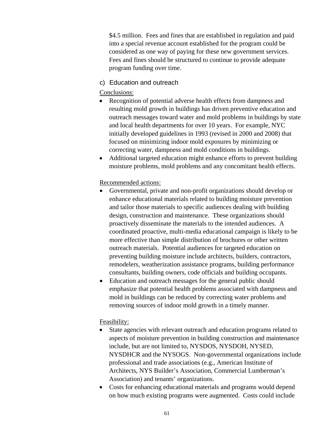\$4.5 million. Fees and fines that are established in regulation and paid into a special revenue account established for the program could be considered as one way of paying for these new government services. Fees and fines should be structured to continue to provide adequate program funding over time.

c) Education and outreach

## Conclusions:

- Recognition of potential adverse health effects from dampness and resulting mold growth in buildings has driven preventive education and outreach messages toward water and mold problems in buildings by state and local health departments for over 10 years. For example, NYC initially developed guidelines in 1993 (revised in 2000 and 2008) that focused on minimizing indoor mold exposures by minimizing or correcting water, dampness and mold conditions in buildings.
- Additional targeted education might enhance efforts to prevent building moisture problems, mold problems and any concomitant health effects.

## Recommended actions:

- • Governmental, private and non-profit organizations should develop or enhance educational materials related to building moisture prevention and tailor those materials to specific audiences dealing with building design, construction and maintenance. These organizations should proactively disseminate the materials to the intended audiences. A coordinated proactive, multi-media educational campaign is likely to be more effective than simple distribution of brochures or other written outreach materials. Potential audiences for targeted education on preventing building moisture include architects, builders, contractors, remodelers, weatherization assistance programs, building performance consultants, building owners, code officials and building occupants.
- Education and outreach messages for the general public should emphasize that potential health problems associated with dampness and mold in buildings can be reduced by correcting water problems and removing sources of indoor mold growth in a timely manner.

#### Feasibility:

- State agencies with relevant outreach and education programs related to aspects of moisture prevention in building construction and maintenance include, but are not limited to, NYSDOS, NYSDOH, NYSED, NYSDHCR and the NYSOGS. Non-governmental organizations include professional and trade associations (e.g., American Institute of Architects, NYS Builder's Association, Commercial Lumberman's Association) and tenants' organizations.
- Costs for enhancing educational materials and programs would depend on how much existing programs were augmented. Costs could include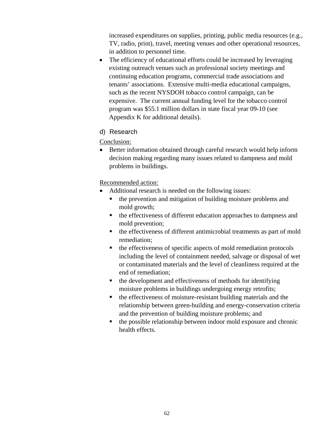increased expenditures on supplies, printing, public media resources (e.g., TV, radio, print), travel, meeting venues and other operational resources, in addition to personnel time.

- The efficiency of educational efforts could be increased by leveraging existing outreach venues such as professional society meetings and continuing education programs, commercial trade associations and tenants' associations. Extensive multi-media educational campaigns, such as the recent NYSDOH tobacco control campaign, can be expensive. The current annual funding level for the tobacco control program was \$55.1 million dollars in state fiscal year 09-10 (see Appendix K for additional details).
- d) Research

# Conclusion:

• Better information obtained through careful research would help inform decision making regarding many issues related to dampness and mold problems in buildings.

## Recommended action:

- Additional research is needed on the following issues:
	- the prevention and mitigation of building moisture problems and mold growth;
	- the effectiveness of different education approaches to dampness and mold prevention;
	- the effectiveness of different antimicrobial treatments as part of mold remediation;
	- the effectiveness of specific aspects of mold remediation protocols including the level of containment needed, salvage or disposal of wet or contaminated materials and the level of cleanliness required at the end of remediation;
	- the development and effectiveness of methods for identifying moisture problems in buildings undergoing energy retrofits;
	- $\blacksquare$  the effectiveness of moisture-resistant building materials and the relationship between green-building and energy-conservation criteria and the prevention of building moisture problems; and
	- $\blacksquare$  the possible relationship between indoor mold exposure and chronic health effects.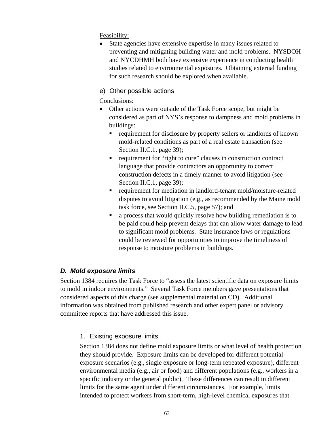## Feasibility:

• State agencies have extensive expertise in many issues related to preventing and mitigating building water and mold problems. NYSDOH and NYCDHMH both have extensive experience in conducting health studies related to environmental exposures. Obtaining external funding for such research should be explored when available.

## e) Other possible actions

### Conclusions:

- Other actions were outside of the Task Force scope, but might be considered as part of NYS's response to dampness and mold problems in buildings:
	- **•** requirement for disclosure by property sellers or landlords of known mold-related conditions as part of a real estate transaction (see Section II.C.1, page 39);
	- requirement for "right to cure" clauses in construction contract language that provide contractors an opportunity to correct construction defects in a timely manner to avoid litigation (see Section II.C.1, page 39);
	- requirement for mediation in landlord-tenant mold/moisture-related disputes to avoid litigation (e.g., as recommended by the Maine mold task force, see Section II.C.5, page 57); and
	- a process that would quickly resolve how building remediation is to be paid could help prevent delays that can allow water damage to lead to significant mold problems. State insurance laws or regulations could be reviewed for opportunities to improve the timeliness of response to moisture problems in buildings.

# *D. Mold exposure limits*

Section 1384 requires the Task Force to "assess the latest scientific data on exposure limits to mold in indoor environments." Several Task Force members gave presentations that considered aspects of this charge (see supplemental material on CD). Additional information was obtained from published research and other expert panel or advisory committee reports that have addressed this issue.

## 1. Existing exposure limits

Section 1384 does not define mold exposure limits or what level of health protection they should provide. Exposure limits can be developed for different potential exposure scenarios (e.g., single exposure or long-term repeated exposure), different environmental media (e.g., air or food) and different populations (e.g., workers in a specific industry or the general public). These differences can result in different limits for the same agent under different circumstances. For example, limits intended to protect workers from short-term, high-level chemical exposures that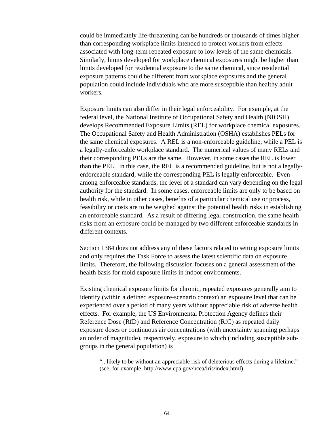could be immediately life-threatening can be hundreds or thousands of times higher than corresponding workplace limits intended to protect workers from effects associated with long-term repeated exposure to low levels of the same chemicals. Similarly, limits developed for workplace chemical exposures might be higher than limits developed for residential exposure to the same chemical, since residential exposure patterns could be different from workplace exposures and the general population could include individuals who are more susceptible than healthy adult workers.

Exposure limits can also differ in their legal enforceability. For example, at the federal level, the National Institute of Occupational Safety and Health (NIOSH) develops Recommended Exposure Limits (REL) for workplace chemical exposures. The Occupational Safety and Health Administration (OSHA) establishes PELs for the same chemical exposures. A REL is a non-enforceable guideline, while a PEL is a legally-enforceable workplace standard. The numerical values of many RELs and their corresponding PELs are the same. However, in some cases the REL is lower than the PEL. In this case, the REL is a recommended guideline, but is not a legallyenforceable standard, while the corresponding PEL is legally enforceable. Even among enforceable standards, the level of a standard can vary depending on the legal authority for the standard. In some cases, enforceable limits are only to be based on health risk, while in other cases, benefits of a particular chemical use or process, feasibility or costs are to be weighed against the potential health risks in establishing an enforceable standard. As a result of differing legal construction, the same health risks from an exposure could be managed by two different enforceable standards in different contexts.

Section 1384 does not address any of these factors related to setting exposure limits and only requires the Task Force to assess the latest scientific data on exposure limits. Therefore, the following discussion focuses on a general assessment of the health basis for mold exposure limits in indoor environments.

Existing chemical exposure limits for chronic, repeated exposures generally aim to identify (within a defined exposure-scenario context) an exposure level that can be experienced over a period of many years without appreciable risk of adverse health effects. For example, the US Environmental Protection Agency defines their Reference Dose (RfD) and Reference Concentration (RfC) as repeated daily exposure doses or continuous air concentrations (with uncertainty spanning perhaps an order of magnitude), respectively, exposure to which (including susceptible subgroups in the general population) is

"...likely to be without an appreciable risk of deleterious effects during a lifetime." (see, for example, http://www.epa.gov/ncea/iris/index.html)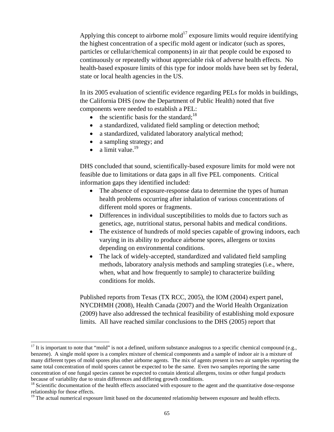Applying this concept to airborne mold<sup>17</sup> exposure limits would require identifying the highest concentration of a specific mold agent or indicator (such as spores, particles or cellular/chemical components) in air that people could be exposed to continuously or repeatedly without appreciable risk of adverse health effects. No health-based exposure limits of this type for indoor molds have been set by federal, state or local health agencies in the US.

In its 2005 evaluation of scientific evidence regarding PELs for molds in buildings, the California DHS (now the Department of Public Health) noted that five components were needed to establish a PEL:

- the scientific basis for the standard; $^{18}$
- a standardized, validated field sampling or detection method;
- a standardized, validated laboratory analytical method;
- a sampling strategy; and
- a limit value.<sup>19</sup>

 $\overline{a}$ 

DHS concluded that sound, scientifically-based exposure limits for mold were not feasible due to limitations or data gaps in all five PEL components. Critical information gaps they identified included:

- The absence of exposure-response data to determine the types of human health problems occurring after inhalation of various concentrations of different mold spores or fragments.
- Differences in individual susceptibilities to molds due to factors such as genetics, age, nutritional status, personal habits and medical conditions.
- The existence of hundreds of mold species capable of growing indoors, each varying in its ability to produce airborne spores, allergens or toxins depending on environmental conditions.
- The lack of widely-accepted, standardized and validated field sampling methods, laboratory analysis methods and sampling strategies (i.e., where, when, what and how frequently to sample) to characterize building conditions for molds.

Published reports from Texas (TX RCC, 2005), the IOM (2004) expert panel, NYCDHMH (2008), Health Canada (2007) and the World Health Organization (2009) have also addressed the technical feasibility of establishing mold exposure limits. All have reached similar conclusions to the DHS (2005) report that

<sup>&</sup>lt;sup>17</sup> It is important to note that "mold" is not a defined, uniform substance analogous to a specific chemical compound (e.g., benzene). A single mold spore is a complex mixture of chemical components and a sample of indoor air is a mixture of many different types of mold spores plus other airborne agents. The mix of agents present in two air samples reporting the same total concentration of mold spores cannot be expected to be the same. Even two samples reporting the same concentration of one fungal species cannot be expected to contain identical allergens, toxins or other fungal products because of variability due to strain differences and differing growth conditions.<br><sup>18</sup> Scientific documentation of the health effects associated with exposure to the agent and the quantitative dose-response

relationship for those effects.

 $19$  The actual numerical exposure limit based on the documented relationship between exposure and health effects.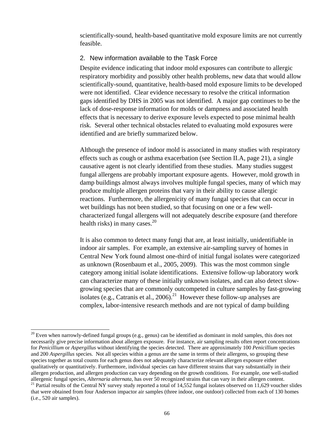scientifically-sound, health-based quantitative mold exposure limits are not currently feasible.

#### 2. New information available to the Task Force

Despite evidence indicating that indoor mold exposures can contribute to allergic respiratory morbidity and possibly other health problems, new data that would allow scientifically-sound, quantitative, health-based mold exposure limits to be developed were not identified. Clear evidence necessary to resolve the critical information gaps identified by DHS in 2005 was not identified. A major gap continues to be the lack of dose-response information for molds or dampness and associated health effects that is necessary to derive exposure levels expected to pose minimal health risk. Several other technical obstacles related to evaluating mold exposures were identified and are briefly summarized below.

Although the presence of indoor mold is associated in many studies with respiratory effects such as cough or asthma exacerbation (see Section II.A, page 21), a single causative agent is not clearly identified from these studies. Many studies suggest fungal allergens are probably important exposure agents. However, mold growth in damp buildings almost always involves multiple fungal species, many of which may produce multiple allergen proteins that vary in their ability to cause allergic reactions. Furthermore, the allergenicity of many fungal species that can occur in wet buildings has not been studied, so that focusing on one or a few wellcharacterized fungal allergens will not adequately describe exposure (and therefore health risks) in many cases. $^{20}$ 

It is also common to detect many fungi that are, at least initially, unidentifiable in indoor air samples. For example, an extensive air-sampling survey of homes in Central New York found almost one-third of initial fungal isolates were categorized as unknown (Rosenbaum et al., 2005, 2009). This was the most common single category among initial isolate identifications. Extensive follow-up laboratory work can characterize many of these initially unknown isolates, and can also detect slowgrowing species that are commonly outcompeted in culture samples by fast-growing isolates (e.g., Catranis et al., 2006).<sup>21</sup> However these follow-up analyses are complex, labor-intensive research methods and are not typical of damp building

 $\overline{\phantom{a}}$ 

 $20$  Even when narrowly-defined fungal groups (e.g., genus) can be identified as dominant in mold samples, this does not necessarily give precise information about allergen exposure. For instance, air sampling results often report concentrations for *Penicillium* or *Aspergillus* without identifying the species detected. There are approximately 100 *Penicillium* species and 200 *Aspergillus* species. Not all species within a genus are the same in terms of their allergens, so grouping these species together as total counts for each genus does not adequately characterize relevant allergen exposure either qualitatively or quantitatively. Furthermore, individual species can have different strains that vary substantially in their allergen production, and allergen production can vary depending on the growth conditions. For example, one well-studied

allergenic fungal species, *Alternaria alternata*, has over 50 recognized strains that can vary in their allergen content.<br><sup>21</sup> Partial results of the Central NY survey study reported a total of 14,552 fungal isolates obse that were obtained from four Anderson impactor air samples (three indoor, one outdoor) collected from each of 130 homes (i.e., 520 air samples).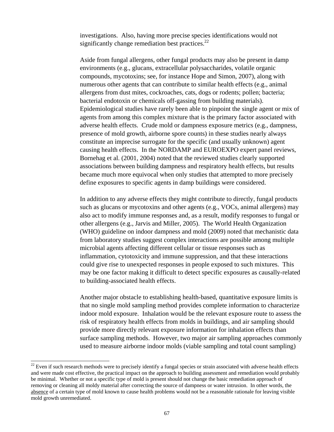investigations. Also, having more precise species identifications would not significantly change remediation best practices. $^{22}$ 

Aside from fungal allergens, other fungal products may also be present in damp environments (e.g., glucans, extracellular polysaccharides, volatile organic compounds, mycotoxins; see, for instance Hope and Simon, 2007), along with numerous other agents that can contribute to similar health effects (e.g., animal allergens from dust mites, cockroaches, cats, dogs or rodents; pollen; bacteria; bacterial endotoxin or chemicals off-gassing from building materials). Epidemiological studies have rarely been able to pinpoint the single agent or mix of agents from among this complex mixture that is the primary factor associated with adverse health effects. Crude mold or dampness exposure metrics (e.g., dampness, presence of mold growth, airborne spore counts) in these studies nearly always constitute an imprecise surrogate for the specific (and usually unknown) agent causing health effects. In the NORDAMP and EUROEXPO expert panel reviews, Bornehag et al. (2001, 2004) noted that the reviewed studies clearly supported associations between building dampness and respiratory health effects, but results became much more equivocal when only studies that attempted to more precisely define exposures to specific agents in damp buildings were considered.

In addition to any adverse effects they might contribute to directly, fungal products such as glucans or mycotoxins and other agents (e.g., VOCs, animal allergens) may also act to modify immune responses and, as a result, modify responses to fungal or other allergens (e.g., Jarvis and Miller, 2005). The World Health Organization (WHO) guideline on indoor dampness and mold (2009) noted that mechanistic data from laboratory studies suggest complex interactions are possible among multiple microbial agents affecting different cellular or tissue responses such as inflammation, cytotoxicity and immune suppression, and that these interactions could give rise to unexpected responses in people exposed to such mixtures. This may be one factor making it difficult to detect specific exposures as causally-related to building-associated health effects.

Another major obstacle to establishing health-based, quantitative exposure limits is that no single mold sampling method provides complete information to characterize indoor mold exposure. Inhalation would be the relevant exposure route to assess the risk of respiratory health effects from molds in buildings, and air sampling should provide more directly relevant exposure information for inhalation effects than surface sampling methods. However, two major air sampling approaches commonly used to measure airborne indoor molds (viable sampling and total count sampling)

 $\overline{a}$ 

 be minimal. Whether or not a specific type of mold is present should not change the basic remediation approach of removing or cleaning all moldy material after correcting the source of dampness or water intrusion. In other words, the  $22$  Even if such research methods were to precisely identify a fungal species or strain associated with adverse health effects and were made cost effective, the practical impact on the approach to building assessment and remediation would probably absence of a certain type of mold known to cause health problems would not be a reasonable rationale for leaving visible mold growth unremediated.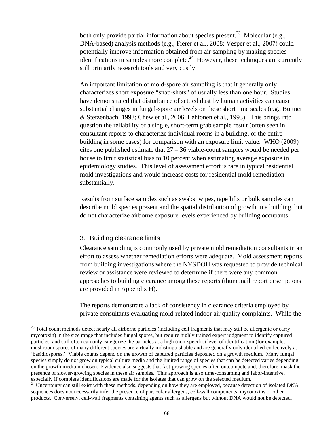both only provide partial information about species present.<sup>23</sup> Molecular (e.g., DNA-based) analysis methods (e.g., Fierer et al., 2008; Vesper et al., 2007) could potentially improve information obtained from air sampling by making species identifications in samples more complete. $^{24}$  However, these techniques are currently still primarily research tools and very costly.

An important limitation of mold-spore air sampling is that it generally only characterizes short exposure "snap-shots" of usually less than one hour. Studies have demonstrated that disturbance of settled dust by human activities can cause substantial changes in fungal-spore air levels on these short time scales (e.g., Buttner & Stetzenbach, 1993; Chew et al., 2006; Lehtonen et al., 1993). This brings into question the reliability of a single, short-term grab sample result (often seen in consultant reports to characterize individual rooms in a building, or the entire building in some cases) for comparison with an exposure limit value. WHO (2009) cites one published estimate that 27 – 36 viable-count samples would be needed per house to limit statistical bias to 10 percent when estimating average exposure in epidemiology studies. This level of assessment effort is rare in typical residential mold investigations and would increase costs for residential mold remediation substantially.

Results from surface samples such as swabs, wipes, tape lifts or bulk samples can describe mold species present and the spatial distribution of growth in a building, but do not characterize airborne exposure levels experienced by building occupants.

#### 3. Building clearance limits

 $\overline{a}$ 

Clearance sampling is commonly used by private mold remediation consultants in an effort to assess whether remediation efforts were adequate. Mold assessment reports from building investigations where the NYSDOH was requested to provide technical review or assistance were reviewed to determine if there were any common approaches to building clearance among these reports (thumbnail report descriptions are provided in Appendix H).

The reports demonstrate a lack of consistency in clearance criteria employed by private consultants evaluating mold-related indoor air quality complaints. While the

 'basidiospores.' Viable counts depend on the growth of captured particles deposited on a growth medium. Many fungal <sup>23</sup> Total count methods detect nearly all airborne particles (including cell fragments that may still be allergenic or carry mycotoxin) in the size range that includes fungal spores, but require highly trained expert judgment to identify captured particles, and still often can only categorize the particles at a high (non-specific) level of identification (for example, mushroom spores of many different species are virtually indistinguishable and are generally only identified collectively as species simply do not grow on typical culture media and the limited range of species that can be detected varies depending on the growth medium chosen. Evidence also suggests that fast-growing species often outcompete and, therefore, mask the presence of slower-growing species in these air samples. This approach is also time-consuming and labor-intensive, especially if complete identifications are made for the isolates that can grow on the selected medium.<br><sup>24</sup> Uncertainty can still exist with these methods, depending on how they are employed, because detection of isolated

 products. Conversely, cell-wall fragments containing agents such as allergens but without DNA would not be detected. sequences does not necessarily infer the presence of particular allergens, cell-wall components, mycotoxins or other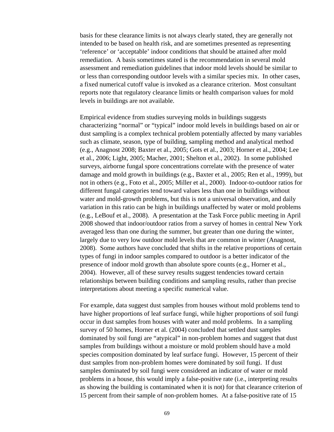basis for these clearance limits is not always clearly stated, they are generally not intended to be based on health risk, and are sometimes presented as representing 'reference' or 'acceptable' indoor conditions that should be attained after mold remediation. A basis sometimes stated is the recommendation in several mold assessment and remediation guidelines that indoor mold levels should be similar to or less than corresponding outdoor levels with a similar species mix. In other cases, a fixed numerical cutoff value is invoked as a clearance criterion. Most consultant reports note that regulatory clearance limits or health comparison values for mold levels in buildings are not available.

Empirical evidence from studies surveying molds in buildings suggests characterizing "normal" or "typical" indoor mold levels in buildings based on air or dust sampling is a complex technical problem potentially affected by many variables such as climate, season, type of building, sampling method and analytical method (e.g., Anagnost 2008; Baxter et al., 2005; Gots et al., 2003; Horner et al., 2004; Lee et al., 2006; Light, 2005; Macher, 2001; Shelton et al., 2002). In some published surveys, airborne fungal spore concentrations correlate with the presence of water damage and mold growth in buildings (e.g., Baxter et al., 2005; Ren et al., 1999), but not in others (e.g., Foto et al., 2005; Miller et al., 2000). Indoor-to-outdoor ratios for different fungal categories tend toward values less than one in buildings without water and mold-growth problems, but this is not a universal observation, and daily variation in this ratio can be high in buildings unaffected by water or mold problems (e.g., LeBouf et al., 2008). A presentation at the Task Force public meeting in April 2008 showed that indoor/outdoor ratios from a survey of homes in central New York averaged less than one during the summer, but greater than one during the winter, largely due to very low outdoor mold levels that are common in winter (Anagnost, 2008). Some authors have concluded that shifts in the relative proportions of certain types of fungi in indoor samples compared to outdoor is a better indicator of the presence of indoor mold growth than absolute spore counts (e.g., Horner et al., 2004). However, all of these survey results suggest tendencies toward certain relationships between building conditions and sampling results, rather than precise interpretations about meeting a specific numerical value.

For example, data suggest dust samples from houses without mold problems tend to have higher proportions of leaf surface fungi, while higher proportions of soil fungi occur in dust samples from houses with water and mold problems. In a sampling survey of 50 homes, Horner et al. (2004) concluded that settled dust samples dominated by soil fungi are "atypical" in non-problem homes and suggest that dust samples from buildings without a moisture or mold problem should have a mold species composition dominated by leaf surface fungi. However, 15 percent of their dust samples from non-problem homes were dominated by soil fungi. If dust samples dominated by soil fungi were considered an indicator of water or mold problems in a house, this would imply a false-positive rate (i.e., interpreting results as showing the building is contaminated when it is not) for that clearance criterion of 15 percent from their sample of non-problem homes. At a false-positive rate of 15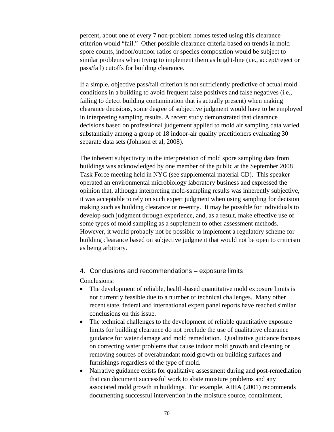percent, about one of every 7 non-problem homes tested using this clearance criterion would "fail." Other possible clearance criteria based on trends in mold spore counts, indoor/outdoor ratios or species composition would be subject to similar problems when trying to implement them as bright-line (i.e., accept/reject or pass/fail) cutoffs for building clearance.

If a simple, objective pass/fail criterion is not sufficiently predictive of actual mold conditions in a building to avoid frequent false positives and false negatives (i.e., failing to detect building contamination that is actually present) when making clearance decisions, some degree of subjective judgment would have to be employed in interpreting sampling results. A recent study demonstrated that clearance decisions based on professional judgement applied to mold air sampling data varied substantially among a group of 18 indoor-air quality practitioners evaluating 30 separate data sets (Johnson et al, 2008).

The inherent subjectivity in the interpretation of mold spore sampling data from buildings was acknowledged by one member of the public at the September 2008 Task Force meeting held in NYC (see supplemental material CD). This speaker operated an environmental microbiology laboratory business and expressed the opinion that, although interpreting mold-sampling results was inherently subjective, it was acceptable to rely on such expert judgment when using sampling for decision making such as building clearance or re-entry. It may be possible for individuals to develop such judgment through experience, and, as a result, make effective use of some types of mold sampling as a supplement to other assessment methods. However, it would probably not be possible to implement a regulatory scheme for building clearance based on subjective judgment that would not be open to criticism as being arbitrary.

#### 4. Conclusions and recommendations – exposure limits

Conclusions:

- The development of reliable, health-based quantitative mold exposure limits is not currently feasible due to a number of technical challenges. Many other recent state, federal and international expert panel reports have reached similar conclusions on this issue.
- The technical challenges to the development of reliable quantitative exposure limits for building clearance do not preclude the use of qualitative clearance guidance for water damage and mold remediation. Qualitative guidance focuses on correcting water problems that cause indoor mold growth and cleaning or removing sources of overabundant mold growth on building surfaces and furnishings regardless of the type of mold.
- Narrative guidance exists for qualitative assessment during and post-remediation that can document successful work to abate moisture problems and any associated mold growth in buildings. For example, AIHA (2001) recommends documenting successful intervention in the moisture source, containment,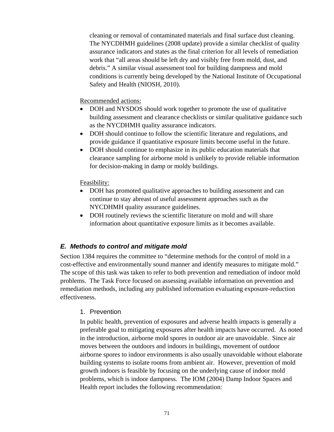cleaning or removal of contaminated materials and final surface dust cleaning. The NYCDHMH guidelines (2008 update) provide a similar checklist of quality assurance indicators and states as the final criterion for all levels of remediation work that "all areas should be left dry and visibly free from mold, dust, and debris." A similar visual assessment tool for building dampness and mold conditions is currently being developed by the National Institute of Occupational Safety and Health (NIOSH, 2010).

Recommended actions:

- DOH and NYSDOS should work together to promote the use of qualitative building assessment and clearance checklists or similar qualitative guidance such as the NYCDHMH quality assurance indicators.
- DOH should continue to follow the scientific literature and regulations, and provide guidance if quantitative exposure limits become useful in the future.
- DOH should continue to emphasize in its public education materials that clearance sampling for airborne mold is unlikely to provide reliable information for decision-making in damp or moldy buildings.

## Feasibility:

- DOH has promoted qualitative approaches to building assessment and can continue to stay abreast of useful assessment approaches such as the NYCDHMH quality assurance guidelines.
- DOH routinely reviews the scientific literature on mold and will share information about quantitative exposure limits as it becomes available.

# *E. Methods to control and mitigate mold*

Section 1384 requires the committee to "determine methods for the control of mold in a cost-effective and environmentally sound manner and identify measures to mitigate mold." The scope of this task was taken to refer to both prevention and remediation of indoor mold problems. The Task Force focused on assessing available information on prevention and remediation methods, including any published information evaluating exposure-reduction effectiveness.

## 1. Prevention

In public health, prevention of exposures and adverse health impacts is generally a preferable goal to mitigating exposures after health impacts have occurred. As noted in the introduction, airborne mold spores in outdoor air are unavoidable. Since air moves between the outdoors and indoors in buildings, movement of outdoor airborne spores to indoor environments is also usually unavoidable without elaborate building systems to isolate rooms from ambient air. However, prevention of mold growth indoors is feasible by focusing on the underlying cause of indoor mold problems, which is indoor dampness. The IOM (2004) Damp Indoor Spaces and Health report includes the following recommendation: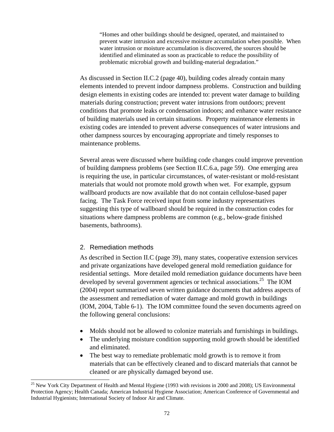"Homes and other buildings should be designed, operated, and maintained to prevent water intrusion and excessive moisture accumulation when possible. When water intrusion or moisture accumulation is discovered, the sources should be identified and eliminated as soon as practicable to reduce the possibility of problematic microbial growth and building-material degradation."

As discussed in Section II.C.2 (page 40), building codes already contain many elements intended to prevent indoor dampness problems. Construction and building design elements in existing codes are intended to: prevent water damage to building materials during construction; prevent water intrusions from outdoors; prevent conditions that promote leaks or condensation indoors; and enhance water resistance of building materials used in certain situations. Property maintenance elements in existing codes are intended to prevent adverse consequences of water intrusions and other dampness sources by encouraging appropriate and timely responses to maintenance problems.

Several areas were discussed where building code changes could improve prevention of building dampness problems (see Section II.C.6.a, page 59). One emerging area is requiring the use, in particular circumstances, of water-resistant or mold-resistant materials that would not promote mold growth when wet. For example, gypsum wallboard products are now available that do not contain cellulose-based paper facing. The Task Force received input from some industry representatives suggesting this type of wallboard should be required in the construction codes for situations where dampness problems are common (e.g., below-grade finished basements, bathrooms).

## 2. Remediation methods

 $\overline{a}$ 

As described in Section II.C (page 39), many states, cooperative extension services and private organizations have developed general mold remediation guidance for residential settings. More detailed mold remediation guidance documents have been developed by several government agencies or technical associations.<sup>25</sup> The IOM (2004) report summarized seven written guidance documents that address aspects of the assessment and remediation of water damage and mold growth in buildings (IOM, 2004, Table 6-1). The IOM committee found the seven documents agreed on the following general conclusions:

- Molds should not be allowed to colonize materials and furnishings in buildings.
- The underlying moisture condition supporting mold growth should be identified and eliminated.
- The best way to remediate problematic mold growth is to remove it from materials that can be effectively cleaned and to discard materials that cannot be cleaned or are physically damaged beyond use.

<sup>&</sup>lt;sup>25</sup> New York City Department of Health and Mental Hygiene (1993 with revisions in 2000 and 2008); US Environmental Protection Agency; Health Canada; American Industrial Hygiene Association; American Conference of Governmental and Industrial Hygienists; International Society of Indoor Air and Climate.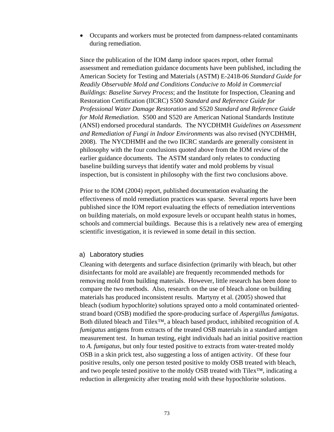• Occupants and workers must be protected from dampness-related contaminants during remediation.

Since the publication of the IOM damp indoor spaces report, other formal assessment and remediation guidance documents have been published, including the American Society for Testing and Materials (ASTM) E-2418-06 *Standard Guide for Readily Observable Mold and Conditions Conducive to Mold in Commercial Buildings: Baseline Survey Process*; and the Institute for Inspection, Cleaning and Restoration Certification (IICRC) S500 *Standard and Reference Guide for Professional Water Damage Restoration* and S520 *Standard and Reference Guide for Mold Remediation.* S500 and S520 are American National Standards Institute (ANSI) endorsed procedural standards. The NYCDHMH *Guidelines on Assessment and Remediation of Fungi in Indoor Environments* was also revised (NYCDHMH, 2008). The NYCDHMH and the two IICRC standards are generally consistent in philosophy with the four conclusions quoted above from the IOM review of the earlier guidance documents. The ASTM standard only relates to conducting baseline building surveys that identify water and mold problems by visual inspection, but is consistent in philosophy with the first two conclusions above.

Prior to the IOM (2004) report, published documentation evaluating the effectiveness of mold remediation practices was sparse. Several reports have been published since the IOM report evaluating the effects of remediation interventions on building materials, on mold exposure levels or occupant health status in homes, schools and commercial buildings. Because this is a relatively new area of emerging scientific investigation, it is reviewed in some detail in this section.

# a) Laboratory studies

Cleaning with detergents and surface disinfection (primarily with bleach, but other disinfectants for mold are available) are frequently recommended methods for removing mold from building materials. However, little research has been done to compare the two methods. Also, research on the use of bleach alone on building materials has produced inconsistent results. Martyny et al. (2005) showed that bleach (sodium hypochlorite) solutions sprayed onto a mold contaminated orientedstrand board (OSB) modified the spore-producing surface of *Aspergillus fumigatus*. Both diluted bleach and Tilex™, a bleach based product, inhibited recognition of *A. fumigatus* antigens from extracts of the treated OSB materials in a standard antigen measurement test. In human testing, eight individuals had an initial positive reaction to *A. fumigatus*, but only four tested positive to extracts from water-treated moldy OSB in a skin prick test, also suggesting a loss of antigen activity. Of these four positive results, only one person tested positive to moldy OSB treated with bleach, and two people tested positive to the moldy OSB treated with Tilex<sup>™</sup>, indicating a reduction in allergenicity after treating mold with these hypochlorite solutions.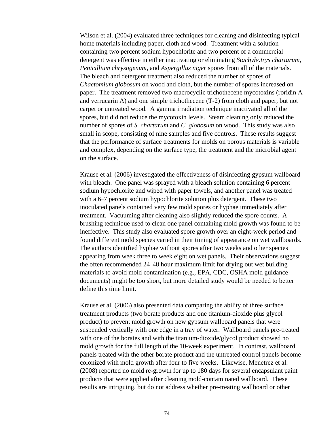Wilson et al. (2004) evaluated three techniques for cleaning and disinfecting typical home materials including paper, cloth and wood. Treatment with a solution containing two percent sodium hypochlorite and two percent of a commercial detergent was effective in either inactivating or eliminating *Stachybotrys chartarum*, *Penicillium chrysogenum*, and *Aspergillus niger* spores from all of the materials. The bleach and detergent treatment also reduced the number of spores of *Chaetomium globosum* on wood and cloth, but the number of spores increased on paper. The treatment removed two macrocyclic trichothecene mycotoxins (roridin A and verrucarin A) and one simple trichothecene (T-2) from cloth and paper, but not carpet or untreated wood. A gamma irradiation technique inactivated all of the spores, but did not reduce the mycotoxin levels. Steam cleaning only reduced the number of spores of *S. chartarum* and *C. globosum* on wood. This study was also small in scope, consisting of nine samples and five controls. These results suggest that the performance of surface treatments for molds on porous materials is variable and complex, depending on the surface type, the treatment and the microbial agent on the surface.

Krause et al. (2006) investigated the effectiveness of disinfecting gypsum wallboard with bleach. One panel was sprayed with a bleach solution containing 6 percent sodium hypochlorite and wiped with paper towels, and another panel was treated with a 6–7 percent sodium hypochlorite solution plus detergent. These two inoculated panels contained very few mold spores or hyphae immediately after treatment. Vacuuming after cleaning also slightly reduced the spore counts. A brushing technique used to clean one panel containing mold growth was found to be ineffective. This study also evaluated spore growth over an eight-week period and found different mold species varied in their timing of appearance on wet wallboards. The authors identified hyphae without spores after two weeks and other species appearing from week three to week eight on wet panels. Their observations suggest the often recommended 24–48 hour maximum limit for drying out wet building materials to avoid mold contamination (e.g., EPA, CDC, OSHA mold guidance documents) might be too short, but more detailed study would be needed to better define this time limit.

Krause et al. (2006) also presented data comparing the ability of three surface treatment products (two borate products and one titanium-dioxide plus glycol product) to prevent mold growth on new gypsum wallboard panels that were suspended vertically with one edge in a tray of water. Wallboard panels pre-treated with one of the borates and with the titanium-dioxide/glycol product showed no mold growth for the full length of the 10-week experiment. In contrast, wallboard panels treated with the other borate product and the untreated control panels become colonized with mold growth after four to five weeks. Likewise, Menetrez et al. (2008) reported no mold re-growth for up to 180 days for several encapsulant paint products that were applied after cleaning mold-contaminated wallboard. These results are intriguing, but do not address whether pre-treating wallboard or other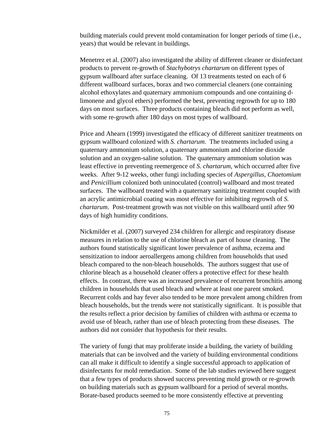building materials could prevent mold contamination for longer periods of time (i.e., years) that would be relevant in buildings.

Menetrez et al. (2007) also investigated the ability of different cleaner or disinfectant products to prevent re-growth of *Stachybotrys chartarum* on different types of gypsum wallboard after surface cleaning. Of 13 treatments tested on each of 6 different wallboard surfaces, borax and two commercial cleaners (one containing alcohol ethoxylates and quaternary ammonium compounds and one containing dlimonene and glycol ethers) performed the best, preventing regrowth for up to 180 days on most surfaces. Three products containing bleach did not perform as well, with some re-growth after 180 days on most types of wallboard.

Price and Ahearn (1999) investigated the efficacy of different sanitizer treatments on gypsum wallboard colonized with *S. chartarum*. The treatments included using a quaternary ammonium solution, a quaternary ammonium and chlorine dioxide solution and an oxygen-saline solution. The quaternary ammonium solution was least effective in preventing reemergence of *S. chartarum*, which occurred after five weeks. After 9-12 weeks, other fungi including species of *Aspergillus, Chaetomium*  and *Penicillium* colonized both uninoculated (control) wallboard and most treated surfaces. The wallboard treated with a quaternary sanitizing treatment coupled with an acrylic antimicrobial coating was most effective for inhibiting regrowth of *S. chartarum*. Post-treatment growth was not visible on this wallboard until after 90 days of high humidity conditions.

Nickmilder et al. (2007) surveyed 234 children for allergic and respiratory disease measures in relation to the use of chlorine bleach as part of house cleaning. The authors found statistically significant lower prevalence of asthma, eczema and sensitization to indoor aeroallergens among children from households that used bleach compared to the non-bleach households. The authors suggest that use of chlorine bleach as a household cleaner offers a protective effect for these health effects. In contrast, there was an increased prevalence of recurrent bronchitis among children in households that used bleach and where at least one parent smoked. Recurrent colds and hay fever also tended to be more prevalent among children from bleach households, but the trends were not statistically significant. It is possible that the results reflect a prior decision by families of children with asthma or eczema to avoid use of bleach, rather than use of bleach protecting from these diseases. The authors did not consider that hypothesis for their results.

The variety of fungi that may proliferate inside a building, the variety of building materials that can be involved and the variety of building environmental conditions can all make it difficult to identify a single successful approach to application of disinfectants for mold remediation. Some of the lab studies reviewed here suggest that a few types of products showed success preventing mold growth or re-growth on building materials such as gypsum wallboard for a period of several months. Borate-based products seemed to be more consistently effective at preventing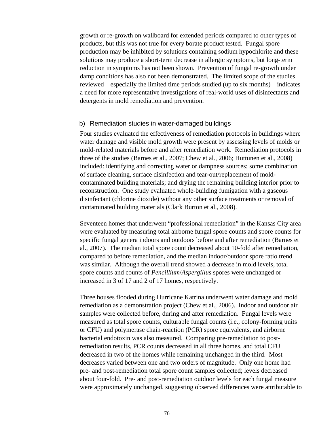growth or re-growth on wallboard for extended periods compared to other types of products, but this was not true for every borate product tested. Fungal spore production may be inhibited by solutions containing sodium hypochlorite and these solutions may produce a short-term decrease in allergic symptoms, but long-term reduction in symptoms has not been shown. Prevention of fungal re-growth under damp conditions has also not been demonstrated. The limited scope of the studies reviewed – especially the limited time periods studied (up to six months) – indicates a need for more representative investigations of real-world uses of disinfectants and detergents in mold remediation and prevention.

# b) Remediation studies in water-damaged buildings

Four studies evaluated the effectiveness of remediation protocols in buildings where water damage and visible mold growth were present by assessing levels of molds or mold-related materials before and after remediation work. Remediation protocols in three of the studies (Barnes et al., 2007; Chew et al., 2006; Huttunen et al., 2008) included: identifying and correcting water or dampness sources; some combination of surface cleaning, surface disinfection and tear-out/replacement of moldcontaminated building materials; and drying the remaining building interior prior to reconstruction. One study evaluated whole-building fumigation with a gaseous disinfectant (chlorine dioxide) without any other surface treatments or removal of contaminated building materials (Clark Burton et al., 2008).

Seventeen homes that underwent "professional remediation" in the Kansas City area were evaluated by measuring total airborne fungal spore counts and spore counts for specific fungal genera indoors and outdoors before and after remediation (Barnes et al., 2007). The median total spore count decreased about 10-fold after remediation, compared to before remediation, and the median indoor/outdoor spore ratio trend was similar. Although the overall trend showed a decrease in mold levels, total spore counts and counts of *Pencillium*/*Aspergillus* spores were unchanged or increased in 3 of 17 and 2 of 17 homes, respectively.

Three houses flooded during Hurricane Katrina underwent water damage and mold remediation as a demonstration project (Chew et al., 2006). Indoor and outdoor air samples were collected before, during and after remediation. Fungal levels were measured as total spore counts, culturable fungal counts (i.e., colony-forming units or CFU) and polymerase chain-reaction (PCR) spore equivalents, and airborne bacterial endotoxin was also measured. Comparing pre-remediation to postremediation results, PCR counts decreased in all three homes, and total CFU decreased in two of the homes while remaining unchanged in the third. Most decreases varied between one and two orders of magnitude. Only one home had pre- and post-remediation total spore count samples collected; levels decreased about four-fold. Pre- and post-remediation outdoor levels for each fungal measure were approximately unchanged, suggesting observed differences were attributable to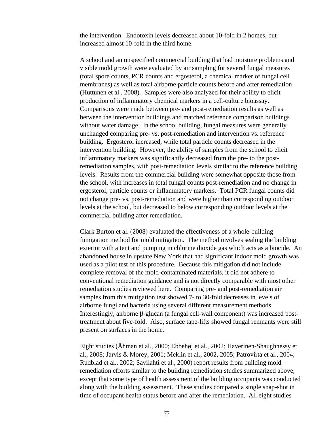the intervention. Endotoxin levels decreased about 10-fold in 2 homes, but increased almost 10-fold in the third home.

A school and an unspecified commercial building that had moisture problems and visible mold growth were evaluated by air sampling for several fungal measures (total spore counts, PCR counts and ergosterol, a chemical marker of fungal cell membranes) as well as total airborne particle counts before and after remediation (Huttunen et al., 2008). Samples were also analyzed for their ability to elicit production of inflammatory chemical markers in a cell-culture bioassay. Comparisons were made between pre- and post-remediation results as well as between the intervention buildings and matched reference comparison buildings without water damage. In the school building, fungal measures were generally unchanged comparing pre- vs. post-remediation and intervention vs. reference building. Ergosterol increased, while total particle counts decreased in the intervention building. However, the ability of samples from the school to elicit inflammatory markers was significantly decreased from the pre- to the postremediation samples, with post-remediation levels similar to the reference building levels. Results from the commercial building were somewhat opposite those from the school, with increases in total fungal counts post-remediation and no change in ergosterol, particle counts or inflammatory markers. Total PCR fungal counts did not change pre- vs. post-remediation and were higher than corresponding outdoor levels at the school, but decreased to below corresponding outdoor levels at the commercial building after remediation.

Clark Burton et al. (2008) evaluated the effectiveness of a whole-building fumigation method for mold mitigation. The method involves sealing the building exterior with a tent and pumping in chlorine dioxide gas which acts as a biocide. An abandoned house in upstate New York that had significant indoor mold growth was used as a pilot test of this procedure. Because this mitigation did not include complete removal of the mold-contaminated materials, it did not adhere to conventional remediation guidance and is not directly comparable with most other remediation studies reviewed here. Comparing pre- and post-remediation air samples from this mitigation test showed 7- to 30-fold decreases in levels of airborne fungi and bacteria using several different measurement methods. Interestingly, airborne β-glucan (a fungal cell-wall component) was increased posttreatment about five-fold. Also, surface tape-lifts showed fungal remnants were still present on surfaces in the home.

Eight studies (Åhman et al., 2000; Ebbehøj et al., 2002; Haverinen-Shaughnessy et al., 2008; Jarvis & Morey, 2001; Meklin et al., 2002, 2005; Patrovirta et al., 2004; Rudblad et al., 2002; Savilahti et al., 2000) report results from building mold remediation efforts similar to the building remediation studies summarized above, except that some type of health assessment of the building occupants was conducted along with the building assessment. These studies compared a single snap-shot in time of occupant health status before and after the remediation. All eight studies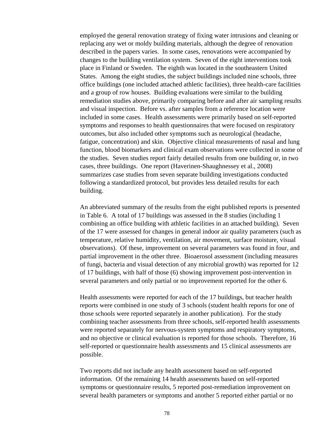employed the general renovation strategy of fixing water intrusions and cleaning or replacing any wet or moldy building materials, although the degree of renovation described in the papers varies. In some cases, renovations were accompanied by changes to the building ventilation system. Seven of the eight interventions took place in Finland or Sweden. The eighth was located in the southeastern United States. Among the eight studies, the subject buildings included nine schools, three office buildings (one included attached athletic facilities), three health-care facilities and a group of row houses. Building evaluations were similar to the building remediation studies above, primarily comparing before and after air sampling results and visual inspection. Before vs. after samples from a reference location were included in some cases. Health assessments were primarily based on self-reported symptoms and responses to health questionnaires that were focused on respiratory outcomes, but also included other symptoms such as neurological (headache, fatigue, concentration) and skin. Objective clinical measurements of nasal and lung function, blood biomarkers and clinical exam observations were collected in some of the studies. Seven studies report fairly detailed results from one building or, in two cases, three buildings. One report (Haverinen-Shaughnessey et al., 2008) summarizes case studies from seven separate building investigations conducted following a standardized protocol, but provides less detailed results for each building.

An abbreviated summary of the results from the eight published reports is presented in Table 6. A total of 17 buildings was assessed in the 8 studies (including 1 combining an office building with athletic facilities in an attached building). Seven of the 17 were assessed for changes in general indoor air quality parameters (such as temperature, relative humidity, ventilation, air movement, surface moisture, visual observations). Of these, improvement on several parameters was found in four, and partial improvement in the other three. Bioaerosol assessment (including measures of fungi, bacteria and visual detection of any microbial growth) was reported for 12 of 17 buildings, with half of those (6) showing improvement post-intervention in several parameters and only partial or no improvement reported for the other 6.

Health assessments were reported for each of the 17 buildings, but teacher health reports were combined in one study of 3 schools (student health reports for one of those schools were reported separately in another publication). For the study combining teacher assessments from three schools, self-reported health assessments were reported separately for nervous-system symptoms and respiratory symptoms, and no objective or clinical evaluation is reported for those schools. Therefore, 16 self-reported or questionnaire health assessments and 15 clinical assessments are possible.

Two reports did not include any health assessment based on self-reported information. Of the remaining 14 health assessments based on self-reported symptoms or questionnaire results, 5 reported post-remediation improvement on several health parameters or symptoms and another 5 reported either partial or no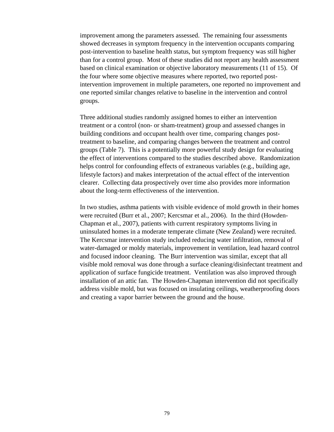improvement among the parameters assessed. The remaining four assessments showed decreases in symptom frequency in the intervention occupants comparing post-intervention to baseline health status, but symptom frequency was still higher than for a control group. Most of these studies did not report any health assessment based on clinical examination or objective laboratory measurements (11 of 15). Of the four where some objective measures where reported, two reported postintervention improvement in multiple parameters, one reported no improvement and one reported similar changes relative to baseline in the intervention and control groups.

Three additional studies randomly assigned homes to either an intervention treatment or a control (non- or sham-treatment) group and assessed changes in building conditions and occupant health over time, comparing changes posttreatment to baseline, and comparing changes between the treatment and control groups (Table 7). This is a potentially more powerful study design for evaluating the effect of interventions compared to the studies described above. Randomization helps control for confounding effects of extraneous variables (e.g., building age, lifestyle factors) and makes interpretation of the actual effect of the intervention clearer. Collecting data prospectively over time also provides more information about the long-term effectiveness of the intervention.

In two studies, asthma patients with visible evidence of mold growth in their homes were recruited (Burr et al., 2007; Kercsmar et al., 2006). In the third (Howden-Chapman et al., 2007), patients with current respiratory symptoms living in uninsulated homes in a moderate temperate climate (New Zealand) were recruited. The Kercsmar intervention study included reducing water infiltration, removal of water-damaged or moldy materials, improvement in ventilation, lead hazard control and focused indoor cleaning. The Burr intervention was similar, except that all visible mold removal was done through a surface cleaning/disinfectant treatment and application of surface fungicide treatment. Ventilation was also improved through installation of an attic fan. The Howden-Chapman intervention did not specifically address visible mold, but was focused on insulating ceilings, weatherproofing doors and creating a vapor barrier between the ground and the house.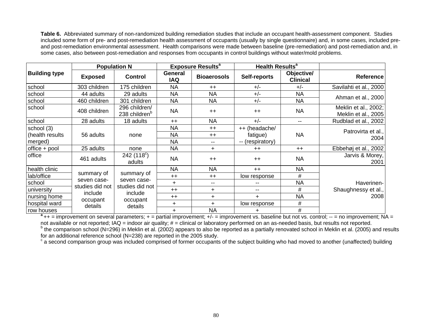**Table 6.** Abbreviated summary of non-randomized building remediation studies that include an occupant health-assessment component. Studies included some form of pre- and post-remediation health assessment of occupants (usually by single questionnaire) and, in some cases, included preand post-remediation environmental assessment. Health comparisons were made between baseline (pre-remediation) and post-remediation and, in some cases, also between post-remediation and responses from occupants in control buildings without water/mold problems.

|                                          | <b>Population N</b>                    |                                                                                                          | <b>Exposure Results<sup>a</sup></b> |                        | <b>Health Results<sup>a</sup></b>             |                               |                                             |
|------------------------------------------|----------------------------------------|----------------------------------------------------------------------------------------------------------|-------------------------------------|------------------------|-----------------------------------------------|-------------------------------|---------------------------------------------|
| <b>Building type</b>                     | <b>Exposed</b>                         | <b>Control</b>                                                                                           | General<br><b>IAQ</b>               | <b>Bioaerosols</b>     | Self-reports                                  | Objective/<br><b>Clinical</b> | <b>Reference</b>                            |
| school                                   | 303 children                           | 175 children                                                                                             | <b>NA</b>                           | $++$                   | $+/-$                                         | $+/-$                         | Savilahti et al., 2000                      |
| school                                   | 44 adults                              | 29 adults                                                                                                | <b>NA</b>                           | NА                     | $+/-$                                         | <b>NA</b>                     |                                             |
| school                                   | 460 children                           | 301 children                                                                                             | <b>NA</b>                           | <b>NA</b>              | $+/-$                                         | <b>NA</b>                     | Ahman et al., 2000                          |
| school                                   | 408 children                           | 296 children/<br>238 children <sup>b</sup>                                                               | <b>NA</b>                           | $++$                   | $++$                                          | <b>NA</b>                     | Meklin et al., 2002;<br>Meklin et al., 2005 |
| school                                   | 28 adults                              | 18 adults                                                                                                | $++$                                | <b>NA</b>              | $+/-$                                         | $-$                           | Rudblad et al., 2002                        |
| school (3)<br>(health results<br>merged) | 56 adults                              | none                                                                                                     | <b>NA</b><br><b>NA</b><br><b>NA</b> | $++$<br>$^{++}$<br>$-$ | ++ (headache/<br>fatigue)<br>-- (respiratory) | <b>NA</b>                     | Patrovirta et al.,<br>2004                  |
| office + pool                            | 25 adults                              | none                                                                                                     | <b>NA</b>                           | $+$                    | $++$                                          | $++$                          | Ebbehøj et al., 2002                        |
| office                                   | 461 adults                             | 242 $(118^{\circ})$<br>adults                                                                            | <b>NA</b>                           | $++$                   | $++$                                          | <b>NA</b>                     | Jarvis & Morey,<br>2001                     |
| health clinic                            |                                        |                                                                                                          | <b>NA</b>                           | <b>NA</b>              | $++$                                          | <b>NA</b>                     |                                             |
| lab/office                               | summary of                             | summary of<br>seven case-<br>seven case-<br>studies did not<br>include<br>include<br>occupant<br>details | $++$                                | $++$                   | low response                                  | #                             |                                             |
| school                                   | studies did not<br>occupant<br>details |                                                                                                          | $+$                                 | $- -$                  |                                               | <b>NA</b>                     | Haverinen-                                  |
| university                               |                                        |                                                                                                          | $++$                                | $^{+}$                 | --                                            | #                             | Shaughnessy et al.,                         |
| nursing home                             |                                        |                                                                                                          | $^{++}$                             | $+$                    | $\pm$                                         | <b>NA</b>                     | 2008                                        |
| hospital ward                            |                                        |                                                                                                          | $\pm$                               | $+$                    | low response                                  | #                             |                                             |
| row houses                               |                                        |                                                                                                          | $+$                                 | <b>NA</b>              |                                               | #                             |                                             |

 $a^2$ ++ = improvement on several parameters; + = partial improvement; +/- = improvement vs. baseline but not vs. control; -- = no improvement; NA = not available or not reported; IAQ = indoor air quality; # = clinical or

<sup>b</sup> the comparison school (N=296) in Meklin et al. (2002) appears to also be reported as a partially renovated school in Meklin et al. (2005) and results for an additional reference school (N=238) are reported in the 2005 study.

<sup>c</sup> a second comparison group was included comprised of former occupants of the subject building who had moved to another (unaffected) building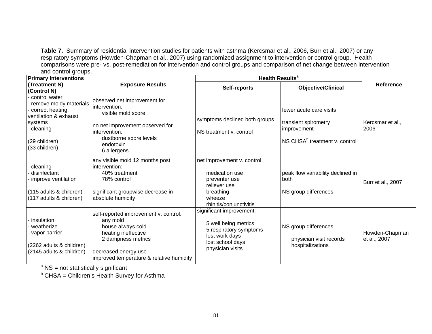**Table 7.** Summary of residential intervention studies for patients with asthma (Kercsmar et al., 2006, Burr et al., 2007) or any respiratory symptoms (Howden-Chapman et al., 2007) using randomized assignment to intervention or control group. Health comparisons were pre- vs. post-remediation for intervention and control groups and comparison of net change between intervention and control groups.

| <b>Primary Interventions</b>                                                                                                                      |                                                                                                                                                                                         | <b>Health Results<sup>a</sup></b>                                                                                                    |                                                                                                             |                                |
|---------------------------------------------------------------------------------------------------------------------------------------------------|-----------------------------------------------------------------------------------------------------------------------------------------------------------------------------------------|--------------------------------------------------------------------------------------------------------------------------------------|-------------------------------------------------------------------------------------------------------------|--------------------------------|
| (Treatment N)<br>(Control N)                                                                                                                      | <b>Exposure Results</b>                                                                                                                                                                 | Self-reports                                                                                                                         | <b>Objective/Clinical</b>                                                                                   | <b>Reference</b>               |
| control water<br>- remove moldy materials<br>correct heating,<br>ventilation & exhaust<br>systems<br>- cleaning<br>(29 children)<br>(33 children) | observed net improvement for<br>intervention:<br>visible mold score<br>no net improvement observed for<br>intervention:<br>dustborne spore levels<br>endotoxin<br>6 allergens           | symptoms declined both groups<br>NS treatment v. control                                                                             | fewer acute care visits<br>transient spirometry<br>improvement<br>NS CHSA <sup>b</sup> treatment v. control | Kercsmar et al.,<br>2006       |
| cleaning<br>disinfectant<br>improve ventilation<br>(115 adults & children)<br>(117 adults & children)                                             | any visible mold 12 months post<br>intervention:<br>40% treatment<br>78% control<br>significant groupwise decrease in<br>absolute humidity                                              | net improvement v. control:<br>medication use<br>preventer use<br>reliever use<br>breathing<br>wheeze<br>rhinitis/conjunctivitis     | peak flow variability declined in<br>both<br>NS group differences                                           | Burr et al., 2007              |
| insulation<br>weatherize<br>- vapor barrier<br>(2262 adults & children)<br>(2145 adults & children)                                               | self-reported improvement v. control:<br>any mold<br>house always cold<br>heating ineffective<br>2 dampness metrics<br>decreased energy use<br>improved temperature & relative humidity | significant improvement:<br>5 well being metrics<br>5 respiratory symptoms<br>lost work days<br>lost school days<br>physician visits | NS group differences:<br>physician visit records<br>hospitalizations                                        | Howden-Chapman<br>et al., 2007 |

 $a<sup>a</sup>$  NS = not statistically significant

 $b$  CHSA = Children's Health Survey for Asthma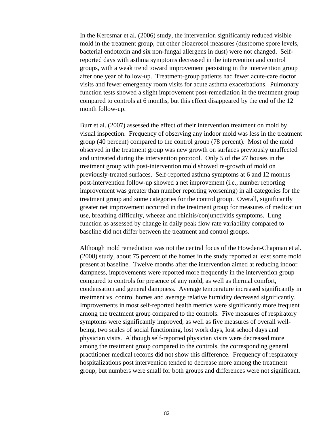In the Kercsmar et al. (2006) study, the intervention significantly reduced visible mold in the treatment group, but other bioaerosol measures (dustborne spore levels, bacterial endotoxin and six non-fungal allergens in dust) were not changed. Selfreported days with asthma symptoms decreased in the intervention and control groups, with a weak trend toward improvement persisting in the intervention group after one year of follow-up. Treatment-group patients had fewer acute-care doctor visits and fewer emergency room visits for acute asthma exacerbations. Pulmonary function tests showed a slight improvement post-remediation in the treatment group compared to controls at 6 months, but this effect disappeared by the end of the 12 month follow-up.

Burr et al. (2007) assessed the effect of their intervention treatment on mold by visual inspection. Frequency of observing any indoor mold was less in the treatment group (40 percent) compared to the control group (78 percent). Most of the mold observed in the treatment group was new growth on surfaces previously unaffected and untreated during the intervention protocol. Only 5 of the 27 houses in the treatment group with post-intervention mold showed re-growth of mold on previously-treated surfaces. Self-reported asthma symptoms at 6 and 12 months post-intervention follow-up showed a net improvement (i.e., number reporting improvement was greater than number reporting worsening) in all categories for the treatment group and some categories for the control group. Overall, significantly greater net improvement occurred in the treatment group for measures of medication use, breathing difficulty, wheeze and rhinitis/conjunctivitis symptoms. Lung function as assessed by change in daily peak flow rate variability compared to baseline did not differ between the treatment and control groups.

Although mold remediation was not the central focus of the Howden-Chapman et al. (2008) study, about 75 percent of the homes in the study reported at least some mold present at baseline. Twelve months after the intervention aimed at reducing indoor dampness, improvements were reported more frequently in the intervention group compared to controls for presence of any mold, as well as thermal comfort, condensation and general dampness. Average temperature increased significantly in treatment vs. control homes and average relative humidity decreased significantly. Improvements in most self-reported health metrics were significantly more frequent among the treatment group compared to the controls. Five measures of respiratory symptoms were significantly improved, as well as five measures of overall wellbeing, two scales of social functioning, lost work days, lost school days and physician visits. Although self-reported physician visits were decreased more among the treatment group compared to the controls, the corresponding general practitioner medical records did not show this difference. Frequency of respiratory hospitalizations post intervention tended to decrease more among the treatment group, but numbers were small for both groups and differences were not significant.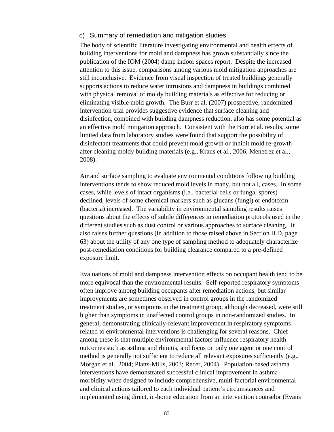## c) Summary of remediation and mitigation studies

The body of scientific literature investigating environmental and health effects of building interventions for mold and dampness has grown substantially since the publication of the IOM (2004) damp indoor spaces report. Despite the increased attention to this issue, comparisons among various mold mitigation approaches are still inconclusive. Evidence from visual inspection of treated buildings generally supports actions to reduce water intrusions and dampness in buildings combined with physical removal of moldy building materials as effective for reducing or eliminating visible mold growth. The Burr et al. (2007) prospective, randomized intervention trial provides suggestive evidence that surface cleaning and disinfection, combined with building dampness reduction, also has some potential as an effective mold mitigation approach. Consistent with the Burr et al. results, some limited data from laboratory studies were found that support the possibility of disinfectant treatments that could prevent mold growth or inhibit mold re-growth after cleaning moldy building materials (e.g., Kraus et al., 2006; Menetrez et al., 2008).

Air and surface sampling to evaluate environmental conditions following building interventions tends to show reduced mold levels in many, but not all, cases. In some cases, while levels of intact organisms (i.e., bacterial cells or fungal spores) declined, levels of some chemical markers such as glucans (fungi) or endotoxin (bacteria) increased. The variability in environmental sampling results raises questions about the effects of subtle differences in remediation protocols used in the different studies such as dust control or various approaches to surface cleaning. It also raises further questions (in addition to those raised above in Section II.D, page 63) about the utility of any one type of sampling method to adequately characterize post-remediation conditions for building clearance compared to a pre-defined exposure limit.

Evaluations of mold and dampness intervention effects on occupant health tend to be more equivocal than the environmental results. Self-reported respiratory symptoms often improve among building occupants after remediation actions, but similar improvements are sometimes observed in control groups in the randomized treatment studies, or symptoms in the treatment group, although decreased, were still higher than symptoms in unaffected control groups in non-randomized studies. In general, demonstrating clinically-relevant improvement in respiratory symptoms related to environmental interventions is challenging for several reasons. Chief among these is that multiple environmental factors influence respiratory health outcomes such as asthma and rhinitis, and focus on only one agent or one control method is generally not sufficient to reduce all relevant exposures sufficiently (e.g., Morgan et al., 2004; Platts-Mills, 2003; Recer, 2004). Population-based asthma interventions have demonstrated successful clinical improvement in asthma morbidity when designed to include comprehensive, multi-factorial environmental and clinical actions tailored to each individual patient's circumstances and implemented using direct, in-home education from an intervention counselor (Evans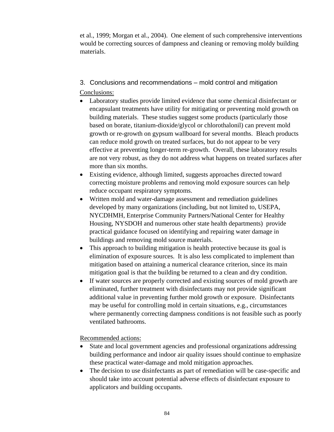et al., 1999; Morgan et al., 2004). One element of such comprehensive interventions would be correcting sources of dampness and cleaning or removing moldy building materials.

# 3. Conclusions and recommendations – mold control and mitigation

# Conclusions:

- Laboratory studies provide limited evidence that some chemical disinfectant or encapsulant treatments have utility for mitigating or preventing mold growth on building materials. These studies suggest some products (particularly those based on borate, titanium-dioxide/glycol or chlorothalonil) can prevent mold growth or re-growth on gypsum wallboard for several months. Bleach products can reduce mold growth on treated surfaces, but do not appear to be very effective at preventing longer-term re-growth. Overall, these laboratory results are not very robust, as they do not address what happens on treated surfaces after more than six months.
- Existing evidence, although limited, suggests approaches directed toward correcting moisture problems and removing mold exposure sources can help reduce occupant respiratory symptoms.
- Written mold and water-damage assessment and remediation guidelines developed by many organizations (including, but not limited to, USEPA, NYCDHMH, Enterprise Community Partners/National Center for Healthy Housing, NYSDOH and numerous other state health departments) provide practical guidance focused on identifying and repairing water damage in buildings and removing mold source materials.
- This approach to building mitigation is health protective because its goal is elimination of exposure sources. It is also less complicated to implement than mitigation based on attaining a numerical clearance criterion, since its main mitigation goal is that the building be returned to a clean and dry condition.
- If water sources are properly corrected and existing sources of mold growth are eliminated, further treatment with disinfectants may not provide significant additional value in preventing further mold growth or exposure. Disinfectants may be useful for controlling mold in certain situations, e.g., circumstances where permanently correcting dampness conditions is not feasible such as poorly ventilated bathrooms.

Recommended actions:

- State and local government agencies and professional organizations addressing building performance and indoor air quality issues should continue to emphasize these practical water-damage and mold mitigation approaches.
- The decision to use disinfectants as part of remediation will be case-specific and should take into account potential adverse effects of disinfectant exposure to applicators and building occupants.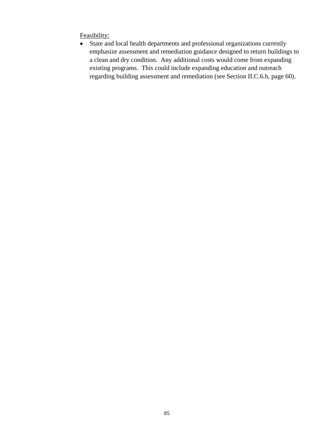Feasibility:

• State and local health departments and professional organizations currently emphasize assessment and remediation guidance designed to return buildings to a clean and dry condition. Any additional costs would come from expanding existing programs. This could include expanding education and outreach regarding building assessment and remediation (see Section II.C.6.b, page 60).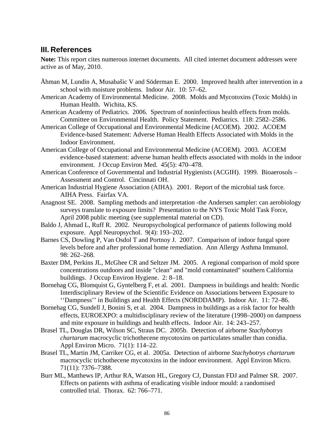# **III. References**

**Note:** This report cites numerous internet documents. All cited internet document addresses were active as of May, 2010.

- Åhman M, Lundin A, Musabašic V and Söderman E. 2000. Improved health after intervention in a school with moisture problems. Indoor Air. 10: 57–62.
- American Academy of Environmental Medicine. 2008. Molds and Mycotoxins (Toxic Molds) in Human Health. Wichita, KS.
- American Academy of Pediatrics. 2006. Spectrum of noninfectious health effects from molds. Committee on Environmental Health. Policy Statement. Pediatrics. 118: 2582–2586.
- American College of Occupational and Environmental Medicine (ACOEM). 2002. ACOEM Evidence-based Statement: Adverse Human Health Effects Associated with Molds in the Indoor Environment.
- American College of Occupational and Environmental Medicine (ACOEM). 2003. ACOEM evidence-based statement: adverse human health effects associated with molds in the indoor environment. J Occup Environ Med. 45(5): 470–478.
- American Conference of Governmental and Industrial Hygienists (ACGIH). 1999. Bioaerosols Assessment and Control. Cincinnati OH.
- American Industrial Hygiene Association (AIHA). 2001. Report of the microbial task force. AIHA Press. Fairfax VA.
- Anagnost SE. 2008. Sampling methods and interpretation -the Andersen sampler: can aerobiology surveys translate to exposure limits? Presentation to the NYS Toxic Mold Task Force, April 2008 public meeting (see supplemental material on CD).
- Baldo J, Ahmad L, Ruff R. 2002. Neuropsychological performance of patients following mold exposure. Appl Neuropsychol. 9(4): 193–202.
- Barnes CS, Dowling P, Van Osdol T and Portnoy J. 2007. Comparison of indoor fungal spore levels before and after professional home remediation. Ann Allergy Asthma Immunol. 98: 262–268.
- Baxter DM, Perkins JL, McGhee CR and Seltzer JM. 2005. A regional comparison of mold spore concentrations outdoors and inside "clean" and "mold contaminated" southern California buildings. J Occup Environ Hygiene. 2: 8–18.
- Bornehag CG, Blomquist G, Gyntelberg F, et al. 2001. Dampness in buildings and health: Nordic Interdisciplinary Review of the Scientific Evidence on Associations between Exposure to ''Dampness'' in Buildings and Health Effects (NORDDAMP). Indoor Air. 11: 72–86.
- Bornehag CG, Sundell J, Bonini S, et al. 2004. Dampness in buildings as a risk factor for health effects, EUROEXPO: a multidisciplinary review of the literature (1998–2000) on dampness and mite exposure in buildings and health effects. Indoor Air. 14: 243–257.
- Brasel TL, Douglas DR, Wilson SC, Straus DC. 2005b. Detection of airborne *Stachybotrys chartarum* macrocyclic trichothecene mycotoxins on particulates smaller than conidia. Appl Environ Micro. 71(1): 114–22.
- Brasel TL, Martin JM, Carriker CG, et al. 2005a. Detection of airborne *Stachybotrys chartarum*  macrocyclic trichothecene mycotoxins in the indoor environment. Appl Environ Micro. 71(11): 7376–7388.
- Burr ML, Matthews IP, Arthur RA, Watson HL, Gregory CJ, Dunstan FDJ and Palmer SR. 2007. Effects on patients with asthma of eradicating visible indoor mould: a randomised controlled trial. Thorax. 62: 766–771.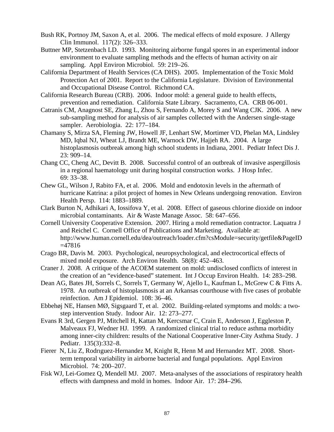- Bush RK, Portnoy JM, Saxon A, et al. 2006. The medical effects of mold exposure. J Allergy Clin Immunol. 117(2): 326–333.
- Buttner MP, Stetzenbach LD. 1993. Monitoring airborne fungal spores in an experimental indoor environment to evaluate sampling methods and the effects of human activity on air sampling. Appl Environ Microbiol. 59: 219–26.
- California Department of Health Services (CA DHS). 2005. Implementation of the Toxic Mold Protection Act of 2001. Report to the California Legislature. Division of Environmental and Occupational Disease Control. Richmond CA.
- California Research Bureau (CRB). 2006. Indoor mold: a general guide to health effects, prevention and remediation. California State Library. Sacramento, CA. CRB 06-001.
- Catranis CM, Anagnost SE, Zhang L, Zhou S, Fernando A, Morey S and Wang CJK. 2006. A new sub-sampling method for analysis of air samples collected with the Andersen single-stage sampler. Aerobiologia. 22: 177–184.
- Chamany S, Mirza SA, Fleming JW, Howell JF, Lenhart SW, Mortimer VD, Phelan MA, Lindsley MD, Iqbal NJ, Wheat LJ, Brandt ME, Warnock DW, Hajjeh RA. 2004. A large histoplasmosis outbreak among high school students in Indiana, 2001. Pediatr Infect Dis J. 23: 909–14.
- Chang CC, Cheng AC, Devitt B. 2008. Successful control of an outbreak of invasive aspergillosis in a regional haematology unit during hospital construction works. J Hosp Infec. 69: 33–38.
- Chew GL, Wilson J, Rabito FA, et al. 2006. Mold and endotoxin levels in the aftermath of hurricane Katrina: a pilot project of homes in New Orleans undergoing renovation. Environ Health Persp. 114: 1883–1889.
- Clark Burton N, Adhikari A, Iossifova Y, et al. 2008. Effect of gaseous chlorine dioxide on indoor microbial contaminants. Air & Waste Manage Assoc. 58: 647–656.
- Cornell University Cooperative Extension. 2007. Hiring a mold remediation contractor. Laquatra J and Reichel C. Cornell Office of Publications and Marketing. Available at: http://www.human.cornell.edu/dea/outreach/loader.cfm?csModule=security/getfile&PageID  $=47816$
- Crago BR, Davis M. 2003. Psychological, neuropsychological, and electrocortical effects of mixed mold exposure. Arch Environ Health. 58(8): 452–463.
- Craner J. 2008. A critique of the ACOEM statement on mold: undisclosed conflicts of interest in the creation of an "evidence-based" statement. Int J Occup Environ Health. 14: 283–298.
- Dean AG, Bates JH, Sorrels C, Sorrels T, Germany W, Ajello L, Kaufman L, McGrew C & Fitts A. 1978. An outbreak of histoplasmosis at an Arkansas courthouse with five cases of probable reinfection. Am J Epidemiol. 108: 36–46.
- Ebbehøj NE, Hansen MØ, Sigsgaard T, et al. 2002. Building-related symptoms and molds: a twostep intervention Study. Indoor Air. 12: 273–277.
- Evans R 3rd, Gergen PJ, Mitchell H, Kattan M, Kercsmar C, Crain E, Anderson J, Eggleston P, Malveaux FJ, Wedner HJ. 1999. A randomized clinical trial to reduce asthma morbidity among inner-city children: results of the National Cooperative Inner-City Asthma Study. J Pediatr. 135(3):332–8.
- Fierer N, Liu Z, Rodrıguez-Hernandez M, Knight R, Henn M and Hernandez MT. 2008. Shortterm temporal variability in airborne bacterial and fungal populations. Appl Environ Microbiol. 74: 200–207.
- Fisk WJ, Lei-Gomez Q, Mendell MJ. 2007. Meta-analyses of the associations of respiratory health effects with dampness and mold in homes. Indoor Air. 17: 284–296.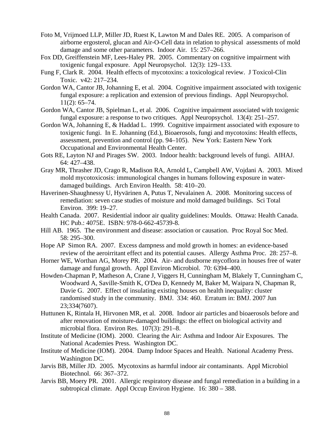- Foto M, Vrijmoed LLP, Miller JD, Ruest K, Lawton M and Dales RE. 2005. A comparison of airborne ergosterol, glucan and Air-O-Cell data in relation to physical assessments of mold damage and some other parameters. Indoor Air. 15: 257–266.
- Fox DD, Greiffenstein MF, Lees-Haley PR. 2005. Commentary on cognitive impairment with toxigenic fungal exposure. Appl Neuropsychol. 12(3): 129–133.
- Fung F, Clark R. 2004. Health effects of mycotoxins: a toxicological review. J Toxicol-Clin Toxic. v42: 217–234.
- Gordon WA, Cantor JB, Johanning E, et al. 2004. Cognitive impairment associated with toxigenic fungal exposure: a replication and extension of previous findings. Appl Neuropsychol. 11(2): 65–74.
- Gordon WA, Cantor JB, Spielman L, et al. 2006. Cognitive impairment associated with toxigenic fungal exposure: a response to two critiques. Appl Neuropsychol. 13(4): 251–257.
- Gordon WA, Johanning E, & Haddad L. 1999. Cognitive impairment associated with exposure to toxigenic fungi. In E. Johanning (Ed.), Bioaerosols, fungi and mycotoxins: Health effects, assessment, prevention and control (pp. 94–105). New York: Eastern New York Occupational and Environmental Health Center.
- Gots RE, Layton NJ and Pirages SW. 2003. Indoor health: background levels of fungi. AIHAJ. 64: 427–438.
- Gray MR, Thrasher JD, Crago R, Madison RA, Arnold L, Campbell AW, Vojdani A. 2003. Mixed mold mycotoxicosis: immunological changes in humans following exposure in waterdamaged buildings. Arch Environ Health. 58: 410–20.
- Haverinen-Shaughnessy U, Hyvärinen A, Putus T, Nevalainen A. 2008. Monitoring success of remediation: seven case studies of moisture and mold damaged buildings. Sci Total Environ. 399: 19–27.
- Health Canada. 2007. Residential indoor air quality guidelines: Moulds. Ottawa: Health Canada. HC Pub.: 4075E. ISBN: 978-0-662-45739-8.
- Hill AB. 1965. The environment and disease: association or causation. Proc Royal Soc Med. 58: 295–300.
- Hope AP Simon RA. 2007. Excess dampness and mold growth in homes: an evidence-based review of the aeroirritant effect and its potential causes. Allergy Asthma Proc. 28: 257–8.
- Horner WE, Worthan AG, Morey PR. 2004. Air- and dustborne mycoflora in houses free of water damage and fungal growth. Appl Environ Microbiol. 70: 6394–400.
- Howden-Chapman P, Matheson A, Crane J, Viggers H, Cunningham M, Blakely T, Cunningham C, Woodward A, Saville-Smith K, O'Dea D, Kennedy M, Baker M, Waipara N, Chapman R, Davie G. 2007. Effect of insulating existing houses on health inequality: cluster randomised study in the community. BMJ. 334: 460. Erratum in: BMJ. 2007 Jun 23;334(7607).
- Huttunen K, Rintala H, Hirvonen MR, et al. 2008. Indoor air particles and bioaerosols before and after renovation of moisture-damaged buildings: the effect on biological activity and microbial flora. Environ Res. 107(3): 291–8.
- Institute of Medicine (IOM). 2000. Clearing the Air: Asthma and Indoor Air Exposures. The National Academies Press. Washington DC.
- Institute of Medicine (IOM). 2004. Damp Indoor Spaces and Health. National Academy Press. Washington DC.
- Jarvis BB, Miller JD. 2005. Mycotoxins as harmful indoor air contaminants. Appl Microbiol Biotechnol. 66: 367–372.
- Jarvis BB, Moery PR. 2001. Allergic respiratory disease and fungal remediation in a building in a subtropical climate. Appl Occup Environ Hygiene. 16: 380 – 388.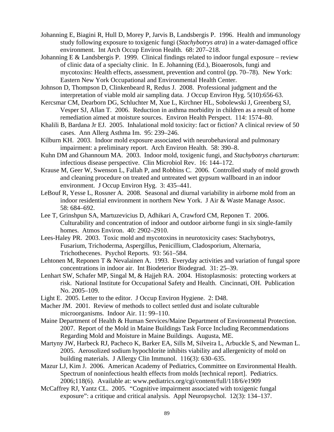- Johanning E, Biagini R, Hull D, Morey P, Jarvis B, Landsbergis P. 1996. Health and immunology study following exposure to toxigenic fungi (*Stachybotrys atra*) in a water-damaged office environment. Int Arch Occup Environ Health. 68: 207–218.
- Johanning E & Landsbergis P. 1999. Clinical findings related to indoor fungal exposure review of clinic data of a specialty clinic. In E. Johanning (Ed.), Bioaerosols, fungi and mycotoxins: Health effects, assessment, prevention and control (pp. 70–78). New York: Eastern New York Occupational and Environmental Health Center.
- Johnson D, Thompson D, Clinkenbeard R, Redus J. 2008. Professional judgment and the interpretation of viable mold air sampling data. J Occup Environ Hyg. 5(10):656-63.
- Kercsmar CM, Dearborn DG, Schluchter M, Xue L, Kirchner HL, Sobolewski J, Greenberg SJ, Vesper SJ, Allan T. 2006. Reduction in asthma morbidity in children as a result of home remediation aimed at moisture sources. Environ Health Perspect. 114: 1574–80.
- Khalili B, Bardana Jr EJ. 2005. Inhalational mold toxicity: fact or fiction? A clinical review of 50 cases. Ann Allerg Asthma Im. 95: 239–246.
- Kilburn KH. 2003. Indoor mold exposure associated with neurobehavioral and pulmonary impairment: a preliminary report. Arch Environ Health. 58: 390–8.
- Kuhn DM and Ghannoum MA. 2003. Indoor mold, toxigenic fungi, and *Stachybotrys chartarum*: infectious disease perspective. Clin Microbiol Rev. 16: 144–172.
- Krause M, Geer W, Swenson L, Fallah P, and Robbins C. 2006. Controlled study of mold growth and cleaning procedure on treated and untreated wet gypsum wallboard in an indoor environment. J Occup Environ Hyg. 3: 435–441.
- LeBouf R, Yesse L, Rossner A. 2008. Seasonal and diurnal variability in airborne mold from an indoor residential environment in northern New York. J Air & Waste Manage Assoc. 58: 684–692.
- Lee T, Grinshpun SA, Martuzevicius D, Adhikari A, Crawford CM, Reponen T. 2006. Culturability and concentration of indoor and outdoor airborne fungi in six single-family homes. Atmos Environ. 40: 2902–2910.
- Lees-Haley PR. 2003. Toxic mold and mycotoxins in neurotoxicity cases: Stachybotrys, Fusarium, Trichoderma, Aspergillus, Penicillium, Cladosporium, Alternaria, Trichothecenes. Psychol Reports. 93: 561–584.
- Lehtonen M, Reponen T & Nevalainen A. 1993. Everyday activities and variation of fungal spore concentrations in indoor air. Int Biodeterior Biodegrad. 31: 25–39.
- Lenhart SW, Schafer MP, Singal M, & Hajjeh RA. 2004. Histoplasmosis: protecting workers at risk. National Institute for Occupational Safety and Health. Cincinnati, OH. Publication No. 2005–109.
- Light E. 2005. Letter to the editor. J Occup Environ Hygiene. 2: D48.
- Macher JM. 2001. Review of methods to collect settled dust and isolate culturable microorganisms. Indoor Air. 11: 99–110.
- Maine Department of Health & Human Services/Maine Department of Environmental Protection. 2007. Report of the Mold in Maine Buildings Task Force Including Recommendations Regarding Mold and Moisture in Maine Buildings. Augusta, ME.
- Martyny JW, Harbeck RJ, Pacheco K, Barker EA, Sills M, Silveira L, Arbuckle S, and Newman L. 2005. Aerosolized sodium hypochlorite inhibits viability and allergenicity of mold on building materials. J Allergy Clin Immunol. 116(3): 630–635.
- Mazur LJ, Kim J. 2006. American Academy of Pediatrics, Committee on Environmental Health. Spectrum of noninfectious health effects from molds [technical report]. Pediatrics. 2006;118(6). Available at: www.pediatrics.org/cgi/content/full/118/6/e1909
- McCaffrey RJ, Yantz CL. 2005. "Cognitive impairment associated with toxigenic fungal exposure": a critique and critical analysis. Appl Neuropsychol. 12(3): 134–137.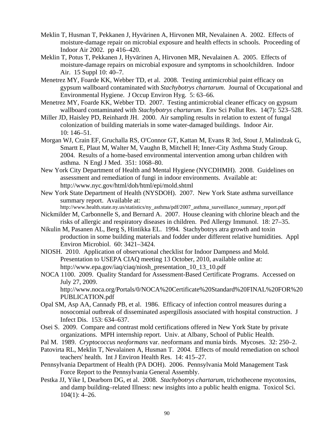- Meklin T, Husman T, Pekkanen J, Hyvärinen A, Hirvonen MR, Nevalainen A. 2002. Effects of moisture-damage repair on microbial exposure and health effects in schools. Proceeding of Indoor Air 2002. pp 416–420.
- Meklin T, Potus T, Pekkanen J, Hyvärinen A, Hirvonen MR, Nevalainen A. 2005. Effects of moisture-damage repairs on microbial exposure and symptoms in schoolchildren. Indoor Air. 15 Suppl 10: 40–7.
- Menetrez MY, Foarde KK, Webber TD, et al. 2008. Testing antimicrobial paint efficacy on gypsum wallboard contaminated with *Stachybotrys chartarum*. Journal of Occupational and Environmental Hygiene. J Occup Environ Hyg. 5: 63–66.
- Menetrez MY, Foarde KK, Webber TD. 2007. Testing antimicrobial cleaner efficacy on gypsum wallboard contaminated with *Stachybotrys chartarum*. Env Sci Pollut Res. 14(7): 523–528.
- Miller JD, Haisley PD, Reinhardt JH. 2000. Air sampling results in relation to extent of fungal colonization of building materials in some water-damaged buildings. Indoor Air. 10: 146–51.
- Morgan WJ, Crain EF, Gruchalla RS, O'Connor GT, Kattan M, Evans R 3rd, Stout J, Malindzak G, Smartt E, Plaut M, Walter M, Vaughn B, Mitchell H; Inner-City Asthma Study Group. 2004. Results of a home-based environmental intervention among urban children with asthma. N Engl J Med. 351: 1068–80.
- New York City Department of Health and Mental Hygiene (NYCDHMH). 2008. Guidelines on assessment and remediation of fungi in indoor environments. Available at: http://www.nyc.gov/html/doh/html/epi/mold.shtml
- New York State Department of Health (NYSDOH). 2007. New York State asthma surveillance summary report. Available at:
- http://www.health.state.ny.us/statistics/ny\_asthma/pdf/2007\_asthma\_surveillance\_summary\_report.pdf
- Nickmilder M, Carbonnelle S, and Bernard A. 2007. House cleaning with chlorine bleach and the risks of allergic and respiratory diseases in children. Ped Allergy Immunol. 18: 27–35.
- Nikulin M, Pasanen AL, Berg S, Hintikka EL. 1994. Stachybotrys atra growth and toxin production in some building materials and fodder under different relative humidities. Appl Environ Microbiol. 60: 3421–3424.
- NIOSH. 2010. Application of observational checklist for Indoor Dampness and Mold. Presentation to USEPA CIAQ meeting 13 October, 2010, available online at: http://www.epa.gov/iaq/ciaq/niosh\_presentation\_10\_13\_10.pdf
- NOCA 1100. 2009. Quality Standard for Assessment-Based Certificate Programs. Accessed on July 27, 2009. http://www.noca.org/Portals/0/NOCA%20Certificate%20Standard%20FINAL%20FOR%20 PUBLICATION.pdf
- Opal SM, Asp AA, Cannady PB, et al. 1986. Efficacy of infection control measures during a nosocomial outbreak of disseminated aspergillosis associated with hospital construction. J Infect Dis. 153: 634–637.
- Osei S. 2009. Compare and contrast mold certifications offered in New York State by private organizations. MPH internship report. Univ. at Albany, School of Public Health.
- Pal M. 1989. *Cryptococcus neoformans* var. neoformans and munia birds. Mycoses. 32: 250–2.
- Patovirta RL, Meklin T, Nevalainen A, Husman T. 2004. Effects of mould remediation on school teachers' health. Int J Environ Health Res. 14: 415–27.
- Pennsylvania Department of Health (PA DOH). 2006. Pennsylvania Mold Management Task Force Report to the Pennsylvania General Assembly.
- Pestka JJ, Yike I, Dearborn DG, et al. 2008. *Stachybotrys chartarum*, trichothecene mycotoxins, and damp building–related Illness: new insights into a public health enigma. Toxicol Sci. 104(1): 4–26.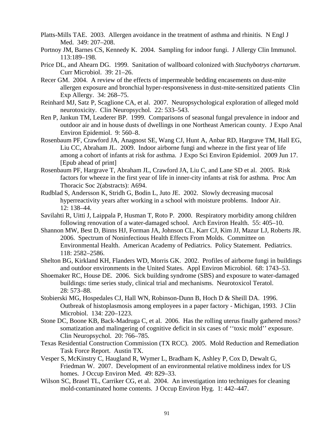- Platts-Mills TAE. 2003. Allergen avoidance in the treatment of asthma and rhinitis. N Engl J Med. 349: 207–208.
- Portnoy JM, Barnes CS, Kennedy K. 2004. Sampling for indoor fungi. J Allergy Clin Immunol. 113:189–198.
- Price DL, and Ahearn DG. 1999. Sanitation of wallboard colonized with *Stachybotrys chartarum*. Curr Microbiol. 39: 21–26.
- Recer GM. 2004. A review of the effects of impermeable bedding encasements on dust-mite allergen exposure and bronchial hyper-responsiveness in dust-mite-sensitized patients Clin Exp Allergy. 34: 268–75.
- Reinhard MJ, Satz P, Scaglione CA, et al. 2007. Neuropsychological exploration of alleged mold neurotoxicity. Clin Neuropsychol. 22: 533–543.
- Ren P, Jankun TM, Leaderer BP. 1999. Comparisons of seasonal fungal prevalence in indoor and outdoor air and in house dusts of dwellings in one Northeast American county. J Expo Anal Environ Epidemiol. 9: 560–8.
- Rosenbaum PF, Crawford JA, Anagnost SE, Wang CJ, Hunt A, Anbar RD, Hargrave TM, Hall EG, Liu CC, Abraham JL. 2009. Indoor airborne fungi and wheeze in the first year of life among a cohort of infants at risk for asthma. J Expo Sci Environ Epidemiol. 2009 Jun 17. [Epub ahead of print]
- Rosenbaum PF, Hargrave T, Abraham JL, Crawford JA, Liu C, and Lane SD et al. 2005. Risk factors for wheeze in the first year of life in inner-city infants at risk for asthma. Proc Am Thoracic Soc 2(abstracts): A694.
- Rudblad S, Andersson K, Stridh G, Bodin L, Juto JE. 2002. Slowly decreasing mucosal hyperreactivity years after working in a school with moisture problems. Indoor Air. 12: 138–44.
- Savilahti R, Uitti J, Laippala P, Husman T, Roto P. 2000. Respiratory morbidity among children following renovation of a water-damaged school. Arch Environ Health. 55: 405–10.
- Shannon MW, Best D, Binns HJ, Forman JA, Johnson CL, Karr CJ, Kim JJ, Mazur LJ, Roberts JR. 2006. Spectrum of Noninfectious Health Effects From Molds. Committee on Environmental Health. American Academy of Pediatrics. Policy Statement. Pediatrics. 118: 2582–2586.
- Shelton BG, Kirkland KH, Flanders WD, Morris GK. 2002. Profiles of airborne fungi in buildings and outdoor environments in the United States. Appl Environ Microbiol. 68: 1743–53.
- Shoemaker RC, House DE. 2006. Sick building syndrome (SBS) and exposure to water-damaged buildings: time series study, clinical trial and mechanisms. Neurotoxicol Teratol. 28: 573–88.
- Stobierski MG, Hospedales CJ, Hall WN, Robinson-Dunn B, Hoch D & Sheill DA. 1996. Outbreak of histoplasmosis among employees in a paper factory - Michigan, 1993. J Clin Microbiol. 134: 220–1223.
- Stone DC, Boone KB, Back-Madruga C, et al. 2006. Has the rolling uterus finally gathered moss? somatization and malingering of cognitive deficit in six cases of ''toxic mold'' exposure. Clin Neuropsychol. 20: 766–785.
- Texas Residential Construction Commission (TX RCC). 2005. Mold Reduction and Remediation Task Force Report. Austin TX.
- Vesper S, McKinstry C, Haugland R, Wymer L, Bradham K, Ashley P, Cox D, Dewalt G, Friedman W. 2007. Development of an environmental relative moldiness index for US homes. J Occup Environ Med. 49: 829–33.
- Wilson SC, Brasel TL, Carriker CG, et al. 2004. An investigation into techniques for cleaning mold-contaminated home contents. J Occup Environ Hyg. 1: 442–447.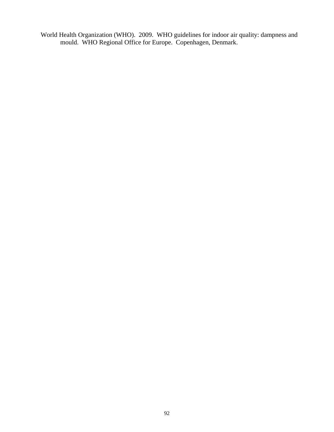World Health Organization (WHO). 2009. WHO guidelines for indoor air quality: dampness and mould. WHO Regional Office for Europe. Copenhagen, Denmark.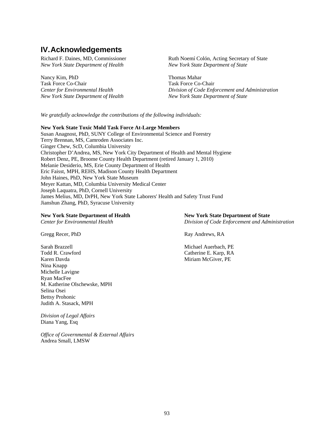# **IV. Acknowledgements**

*New York State Department of Health New York State Department of State* 

 *New York State Department of Health New York State Department of State*  Nancy Kim, PhD Thomas Mahar Task Force Co-Chair Task Force Co-Chair

Richard F. Daines, MD, Commissioner Ruth Noemí Colón, Acting Secretary of State

*Center for Environmental Health Division of Code Enforcement and Administration* 

*We gratefully acknowledge the contributions of the following individuals:* 

 Robert Denz, PE, Broome County Health Department (retired January 1, 2010) Eric Faisst, MPH, REHS, Madison County Health Department John Haines, PhD, New York State Museum **New York State Toxic Mold Task Force At-Large Members**  Susan Anagnost, PhD, SUNY College of Environmental Science and Forestry Terry Brennan, MS, Camroden Associates Inc. Ginger Chew, ScD, Columbia University Christopher D'Andrea, MS, New York City Department of Health and Mental Hygiene Melanie Desiderio, MS, Erie County Department of Health Meyer Kattan, MD, Columbia University Medical Center Joseph Laquatra, PhD, Cornell University James Melius, MD, DrPH, New York State Laborers' Health and Safety Trust Fund Jianshun Zhang, PhD, Syracuse University

#### **New York State Department of Health**

*Center for Environmental Health* 

Gregg Recer, PhD

Sarah Brazzell Todd R. Crawford Karen Davda Nina Knapp Michelle Lavigne Ryan MacFee M. Katherine Olschewske, MPH Selina Osei Bettsy Prohonic Judith A. Stasack, MPH

*Division of Legal Affairs*  Diana Yang, Esq

*Office of Governmental & External Affairs*  Andrea Small, LMSW

**New York State Department of State**  *Division of Code Enforcement and Administration* 

Ray Andrews, RA

Michael Auerbach, PE Catherine E. Karp, RA Miriam McGiver, PE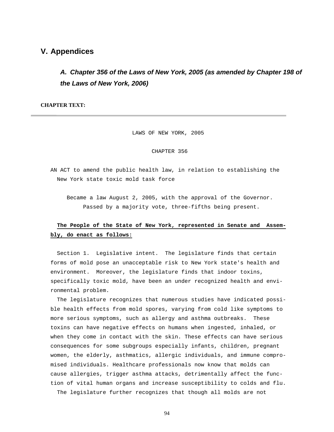# **V. Appendices**

*A. Chapter 356 of the Laws of New York, 2005 (as amended by Chapter 198 of the Laws of New York, 2006)* 

**CHAPTER TEXT:**

LAWS OF NEW YORK, 2005

CHAPTER 356

 AN ACT to amend the public health law, in relation to establishing the New York state toxic mold task force

 Became a law August 2, 2005, with the approval of the Governor. Passed by a majority vote, three-fifths being present.

# **The People of the State of New York, represented in Senate and Assembly, do enact as follows:**

 Section 1. Legislative intent. The legislature finds that certain forms of mold pose an unacceptable risk to New York state's health and environment. Moreover, the legislature finds that indoor toxins, specifically toxic mold, have been an under recognized health and environmental problem.

 The legislature recognizes that numerous studies have indicated possible health effects from mold spores, varying from cold like symptoms to more serious symptoms, such as allergy and asthma outbreaks. These toxins can have negative effects on humans when ingested, inhaled, or when they come in contact with the skin. These effects can have serious consequences for some subgroups especially infants, children, pregnant women, the elderly, asthmatics, allergic individuals, and immune compromised individuals. Healthcare professionals now know that molds can cause allergies, trigger asthma attacks, detrimentally affect the function of vital human organs and increase susceptibility to colds and flu.

The legislature further recognizes that though all molds are not

94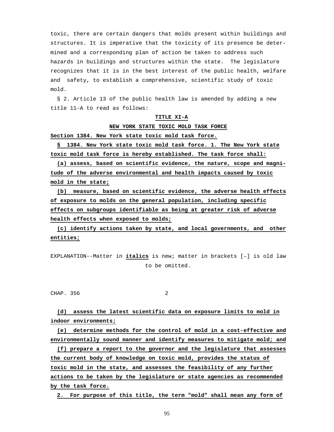toxic, there are certain dangers that molds present within buildings and structures. It is imperative that the toxicity of its presence be determined and a corresponding plan of action be taken to address such hazards in buildings and structures within the state. The legislature recognizes that it is in the best interest of the public health, welfare and safety, to establish a comprehensive, scientific study of toxic mold.

 § 2. Article 13 of the public health law is amended by adding a new title 11-A to read as follows:

#### **TITLE XI-A**

#### **NEW YORK STATE TOXIC MOLD TASK FORCE**

**Section 1384. New York state toxic mold task force.** 

**§ 1384. New York state toxic mold task force. 1. The New York state toxic mold task force is hereby established. The task force shall:** 

**(a) assess, based on scientific evidence, the nature, scope and magnitude of the adverse environmental and health impacts caused by toxic mold in the state;** 

**(b) measure, based on scientific evidence, the adverse health effects of exposure to molds on the general population, including specific effects on subgroups identifiable as being at greater risk of adverse health effects when exposed to molds;** 

**(c) identify actions taken by state, and local governments, and other entities;**

EXPLANATION--Matter in *italics* is new; matter in brackets [-] is old law to be omitted.

CHAP. 356 2

**(d) assess the latest scientific data on exposure limits to mold in indoor environments;** 

**(e) determine methods for the control of mold in a cost-effective and environmentally sound manner and identify measures to mitigate mold; and** 

**(f) prepare a report to the governor and the legislature that assesses the current body of knowledge on toxic mold, provides the status of toxic mold in the state, and assesses the feasibility of any further actions to be taken by the legislature or state agencies as recommended by the task force.** 

**2. For purpose of this title, the term "mold" shall mean any form of**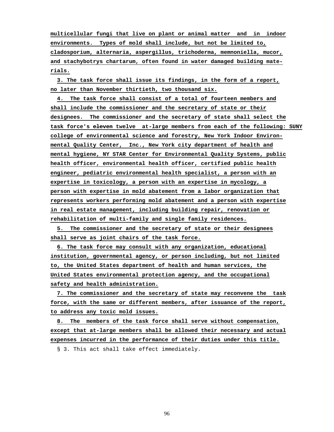**multicellular fungi that live on plant or animal matter and in indoor environments. Types of mold shall include, but not be limited to, cladosporium, alternaria, aspergillus, trichoderma, memnoniella, mucor, and stachybotrys chartarum, often found in water damaged building materials.** 

**3. The task force shall issue its findings, in the form of a report, no later than November thirtieth, two thousand six.** 

**4. The task force shall consist of a total of fourteen members and shall include the commissioner and the secretary of state or their designees. The commissioner and the secretary of state shall select the task force's eleven twelve at-large members from each of the following: SUNY college of environmental science and forestry, New York Indoor Environmental Quality Center, Inc., New York city department of health and mental hygiene, NY STAR Center for Environmental Quality Systems, public health officer, environmental health officer, certified public health engineer, pediatric environmental health specialist, a person with an expertise in toxicology, a person with an expertise in mycology, a person with expertise in mold abatement from a labor organization that represents workers performing mold abatement and a person with expertise in real estate management, including building repair, renovation or rehabilitation of multi-family and single family residences.** 

**5. The commissioner and the secretary of state or their designees shall serve as joint chairs of the task force.** 

**6. The task force may consult with any organization, educational institution, governmental agency, or person including, but not limited to, the United States department of health and human services, the United States environmental protection agency, and the occupational safety and health administration.** 

**7. The commissioner and the secretary of state may reconvene the task force, with the same or different members, after issuance of the report, to address any toxic mold issues.** 

**8. The members of the task force shall serve without compensation, except that at-large members shall be allowed their necessary and actual expenses incurred in the performance of their duties under this title.**

§ 3. This act shall take effect immediately.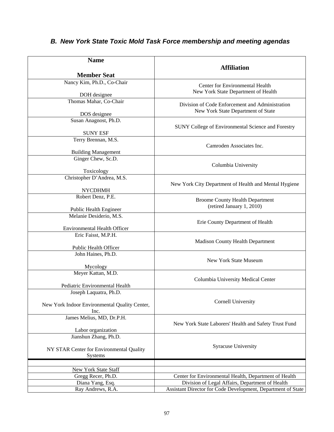# *B. New York State Toxic Mold Task Force membership and meeting agendas*

| <b>Name</b>                                                | <b>Affiliation</b>                                                                    |
|------------------------------------------------------------|---------------------------------------------------------------------------------------|
| <b>Member Seat</b>                                         |                                                                                       |
| Nancy Kim, Ph.D., Co-Chair<br>DOH designee                 | Center for Environmental Health<br>New York State Department of Health                |
| Thomas Mahar, Co-Chair                                     |                                                                                       |
| DOS designee                                               | Division of Code Enforcement and Administration<br>New York State Department of State |
| Susan Anagnost, Ph.D.                                      |                                                                                       |
| <b>SUNY ESF</b>                                            | SUNY College of Environmental Science and Forestry                                    |
| Terry Brennan, M.S.                                        |                                                                                       |
| <b>Building Management</b>                                 | Camroden Associates Inc.                                                              |
| Ginger Chew, Sc.D.                                         | Columbia University                                                                   |
| Toxicology                                                 |                                                                                       |
| Christopher D'Andrea, M.S.<br><b>NYCDHMH</b>               | New York City Department of Health and Mental Hygiene                                 |
| Robert Denz, P.E.                                          |                                                                                       |
|                                                            | <b>Broome County Health Department</b>                                                |
| Public Health Engineer                                     | (retired January 1, 2010)                                                             |
| Melanie Desiderio, M.S.                                    |                                                                                       |
|                                                            | Erie County Department of Health                                                      |
| <b>Environmental Health Officer</b>                        |                                                                                       |
| Eric Faisst, M.P.H.                                        |                                                                                       |
|                                                            | <b>Madison County Health Department</b>                                               |
| Public Health Officer                                      |                                                                                       |
| John Haines, Ph.D.                                         |                                                                                       |
|                                                            | New York State Museum                                                                 |
| Mycology                                                   |                                                                                       |
| Meyer Kattan, M.D.                                         |                                                                                       |
|                                                            | Columbia University Medical Center                                                    |
| Pediatric Environmental Health                             |                                                                                       |
| Joseph Laquatra, Ph.D.                                     |                                                                                       |
| New York Indoor Environmental Quality Center,<br>Inc.      | Cornell University                                                                    |
| James Melius, MD, Dr.P.H.                                  |                                                                                       |
|                                                            | New York State Laborers' Health and Safety Trust Fund                                 |
| Labor organization                                         |                                                                                       |
| Jianshun Zhang, Ph.D.                                      |                                                                                       |
| NY STAR Center for Environmental Quality<br><b>Systems</b> | <b>Syracuse University</b>                                                            |
|                                                            |                                                                                       |
| New York State Staff                                       |                                                                                       |
| Gregg Recer, Ph.D.                                         | Center for Environmental Health, Department of Health                                 |
| Diana Yang, Esq.                                           | Division of Legal Affairs, Department of Health                                       |
| Ray Andrews, R.A.                                          | Assistant Director for Code Development, Department of State                          |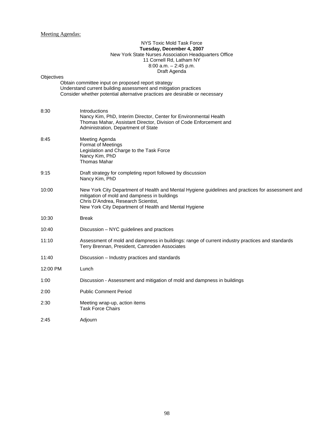#### NYS Toxic Mold Task Force **Tuesday, December 4, 2007**  New York State Nurses Association Headquarters Office 11 Cornell Rd, Latham NY 8:00 a.m. – 2:45 p.m. Draft Agenda

**Objectives** 

Obtain committee input on proposed report strategy Understand current building assessment and mitigation practices Consider whether potential alternative practices are desirable or necessary

| 8:30     | Introductions<br>Nancy Kim, PhD, Interim Director, Center for Environmental Health<br>Thomas Mahar, Assistant Director, Division of Code Enforcement and<br>Administration, Department of State                                                   |
|----------|---------------------------------------------------------------------------------------------------------------------------------------------------------------------------------------------------------------------------------------------------|
| 8:45     | Meeting Agenda<br>Format of Meetings<br>Legislation and Charge to the Task Force<br>Nancy Kim, PhD<br><b>Thomas Mahar</b>                                                                                                                         |
| 9:15     | Draft strategy for completing report followed by discussion<br>Nancy Kim, PhD                                                                                                                                                                     |
| 10:00    | New York City Department of Health and Mental Hygiene guidelines and practices for assessment and<br>mitigation of mold and dampness in buildings<br>Chris D'Andrea, Research Scientist,<br>New York City Department of Health and Mental Hygiene |
| 10:30    | <b>Break</b>                                                                                                                                                                                                                                      |
| 10:40    | Discussion - NYC guidelines and practices                                                                                                                                                                                                         |
| 11:10    | Assessment of mold and dampness in buildings: range of current industry practices and standards<br>Terry Brennan, President, Camroden Associates                                                                                                  |
| 11:40    | Discussion – Industry practices and standards                                                                                                                                                                                                     |
| 12:00 PM | Lunch                                                                                                                                                                                                                                             |
| 1:00     | Discussion - Assessment and mitigation of mold and dampness in buildings                                                                                                                                                                          |
| 2:00     | <b>Public Comment Period</b>                                                                                                                                                                                                                      |
| 2:30     | Meeting wrap-up, action items<br><b>Task Force Chairs</b>                                                                                                                                                                                         |
| 2:45     | Adjourn                                                                                                                                                                                                                                           |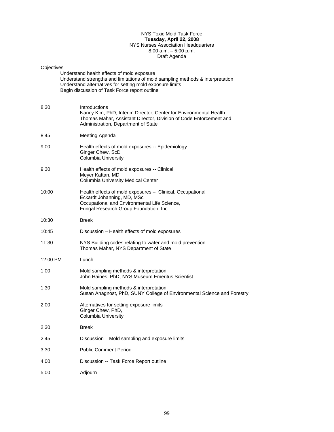#### NYS Toxic Mold Task Force **Tuesday, April 22, 2008**  NYS Nurses Association Headquarters 8:00 a.m. – 5:00 p.m. Draft Agenda

| Objectives<br>Understand health effects of mold exposure<br>Understand strengths and limitations of mold sampling methods & interpretation<br>Understand alternatives for setting mold exposure limits<br>Begin discussion of Task Force report outline |  |                                                                                                                                                                                                 |
|---------------------------------------------------------------------------------------------------------------------------------------------------------------------------------------------------------------------------------------------------------|--|-------------------------------------------------------------------------------------------------------------------------------------------------------------------------------------------------|
| 8:30                                                                                                                                                                                                                                                    |  | Introductions<br>Nancy Kim, PhD, Interim Director, Center for Environmental Health<br>Thomas Mahar, Assistant Director, Division of Code Enforcement and<br>Administration, Department of State |
| 8:45                                                                                                                                                                                                                                                    |  | Meeting Agenda                                                                                                                                                                                  |
| 9:00                                                                                                                                                                                                                                                    |  | Health effects of mold exposures -- Epidemiology<br>Ginger Chew, ScD<br><b>Columbia University</b>                                                                                              |
| 9:30                                                                                                                                                                                                                                                    |  | Health effects of mold exposures -- Clinical<br>Meyer Kattan, MD<br>Columbia University Medical Center                                                                                          |
| 10:00                                                                                                                                                                                                                                                   |  | Health effects of mold exposures - Clinical, Occupational<br>Eckardt Johanning, MD, MSc<br>Occupational and Environmental Life Science,<br>Fungal Research Group Foundation, Inc.               |
| 10:30                                                                                                                                                                                                                                                   |  | <b>Break</b>                                                                                                                                                                                    |
| 10:45                                                                                                                                                                                                                                                   |  | Discussion - Health effects of mold exposures                                                                                                                                                   |
| 11:30                                                                                                                                                                                                                                                   |  | NYS Building codes relating to water and mold prevention<br>Thomas Mahar, NYS Department of State                                                                                               |
| 12:00 PM                                                                                                                                                                                                                                                |  | Lunch                                                                                                                                                                                           |
| 1:00                                                                                                                                                                                                                                                    |  | Mold sampling methods & interpretation<br>John Haines, PhD, NYS Museum Emeritus Scientist                                                                                                       |
| 1:30                                                                                                                                                                                                                                                    |  | Mold sampling methods & interpretation<br>Susan Anagnost, PhD, SUNY College of Environmental Science and Forestry                                                                               |
| 2:00                                                                                                                                                                                                                                                    |  | Alternatives for setting exposure limits<br>Ginger Chew, PhD,<br><b>Columbia University</b>                                                                                                     |
| 2:30                                                                                                                                                                                                                                                    |  | <b>Break</b>                                                                                                                                                                                    |
| 2:45                                                                                                                                                                                                                                                    |  | Discussion - Mold sampling and exposure limits                                                                                                                                                  |
| 3:30                                                                                                                                                                                                                                                    |  | <b>Public Comment Period</b>                                                                                                                                                                    |
| 4:00                                                                                                                                                                                                                                                    |  | Discussion -- Task Force Report outline                                                                                                                                                         |
| 5:00                                                                                                                                                                                                                                                    |  | Adjourn                                                                                                                                                                                         |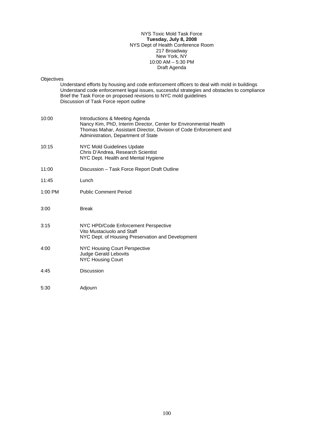#### NYS Toxic Mold Task Force **Tuesday, July 8, 2008**  NYS Dept of Health Conference Room 217 Broadway New York, NY 10:00 AM – 5:30 PM Draft Agenda

## **Objectives**

| ODJECTIVES | Understand efforts by housing and code enforcement officers to deal with mold in buildings<br>Understand code enforcement legal issues, successful strategies and obstacles to compliance<br>Brief the Task Force on proposed revisions to NYC mold guidelines<br>Discussion of Task Force report outline |
|------------|-----------------------------------------------------------------------------------------------------------------------------------------------------------------------------------------------------------------------------------------------------------------------------------------------------------|
| 10:00      | Introductions & Meeting Agenda<br>Nancy Kim, PhD, Interim Director, Center for Environmental Health<br>Thomas Mahar, Assistant Director, Division of Code Enforcement and<br>Administration, Department of State                                                                                          |
| 10:15      | NYC Mold Guidelines Update<br>Chris D'Andrea, Research Scientist<br>NYC Dept. Health and Mental Hygiene                                                                                                                                                                                                   |
| 11:00      | Discussion - Task Force Report Draft Outline                                                                                                                                                                                                                                                              |
| 11:45      | Lunch                                                                                                                                                                                                                                                                                                     |
| $1:00$ PM  | <b>Public Comment Period</b>                                                                                                                                                                                                                                                                              |
| 3:00       | <b>Break</b>                                                                                                                                                                                                                                                                                              |
| 3:15       | NYC HPD/Code Enforcement Perspective<br>Vito Mustaciuolo and Staff<br>NYC Dept. of Housing Preservation and Development                                                                                                                                                                                   |
| 4:00       | NYC Housing Court Perspective<br><b>Judge Gerald Lebovits</b><br><b>NYC Housing Court</b>                                                                                                                                                                                                                 |
| 4:45       | <b>Discussion</b>                                                                                                                                                                                                                                                                                         |
| 5:30       | Adjourn                                                                                                                                                                                                                                                                                                   |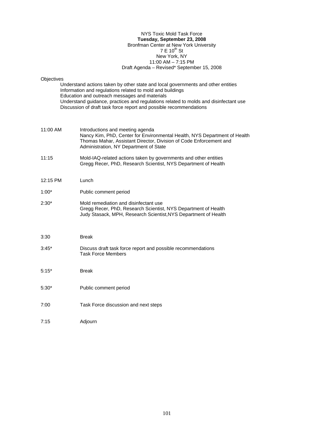#### NYS Toxic Mold Task Force **Tuesday, September 23, 2008**  Bronfman Center at New York University 7 E 10 $th$  St New York, NY 11:00 AM – 7:15 PM Draft Agenda – Revised\* September 15, 2008

# **Objectives**

|          | Understand actions taken by other state and local governments and other entities<br>Information and regulations related to mold and buildings<br>Education and outreach messages and materials<br>Understand guidance, practices and regulations related to molds and disinfectant use<br>Discussion of draft task force report and possible recommendations |
|----------|--------------------------------------------------------------------------------------------------------------------------------------------------------------------------------------------------------------------------------------------------------------------------------------------------------------------------------------------------------------|
| 11:00 AM | Introductions and meeting agenda<br>Nancy Kim, PhD, Center for Environmental Health, NYS Department of Health<br>Thomas Mahar, Assistant Director, Division of Code Enforcement and<br>Administration, NY Department of State                                                                                                                                |
| 11:15    | Mold-IAQ-related actions taken by governments and other entities<br>Gregg Recer, PhD, Research Scientist, NYS Department of Health                                                                                                                                                                                                                           |
| 12:15 PM | Lunch                                                                                                                                                                                                                                                                                                                                                        |
| $1:00*$  | Public comment period                                                                                                                                                                                                                                                                                                                                        |
| $2:30*$  | Mold remediation and disinfectant use<br>Gregg Recer, PhD, Research Scientist, NYS Department of Health<br>Judy Stasack, MPH, Research Scientist, NYS Department of Health                                                                                                                                                                                   |
| 3:30     | <b>Break</b>                                                                                                                                                                                                                                                                                                                                                 |
| $3:45*$  | Discuss draft task force report and possible recommendations<br><b>Task Force Members</b>                                                                                                                                                                                                                                                                    |
| $5:15*$  | <b>Break</b>                                                                                                                                                                                                                                                                                                                                                 |
| $5:30*$  | Public comment period                                                                                                                                                                                                                                                                                                                                        |
| 7:00     | Task Force discussion and next steps                                                                                                                                                                                                                                                                                                                         |
| 7:15     | Adjourn                                                                                                                                                                                                                                                                                                                                                      |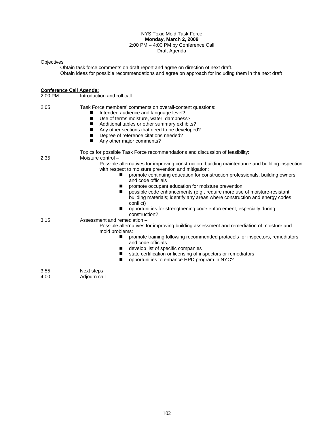#### NYS Toxic Mold Task Force **Monday, March 2, 2009**  2:00 PM – 4:00 PM by Conference Call Draft Agenda

#### Objectives

Obtain task force comments on draft report and agree on direction of next draft. Obtain ideas for possible recommendations and agree on approach for including them in the next draft

#### **Conference Call Agenda:**

| 2:00 PM      | Introduction and roll call                                                                                                                                                                                                                                                                                                                                                                                                                                                                                                                                                                                                                                                                  |
|--------------|---------------------------------------------------------------------------------------------------------------------------------------------------------------------------------------------------------------------------------------------------------------------------------------------------------------------------------------------------------------------------------------------------------------------------------------------------------------------------------------------------------------------------------------------------------------------------------------------------------------------------------------------------------------------------------------------|
| 2:05         | Task Force members' comments on overall-content questions:<br>Intended audience and language level?<br>■<br>Use of terms moisture, water, dampness?<br>п<br>Additional tables or other summary exhibits?<br>■<br>Any other sections that need to be developed?<br>ш<br>Degree of reference citations needed?<br>■<br>Any other major comments?<br>■                                                                                                                                                                                                                                                                                                                                         |
| 2:35         | Topics for possible Task Force recommendations and discussion of feasibility:<br>Moisture control-<br>Possible alternatives for improving construction, building maintenance and building inspection<br>with respect to moisture prevention and mitigation:<br>promote continuing education for construction professionals, building owners<br>and code officials<br>promote occupant education for moisture prevention<br>possible code enhancements (e.g., require more use of moisture-resistant<br>■<br>building materials; identify any areas where construction and energy codes<br>conflict)<br>opportunities for strengthening code enforcement, especially during<br>construction? |
| 3:15         | Assessment and remediation -<br>Possible alternatives for improving building assessment and remediation of moisture and<br>mold problems:<br>promote training following recommended protocols for inspectors, remediators<br>and code officials<br>develop list of specific companies<br>state certification or licensing of inspectors or remediators<br>ш<br>opportunities to enhance HPD program in NYC?<br>ш                                                                                                                                                                                                                                                                            |
| 3:55<br>4:00 | Next steps<br>Adjourn call                                                                                                                                                                                                                                                                                                                                                                                                                                                                                                                                                                                                                                                                  |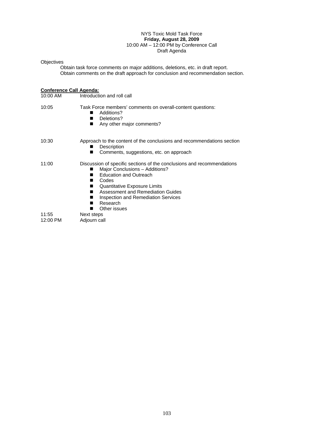#### NYS Toxic Mold Task Force **Friday, August 28, 2009**  10:00 AM – 12:00 PM by Conference Call Draft Agenda

Objectives

Obtain task force comments on major additions, deletions, etc. in draft report. Obtain comments on the draft approach for conclusion and recommendation section.

### **Conference Call Agenda:**

| 10:00 AM          | Introduction and roll call                                                                                                                                                                                                                                                                        |
|-------------------|---------------------------------------------------------------------------------------------------------------------------------------------------------------------------------------------------------------------------------------------------------------------------------------------------|
| 10:05             | Task Force members' comments on overall-content questions:<br>Additions?<br>Deletions?<br>■<br>Any other major comments?                                                                                                                                                                          |
| 10:30             | Approach to the content of the conclusions and recommendations section<br>Description<br>Comments, suggestions, etc. on approach                                                                                                                                                                  |
| 11:00             | Discussion of specific sections of the conclusions and recommendations<br>Major Conclusions - Additions?<br><b>Education and Outreach</b><br>Codes<br>Quantitative Exposure Limits<br>Assessment and Remediation Guides<br><b>Inspection and Remediation Services</b><br>Research<br>Other issues |
| 11:55<br>12:00 PM | Next steps<br>Adjourn call                                                                                                                                                                                                                                                                        |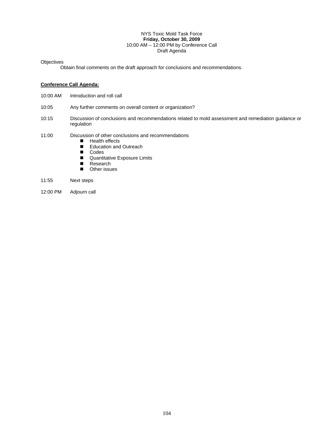#### NYS Toxic Mold Task Force **Friday, October 30, 2009**  10:00 AM – 12:00 PM by Conference Call Draft Agenda

**Objectives** 

Obtain final comments on the draft approach for conclusions and recommendations.

### **Conference Call Agenda:**

- 10:00 AM Introduction and roll call
- 10:05 Any further comments on overall content or organization?
- 10:15 Discussion of conclusions and recommendations related to mold assessment and remediation guidance or regulation
- 11:00 Discussion of other conclusions and recommendations
	- Health effects<br>■ Education and
	- Education and Outreach<br>■ Codes
	- Codes
	- Quantitative Exposure Limits
	- Research
	- **Delay** Other issues
- 11:55 Next steps
- 12:00 PM Adjourn call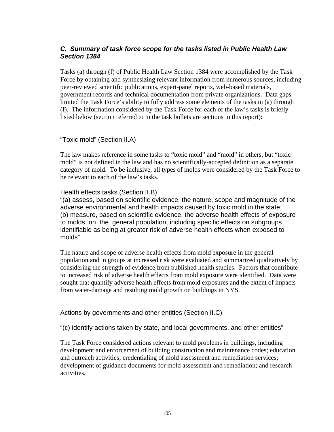# *C. Summary of task force scope for the tasks listed in Public Health Law Section 1384*

Tasks (a) through (f) of Public Health Law Section 1384 were accomplished by the Task Force by obtaining and synthesizing relevant information from numerous sources, including peer-reviewed scientific publications, expert-panel reports, web-based materials, government records and technical documentation from private organizations. Data gaps limited the Task Force's ability to fully address some elements of the tasks in (a) through (f). The information considered by the Task Force for each of the law's tasks is briefly listed below (section referred to in the task bullets are sections in this report):

# "Toxic mold" (Section II.A)

The law makes reference in some tasks to "toxic mold" and "mold" in others, but "toxic mold" is not defined in the law and has no scientifically-accepted definition as a separate category of mold. To be inclusive, all types of molds were considered by the Task Force to be relevant to each of the law's tasks.

# Health effects tasks (Section II.B)

"(a) assess, based on scientific evidence, the nature, scope and magnitude of the adverse environmental and health impacts caused by toxic mold in the state; (b) measure, based on scientific evidence, the adverse health effects of exposure to molds on the general population, including specific effects on subgroups identifiable as being at greater risk of adverse health effects when exposed to molds"

The nature and scope of adverse health effects from mold exposure in the general population and in groups at increased risk were evaluated and summarized qualitatively by considering the strength of evidence from published health studies. Factors that contribute to increased risk of adverse health effects from mold exposure were identified. Data were sought that quantify adverse health effects from mold exposures and the extent of impacts from water-damage and resulting mold growth on buildings in NYS.

# Actions by governments and other entities (Section II.C)

"(c) identify actions taken by state, and local governments, and other entities"

The Task Force considered actions relevant to mold problems in buildings, including development and enforcement of building construction and maintenance codes; education and outreach activities; credentialing of mold assessment and remediation services; development of guidance documents for mold assessment and remediation; and research activities.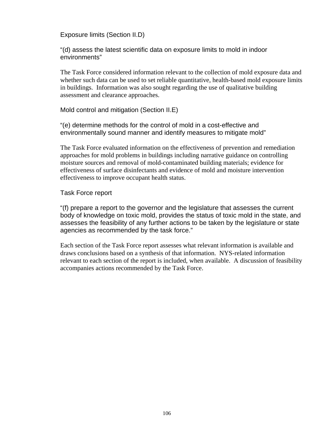Exposure limits (Section II.D)

"(d) assess the latest scientific data on exposure limits to mold in indoor environments"

The Task Force considered information relevant to the collection of mold exposure data and whether such data can be used to set reliable quantitative, health-based mold exposure limits in buildings. Information was also sought regarding the use of qualitative building assessment and clearance approaches.

Mold control and mitigation (Section II.E)

"(e) determine methods for the control of mold in a cost-effective and environmentally sound manner and identify measures to mitigate mold"

The Task Force evaluated information on the effectiveness of prevention and remediation approaches for mold problems in buildings including narrative guidance on controlling moisture sources and removal of mold-contaminated building materials; evidence for effectiveness of surface disinfectants and evidence of mold and moisture intervention effectiveness to improve occupant health status.

Task Force report

"(f) prepare a report to the governor and the legislature that assesses the current body of knowledge on toxic mold, provides the status of toxic mold in the state, and assesses the feasibility of any further actions to be taken by the legislature or state agencies as recommended by the task force."

Each section of the Task Force report assesses what relevant information is available and draws conclusions based on a synthesis of that information. NYS-related information relevant to each section of the report is included, when available. A discussion of feasibility accompanies actions recommended by the Task Force.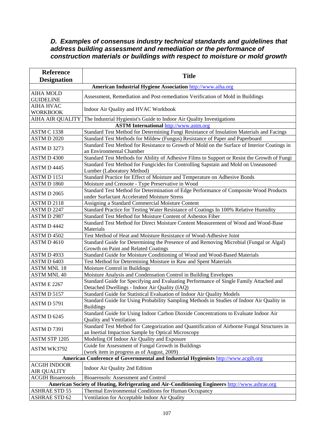# *D. Examples of consensus industry technical standards and guidelines that address building assessment and remediation or the performance of construction materials or buildings with respect to moisture or mold growth*

| <b>Reference</b>                                                                   | <b>Title</b>                                                                                                                                      |  |  |  |
|------------------------------------------------------------------------------------|---------------------------------------------------------------------------------------------------------------------------------------------------|--|--|--|
| <b>Designation</b>                                                                 |                                                                                                                                                   |  |  |  |
| American Industrial Hygiene Association http://www.aiha.org                        |                                                                                                                                                   |  |  |  |
| <b>AIHA MOLD</b><br><b>GUIDELINE</b>                                               | Assessment, Remediation and Post-remediation Verification of Mold in Buildings                                                                    |  |  |  |
| <b>AIHA HVAC</b><br><b>WORKBOOK</b>                                                | Indoor Air Quality and HVAC Workbook                                                                                                              |  |  |  |
| <b>AIHA AIR QUALITY</b>                                                            | The Industrial Hygienist's Guide to Indoor Air Quality Investigations                                                                             |  |  |  |
|                                                                                    | <b>ASTM International http://www.astm.org</b>                                                                                                     |  |  |  |
| <b>ASTM C 1338</b>                                                                 | Standard Test Method for Determining Fungi Resistance of Insulation Materials and Facings                                                         |  |  |  |
| ASTM D 2020                                                                        | Standard Test Methods for Mildew (Fungus) Resistance of Paper and Paperboard                                                                      |  |  |  |
|                                                                                    | Standard Test Method for Resistance to Growth of Mold on the Surface of Interior Coatings in                                                      |  |  |  |
| ASTMD 3273                                                                         | an Environmental Chamber                                                                                                                          |  |  |  |
| ASTM D 4300                                                                        | Standard Test Methods for Ability of Adhesive Films to Support or Resist the Growth of Fungi                                                      |  |  |  |
| ASTM D 4445                                                                        | Standard Test Method for Fungicides for Controlling Sapstain and Mold on Unseasoned                                                               |  |  |  |
|                                                                                    | Lumber (Laboratory Method)                                                                                                                        |  |  |  |
| ASTM D 1151                                                                        | Standard Practice for Effect of Moisture and Temperature on Adhesive Bonds                                                                        |  |  |  |
| ASTM D 1860                                                                        | Moisture and Creosote - Type Preservative in Wood                                                                                                 |  |  |  |
| ASTM D 2065                                                                        | Standard Test Method for Determination of Edge Performance of Composite Wood Products                                                             |  |  |  |
|                                                                                    | under Surfactant Accelerated Moisture Stress                                                                                                      |  |  |  |
| ASTM D 2118                                                                        | Assigning a Standard Commercial Moisture Content                                                                                                  |  |  |  |
| ASTM D 2247                                                                        | Standard Practice for Testing Water Resistance of Coatings In 100% Relative Humidity                                                              |  |  |  |
| ASTM D 2987                                                                        | Standard Test Method for Moisture Content of Asbestos Fiber                                                                                       |  |  |  |
| ASTM D 4442                                                                        | Standard Test Method for Direct Moisture Content Measurement of Wood and Wood-Base<br>Materials                                                   |  |  |  |
| ASTM D 4502                                                                        | Test Method of Heat and Moisture Resistance of Wood-Adhesive Joint                                                                                |  |  |  |
| ASTM D 4610                                                                        | Standard Guide for Determining the Presence of and Removing Microbial (Fungal or Algal)<br>Growth on Paint and Related Coatings                   |  |  |  |
| ASTM D 4933                                                                        | Standard Guide for Moisture Conditioning of Wood and Wood-Based Materials                                                                         |  |  |  |
| ASTM D 6403                                                                        | Test Method for Determining Moisture in Raw and Spent Materials                                                                                   |  |  |  |
| <b>ASTM MNL 18</b>                                                                 | Moisture Control in Buildings                                                                                                                     |  |  |  |
| <b>ASTM MNL 40</b>                                                                 | Moisture Analysis and Condensation Control in Building Envelopes                                                                                  |  |  |  |
| <b>ASTM E 2267</b>                                                                 | Standard Guide for Specifying and Evaluating Performance of Single Family Attached and<br>Detached Dwellings - Indoor Air Quality (IAQ)           |  |  |  |
| ASTM D 5157                                                                        | Standard Guide for Statistical Evaluation of Indoor Air Quality Models                                                                            |  |  |  |
|                                                                                    | Standard Guide for Using Probability Sampling Methods in Studies of Indoor Air Quality in                                                         |  |  |  |
| ASTM D 5791                                                                        | <b>Buildings</b>                                                                                                                                  |  |  |  |
| ASTM D 6245                                                                        | Standard Guide for Using Indoor Carbon Dioxide Concentrations to Evaluate Indoor Air                                                              |  |  |  |
|                                                                                    | <b>Quality and Ventilation</b>                                                                                                                    |  |  |  |
| ASTM D7391                                                                         | Standard Test Method for Categorization and Quantification of Airborne Fungal Structures in<br>an Inertial Impaction Sample by Optical Microscopy |  |  |  |
| ASTM STP 1205                                                                      | Modeling Of Indoor Air Quality and Exposure                                                                                                       |  |  |  |
|                                                                                    | Guide for Assessment of Fungal Growth in Buildings                                                                                                |  |  |  |
| ASTM WK3792                                                                        | (work item in progress as of August, 2009)                                                                                                        |  |  |  |
| American Conference of Governmental and Industrial Hygienists http://www.acgih.org |                                                                                                                                                   |  |  |  |
| <b>ACGIH INDOOR</b>                                                                |                                                                                                                                                   |  |  |  |
| <b>AIR QUALITY</b>                                                                 | Indoor Air Quality 2nd Edition                                                                                                                    |  |  |  |
| <b>ACGIH Bioaerosols</b>                                                           | <b>Bioaerosols: Assessment and Control</b>                                                                                                        |  |  |  |
|                                                                                    | American Society of Heating, Refrigerating and Air-Conditioning Engineers http://www.ashrae.org                                                   |  |  |  |
| <b>ASHRAE STD 55</b>                                                               | Thermal Environmental Conditions for Human Occupancy                                                                                              |  |  |  |
| <b>ASHRAE STD 62</b>                                                               | Ventilation for Acceptable Indoor Air Quality                                                                                                     |  |  |  |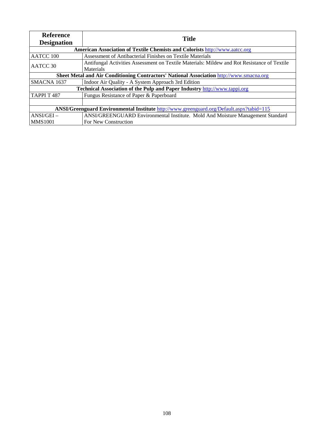| <b>Reference</b>                                                                         | <b>Title</b>                                                                                |  |  |
|------------------------------------------------------------------------------------------|---------------------------------------------------------------------------------------------|--|--|
| <b>Designation</b>                                                                       |                                                                                             |  |  |
|                                                                                          | American Association of Textile Chemists and Colorists http://www.aatcc.org                 |  |  |
| AATCC 100                                                                                | Assessment of Antibacterial Finishes on Textile Materials                                   |  |  |
| AATCC 30                                                                                 | Antifungal Activities Assessment on Textile Materials: Mildew and Rot Resistance of Textile |  |  |
|                                                                                          | Materials                                                                                   |  |  |
| Sheet Metal and Air Conditioning Contractors' National Association http://www.smacna.org |                                                                                             |  |  |
| SMACNA 1637                                                                              | Indoor Air Quality - A System Approach 3rd Edition                                          |  |  |
| Technical Association of the Pulp and Paper Industry http://www.tappi.org                |                                                                                             |  |  |
| Fungus Resistance of Paper & Paperboard<br>TAPPI T <sub>487</sub>                        |                                                                                             |  |  |
|                                                                                          |                                                                                             |  |  |
| ANSI/Greenguard Environmental Institute http://www.greenguard.org/Default.aspx?tabid=115 |                                                                                             |  |  |
| $ANSI/GEI -$                                                                             | ANSI/GREENGUARD Environmental Institute. Mold And Moisture Management Standard              |  |  |
| <b>MMS1001</b><br>For New Construction                                                   |                                                                                             |  |  |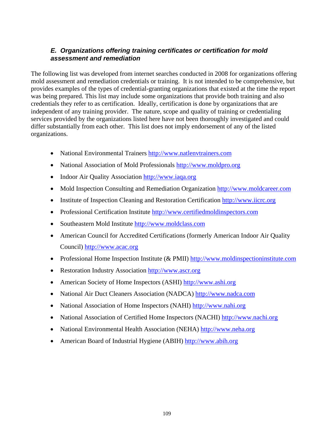# *E. Organizations offering training certificates or certification for mold assessment and remediation*

The following list was developed from internet searches conducted in 2008 for organizations offering mold assessment and remediation credentials or training. It is not intended to be comprehensive, but provides examples of the types of credential-granting organizations that existed at the time the report was being prepared. This list may include some organizations that provide both training and also credentials they refer to as certification. Ideally, certification is done by organizations that are independent of any training provider. The nature, scope and quality of training or credentialing services provided by the organizations listed here have not been thoroughly investigated and could differ substantially from each other. This list does not imply endorsement of any of the listed organizations.

- National Environmental Trainers http://www.natlenvtrainers.com
- National Association of Mold Professionals http://www.moldpro.org
- Indoor Air Quality Association http://www.iaqa.org
- Mold Inspection Consulting and Remediation Organization http://www.moldcareer.com
- Institute of Inspection Cleaning and Restoration Certification http://www.iicrc.org
- Professional Certification Institute http://www.certifiedmoldinspectors.com
- Southeastern Mold Institute http://www.moldclass.com
- American Council for Accredited Certifications (formerly American Indoor Air Quality Council) http://www.acac.org
- Professional Home Inspection Institute (& PMII) http://www.moldinspectioninstitute.com
- Restoration Industry Association http://www.ascr.org
- American Society of Home Inspectors (ASHI) http://www.ashi.org
- National Air Duct Cleaners Association (NADCA) http://www.nadca.com
- National Association of Home Inspectors (NAHI) http://www.nahi.org
- National Association of Certified Home Inspectors (NACHI) http://www.nachi.org
- National Environmental Health Association (NEHA) http://www.neha.org
- American Board of Industrial Hygiene (ABIH) http://www.abih.org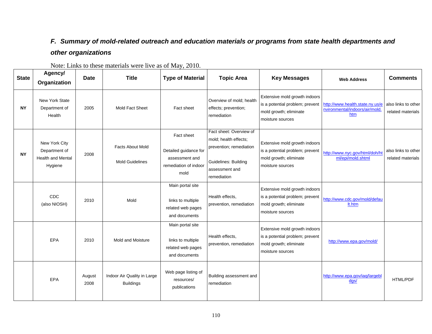# *F. Summary of mold-related outreach and education materials or programs from state health departments and other organizations*

| <b>State</b> | Agency/<br>Organization                                        | <b>Date</b>    | <b>Title</b>                                      | <b>Type of Material</b>                                                                | <b>Topic Area</b>                                                                                                                    | <b>Key Messages</b>                                                                                            | <b>Web Address</b>                                                      | <b>Comments</b>                          |
|--------------|----------------------------------------------------------------|----------------|---------------------------------------------------|----------------------------------------------------------------------------------------|--------------------------------------------------------------------------------------------------------------------------------------|----------------------------------------------------------------------------------------------------------------|-------------------------------------------------------------------------|------------------------------------------|
| <b>NY</b>    | <b>New York State</b><br>Department of<br>Health               | 2005           | <b>Mold Fact Sheet</b>                            | Fact sheet                                                                             | Overview of mold; health<br>effects; prevention;<br>remediation                                                                      | Extensive mold growth indoors<br>is a potential problem; prevent<br>mold growth; eliminate<br>moisture sources | http://www.health.state.ny.us/e<br>nvironmental/indoors/air/mold<br>htm | also links to other<br>related materials |
| <b>NY</b>    | New York City<br>Department of<br>Health and Mental<br>Hygiene | 2008           | <b>Facts About Mold</b><br><b>Mold Guidelines</b> | Fact sheet<br>Detailed guidance for<br>assessment and<br>remediation of indoor<br>mold | Fact sheet: Overview of<br>mold; health effects;<br>prevention; remediation<br>Guidelines: Building<br>assessment and<br>remediation | Extensive mold growth indoors<br>is a potential problem; prevent<br>mold growth; eliminate<br>moisture sources | http://www.nyc.gov/html/doh/ht<br>ml/epi/mold.shtml                     | also links to other<br>related materials |
|              | CDC<br>(also NIOSH)                                            | 2010           | Mold                                              | Main portal site<br>links to multiple<br>related web pages<br>and documents            | Health effects,<br>prevention, remediation                                                                                           | Extensive mold growth indoors<br>is a potential problem; prevent<br>mold growth; eliminate<br>moisture sources | http://www.cdc.gov/mold/defau<br>It.htm                                 |                                          |
|              | EPA                                                            | 2010           | <b>Mold and Moisture</b>                          | Main portal site<br>links to multiple<br>related web pages<br>and documents            | Health effects,<br>prevention, remediation                                                                                           | Extensive mold growth indoors<br>is a potential problem; prevent<br>mold growth; eliminate<br>moisture sources | http://www.epa.gov/mold/                                                |                                          |
|              | EPA                                                            | August<br>2008 | Indoor Air Quality in Large<br><b>Buildings</b>   | Web page listing of<br>resources/<br>publications                                      | Building assessment and<br>remediation                                                                                               |                                                                                                                | http://www.epa.gov/iaq/largebl<br>$\frac{dg}{g}$                        | HTML/PDF                                 |

Note: Links to these materials were live as of May, 2010.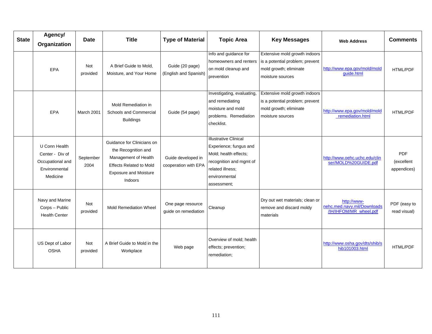| <b>State</b> | Agency/<br>Organization                                                           | Date              | <b>Title</b>                                                                                                                                           | <b>Type of Material</b>                    | <b>Topic Area</b>                                                                                                                                              | <b>Key Messages</b>                                                                                            | <b>Web Address</b>                                                   | <b>Comments</b>                         |
|--------------|-----------------------------------------------------------------------------------|-------------------|--------------------------------------------------------------------------------------------------------------------------------------------------------|--------------------------------------------|----------------------------------------------------------------------------------------------------------------------------------------------------------------|----------------------------------------------------------------------------------------------------------------|----------------------------------------------------------------------|-----------------------------------------|
|              | EPA                                                                               | Not<br>provided   | A Brief Guide to Mold,<br>Moisture, and Your Home                                                                                                      | Guide (20 page)<br>(English and Spanish)   | Info and guidance for<br>homeowners and renters<br>on mold cleanup and<br>prevention                                                                           | Extensive mold growth indoors<br>is a potential problem; prevent<br>mold growth; eliminate<br>moisture sources | http://www.epa.gov/mold/mold<br>guide.html                           | HTML/PDF                                |
|              | EPA                                                                               | March 2001        | Mold Remediation in<br><b>Schools and Commercial</b><br><b>Buildings</b>                                                                               | Guide (54 page)                            | Investigating, evaluating,<br>and remediating<br>moisture and mold<br>problems. Remediation<br>checklist.                                                      | Extensive mold growth indoors<br>is a potential problem; prevent<br>mold growth; eliminate<br>moisture sources | http://www.epa.gov/mold/mold<br>remediation.html                     | <b>HTML/PDF</b>                         |
|              | U Conn Health<br>Center - Div of<br>Occupational and<br>Environmental<br>Medicine | September<br>2004 | Guidance for Clinicians on<br>the Recognition and<br>Management of Health<br><b>Effects Related to Mold</b><br><b>Exposure and Moisture</b><br>Indoors | Guide developed in<br>cooperation with EPA | <b>Illustrative Clinical</b><br>Experience; fungus and<br>Mold; health effects;<br>recognition and mgmt of<br>related illness:<br>environmental<br>assessment; |                                                                                                                | http://www.oehc.uchc.edu/clin<br>ser/MOLD%20GUIDE.pdf                | <b>PDF</b><br>(excellent<br>appendices) |
|              | Navy and Marine<br>Corps - Public<br><b>Health Center</b>                         | Not<br>provided   | <b>Mold Remediation Wheel</b>                                                                                                                          | One page resource<br>quide on remediation  | Cleanup                                                                                                                                                        | Dry out wet materials; clean or<br>remove and discard moldy<br>materials                                       | http://www-<br>nehc.med.navy.mil/Downloads<br>/IH/IHFOM/MR_wheel.pdf | PDF (easy to<br>read visual)            |
|              | US Dept of Labor<br><b>OSHA</b>                                                   | Not<br>provided   | A Brief Guide to Mold in the<br>Workplace                                                                                                              | Web page                                   | Overview of mold; health<br>effects; prevention;<br>remediation;                                                                                               |                                                                                                                | http://www.osha.gov/dts/shib/s<br>hib101003.html                     | HTML/PDF                                |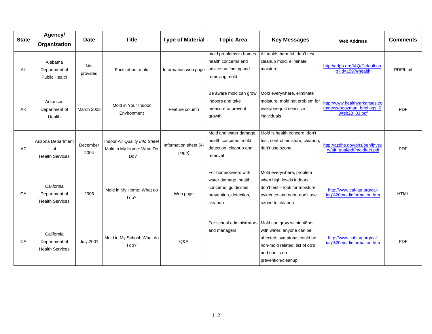| <b>State</b> | Agency/<br>Organization                               | <b>Date</b>      | <b>Title</b>                                                       | <b>Type of Material</b>        | <b>Topic Area</b>                                                                                        | <b>Key Messages</b>                                                                                                                                             | <b>Web Address</b>                                                            | <b>Comments</b> |
|--------------|-------------------------------------------------------|------------------|--------------------------------------------------------------------|--------------------------------|----------------------------------------------------------------------------------------------------------|-----------------------------------------------------------------------------------------------------------------------------------------------------------------|-------------------------------------------------------------------------------|-----------------|
| <b>AL</b>    | Alabama<br>Department of<br><b>Public Health</b>      | Not<br>provided  | Facts about mold                                                   | Information web page           | mold problems in homes-<br>health concerns and<br>advice on finding and<br>removing mold                 | All molds harmful, don't test,<br>cleanup mold, eliminate<br>moisture                                                                                           | http://adph.org/IAQ/Default.as<br>p?id=1597#health                            | PDF/html        |
| AK           | Arkansas<br>Department of<br>Health                   | March 2003       | Mold in Your Indoor<br>Environment                                 | Feature column                 | Be aware mold can grow<br>indoors and take<br>measure to prevent<br>growth                               | Mold everywhere, eliminate<br>moisture, mold not problem for<br>everyone-just sensitive<br>individuals                                                          | http://www.healthyarkansas.co<br>m/news/boozman_briefings_0<br>3/feb28_03.pdf | <b>PDF</b>      |
| AZ           | Arizona Department<br>of<br><b>Health Services</b>    | December<br>2004 | Indoor Air Quality Info Sheet<br>Mold in My Home: What Do<br>I Do? | Information sheet (4-<br>page) | Mold and water damage,<br>health concerns, mold<br>detection, cleanup and<br>removal                     | Mold is health concern, don't<br>test, control moisture, cleanup,<br>don't use ozone                                                                            | http://azdhs.gov/phs/oeh/invsu<br>rv/air_qual/pdf/moldfact.pdf                | <b>PDF</b>      |
| CA           | California<br>Department of<br><b>Health Services</b> | 2006             | Mold in My Home: What do<br>$1$ do?                                | Web page                       | For homeowners with<br>water damage, health<br>concerns, guidelines<br>prevention, detection,<br>cleanup | Mold everywhere, problem<br>when high levels indoors,<br>don't test - look for moisture<br>evidence and odor, don't use<br>ozone to cleanup                     | http://www.cal-iaq.org/cal-<br>iaq%20moldinformation.htm                      | <b>HTML</b>     |
| CA           | California<br>Department of<br><b>Health Services</b> | <b>July 2001</b> | Mold in My School: What do<br>Ido?                                 | Q&A                            | For school administrators<br>and managers                                                                | Mold can grow within 48hrs<br>with water; anyone can be<br>affected; symptoms could be<br>non-mold related, list of do's<br>and don'ts on<br>prevention/cleanup | http://www.cal-iaq.org/cal-<br>iaq%20moldinformation.htm                      | <b>PDF</b>      |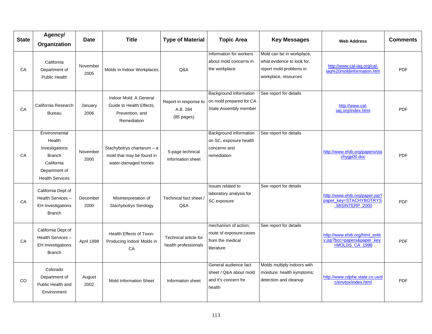| <b>State</b> | Agency/<br>Organization                                                                                             | <b>Date</b>      | <b>Title</b>                                                                         | <b>Type of Material</b>                           | <b>Topic Area</b>                                                                      | <b>Key Messages</b>                                                                                        | <b>Web Address</b>                                                               | <b>Comments</b> |
|--------------|---------------------------------------------------------------------------------------------------------------------|------------------|--------------------------------------------------------------------------------------|---------------------------------------------------|----------------------------------------------------------------------------------------|------------------------------------------------------------------------------------------------------------|----------------------------------------------------------------------------------|-----------------|
| CA           | California<br>Department of<br>Public Health                                                                        | November<br>2005 | Molds in Indoor Workplaces                                                           | Q&A                                               | Information for workers<br>about mold concerns in<br>the workplace                     | Mold can be in workplace,<br>what evidence to look for,<br>report mold problems in<br>workplace, resources | http://www.cal-iag.org/cal-<br>iaq%20moldinformation.htm                         | <b>PDF</b>      |
| CA           | California Research<br><b>Bureau</b>                                                                                | January<br>2006  | Indoor Mold: A General<br>Guide to Health Effects,<br>Prevention, and<br>Remediation | Report in response to<br>A.B. 284<br>$(85$ pages) | <b>Background information</b><br>on mold prepared for CA<br>State Assembly member      | See report for details                                                                                     | http://www.cal-<br>iaq.org/index.html                                            | <b>PDF</b>      |
| <b>CA</b>    | Environmental<br>Health<br>Investigations<br><b>Branch</b><br>California<br>Department of<br><b>Health Services</b> | November<br>2000 | Stachybotrys chartarum - a<br>mold that may be found in<br>water-damaged homes       | 5-page technical<br>information sheet             | <b>Background information</b><br>on SC, exposure health<br>concerns and<br>remediation | See report for details                                                                                     | http://www.ehib.org/papers/sta<br>chygp00.doc                                    | <b>PDF</b>      |
| CA           | California Dept of<br>Health Services-<br><b>EH Investigations</b><br><b>Branch</b>                                 | December<br>2000 | Misinterpretation of<br>Stachybotrys Serology                                        | Technical fact sheet /<br>Q&A                     | Issues related to<br>laboratory analysis for<br>SC exposure                            | See report for details                                                                                     | http://www.ehib.org/paper.jsp?<br>paper_key=STACHYBOTRYS<br>MISINTERP_2000       | <b>PDF</b>      |
| CA           | California Dept of<br>Health Services-<br><b>EH Investigations</b><br><b>Branch</b>                                 | April 1998       | Health Effects of Toxin-<br>Producing Indoor Molds in<br>CA                          | Technical article for<br>health professionals     | mechanism of action;<br>route of exposure; cases<br>from the medical<br>literature     | See report for details                                                                                     | http://www.ehib.org/html_entit<br>y.jsp?bcc=papers&paper_key<br>$=MOLDS CA$ 1998 | <b>PDF</b>      |
| CO           | Colorado<br>Department of<br>Public Health and<br>Environment                                                       | August<br>2002   | <b>Mold Information Sheet</b>                                                        | Information sheet                                 | General audience fact<br>sheet / Q&A about mold<br>and it's concern for<br>health      | Molds multiply indoors with<br>moisture; health symptoms;<br>detection and cleanup                         | http://www.cdphe.state.co.us/d<br>c/envtox/index.html                            | <b>PDF</b>      |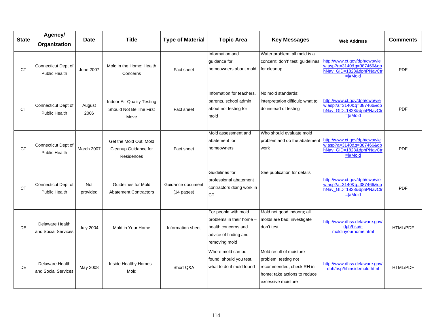| <b>State</b> | Agency/<br>Organization                     | <b>Date</b>      | <b>Title</b>                                                  | <b>Type of Material</b>                   | <b>Topic Area</b>                                                                                               | <b>Key Messages</b>                                                                                                               | <b>Web Address</b>                                                                                 | <b>Comments</b> |
|--------------|---------------------------------------------|------------------|---------------------------------------------------------------|-------------------------------------------|-----------------------------------------------------------------------------------------------------------------|-----------------------------------------------------------------------------------------------------------------------------------|----------------------------------------------------------------------------------------------------|-----------------|
| CT           | Connecticut Dept of<br><b>Public Health</b> | <b>June 2007</b> | Mold in the Home: Health<br>Concerns                          | Fact sheet                                | Information and<br>quidance for<br>homeowners about mold                                                        | Water problem; all mold is a<br>concern; don't' test; guidelines<br>for cleanup                                                   | http://www.ct.gov/dph/cwp/vie<br>w.asp?a=3140&q=387466&dp<br>hNav_GID=1828&dphPNavCtr<br>$=$ #Mold | <b>PDF</b>      |
| <b>CT</b>    | Connecticut Dept of<br>Public Health        | August<br>2006   | Indoor Air Quality Testing<br>Should Not Be The First<br>Move | Fact sheet                                | Information for teachers.<br>parents, school admin<br>about not testing for<br>mold                             | No mold standards;<br>interpretation difficult; what to<br>do instead of testing                                                  | http://www.ct.gov/dph/cwp/vie<br>w.asp?a=3140&q=387466&dp<br>hNav_GID=1828&dphPNavCtr<br>$=$ #Mold | <b>PDF</b>      |
| <b>CT</b>    | <b>Connecticut Dept of</b><br>Public Health | March 2007       | Get the Mold Out: Mold<br>Cleanup Guidance for<br>Residences  | Fact sheet                                | Mold assessment and<br>abatement for<br>homeowners                                                              | Who should evaluate mold<br>problem and do the abatement<br>work                                                                  | http://www.ct.gov/dph/cwp/vie<br>w.asp?a=3140&q=387466&dp<br>hNav_GID=1828&dphPNavCtr<br>$=$ #Mold | <b>PDF</b>      |
| <b>CT</b>    | Connecticut Dept of<br><b>Public Health</b> | Not<br>provided  | <b>Guidelines for Mold</b><br><b>Abatement Contractors</b>    | Guidance document<br>$(14 \text{ pages})$ | Guidelines for<br>professional abatement<br>contractors doing work in<br><b>CT</b>                              | See publication for details                                                                                                       | http://www.ct.gov/dph/cwp/vie<br>w.asp?a=3140&q=387466&dp<br>hNav_GID=1828&dphPNavCtr<br>$=$ #Mold | <b>PDF</b>      |
| <b>DE</b>    | Delaware Health<br>and Social Services      | <b>July 2004</b> | Mold in Your Home                                             | Information sheet                         | For people with mold<br>problems in their home<br>health concerns and<br>advice of finding and<br>removing mold | Mold not good indoors; all<br>molds are bad; investigate<br>don't test                                                            | http://www.dhss.delaware.gov/<br>dph/hsp/i-<br>moldinyourhome.html                                 | HTML/PDF        |
| <b>DE</b>    | Delaware Health<br>and Social Services      | May 2008         | Inside Healthy Homes -<br>Mold                                | Short Q&A                                 | Where mold can be<br>found, should you test,<br>what to do if mold found                                        | Mold result of moisture<br>problem; testing not<br>recommended; check RH in<br>home; take actions to reduce<br>excessive moisture | http://www.dhss.delaware.gov/<br>dph/hsp/hhinsidemold.html                                         | <b>HTML/PDF</b> |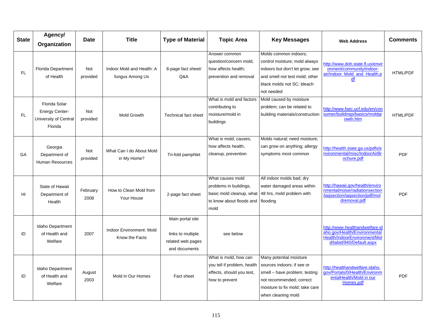| <b>State</b> | Agency/<br>Organization                                             | <b>Date</b>            | <b>Title</b>                                 | <b>Type of Material</b>                                                     | <b>Topic Area</b>                                                                                          | <b>Key Messages</b>                                                                                                                                                         | <b>Web Address</b>                                                                                                         | <b>Comments</b> |
|--------------|---------------------------------------------------------------------|------------------------|----------------------------------------------|-----------------------------------------------------------------------------|------------------------------------------------------------------------------------------------------------|-----------------------------------------------------------------------------------------------------------------------------------------------------------------------------|----------------------------------------------------------------------------------------------------------------------------|-----------------|
| <b>FL</b>    | Florida Department<br>of Health                                     | Not<br>provided        | Indoor Mold and Health: A<br>fungus Among Us | 8-page fact sheet/<br>Q&A                                                   | Answer common<br>question/concern mold,<br>how affects health;<br>prevention and removal                   | Molds common indoors;<br>control moisture; mold always<br>indoors but don't let grow; see<br>and smell not test mold; other<br>black molds not SC; bleach<br>not needed     | http://www.doh.state.fl.us/envir<br>onment/community/indoor-<br>air/Indoor_Mold_and_Health.p<br>df                         | HTML/PDF        |
| <b>FL</b>    | Florida Solar<br>Energy Center-<br>University of Central<br>Florida | <b>Not</b><br>provided | <b>Mold Growth</b>                           | <b>Technical fact sheet</b>                                                 | What is mold and factors<br>contributing to<br>moisture/mold in<br>buildings                               | Mold caused by moisture<br>problem; can be related to<br>building materials/construction                                                                                    | http://www.fsec.ucf.edu/en/con<br>sumer/buildings/basics/moldgr<br>owth.htm                                                | HTML/PDF        |
| GA           | Georgia<br>Department of<br><b>Human Resources</b>                  | <b>Not</b><br>provided | What Can I do About Mold<br>in My Home?      | Tri-fold pamphlet                                                           | What is mold, causes,<br>how affects health,<br>cleanup, prevention                                        | Molds natural; need moisture;<br>can grow on anything; allergy<br>symptoms most common                                                                                      | http://health.state.ga.us/pdfs/e<br>nvironmental/misc/IndoorAirBr<br>ochure.pdf                                            | <b>PDF</b>      |
| HI           | State of Hawaii<br>Department of<br>Health                          | February<br>2008       | How to Clean Mold from<br>Your House         | 2-page fact sheet                                                           | What causes mold<br>problems in buildings,<br>basic mold cleanup, what<br>to know about floods and<br>mold | All indoor molds bad; dry<br>water damaged areas within<br>48 hrs, mold problem with<br>flooding                                                                            | http://hawaii.gov/health/enviro<br>nmental/noise/radiationsection<br>/iagsection/iagsection/pdf/mol<br>dremoval.pdf        | <b>PDF</b>      |
| ID           | Idaho Department<br>of Health and<br>Welfare                        | 2007                   | Indoor Environment: Mold<br>Know the Facts   | Main portal site<br>links to multiple<br>related web pages<br>and documents | see below                                                                                                  |                                                                                                                                                                             | http://www.healthandwelfare.id<br>aho.gov/Health/Environmental<br>Health/IndoorEnvironment/Mol<br>d/tabid/940/Default.aspx |                 |
| ID           | Idaho Department<br>of Health and<br>Welfare                        | August<br>2003         | Mold in Our Homes                            | Fact sheet                                                                  | What is mold, how can<br>you tell if problem, health<br>effects, should you test,<br>how to prevent        | Many potential moisture<br>sources indoors; if see or<br>smell - have problem; testing<br>not recommended; correct<br>moisture to fix mold; take care<br>when cleaning mold | http://healthandwelfare.idaho.<br>gov/Portals/0/Health/Environm<br>entalHealth/Mold in our<br>Homes.pdf                    | <b>PDF</b>      |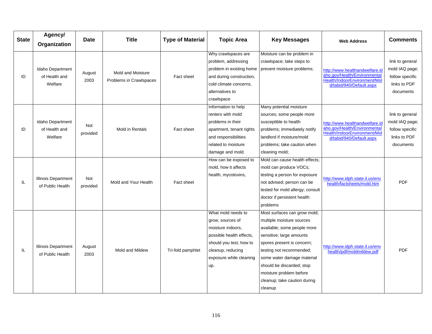| <b>State</b> | Agency/<br>Organization                        | Date            | <b>Title</b>                                 | <b>Type of Material</b> | <b>Topic Area</b>                                                                                                                                                         | <b>Key Messages</b>                                                                                                                                                                                                                                                                                             | <b>Web Address</b>                                                                                                         | <b>Comments</b>                                                                   |
|--------------|------------------------------------------------|-----------------|----------------------------------------------|-------------------------|---------------------------------------------------------------------------------------------------------------------------------------------------------------------------|-----------------------------------------------------------------------------------------------------------------------------------------------------------------------------------------------------------------------------------------------------------------------------------------------------------------|----------------------------------------------------------------------------------------------------------------------------|-----------------------------------------------------------------------------------|
| ID           | Idaho Department<br>of Health and<br>Welfare   | August<br>2003  | Mold and Moisture<br>Problems in Crawlspaces | Fact sheet              | Why crawlspaces are<br>problem, addressing<br>and during construction,<br>cold climate concerns,<br>alternatives to<br>crawlspace                                         | Moisture can be problem in<br>crawlspace; take steps to<br>problem in existing home   prevent moisture problems;                                                                                                                                                                                                | http://www.healthandwelfare.id<br>aho.gov/Health/Environmenta<br>Health/IndoorEnvironment/Mol<br>d/tabid/940/Default.aspx  | link to general<br>mold IAQ page;<br>follow specific<br>links to PDF<br>documents |
| ID           | Idaho Department<br>of Health and<br>Welfare   | Not<br>provided | Mold in Rentals                              | Fact sheet              | Information to help<br>renters with mold<br>problems in their<br>apartment, tenant rights<br>and responsibilities<br>related to moisture<br>damage and mold.              | Many potential moisture<br>sources; some people more<br>susceptible to health<br>problems; immediately notify<br>landlord if moisture/mold<br>problems; take caution when<br>cleaning mold;                                                                                                                     | http://www.healthandwelfare.id<br>aho.gov/Health/Environmental<br>Health/IndoorEnvironment/Mol<br>d/tabid/940/Default.aspx | link to general<br>mold IAQ page;<br>follow specific<br>links to PDF<br>documents |
| IL.          | <b>Illinois Department</b><br>of Public Health | Not<br>provided | Mold and Your Health                         | Fact sheet              | How can be exposed to<br>mold, how it affects<br>health, mycotoxins,                                                                                                      | Mold can cause health effects;<br>mold can produce VOCs;<br>testing a person for exposure<br>not advised; person can be<br>tested for mold allergy; consult<br>doctor if persistent health<br>problems                                                                                                          | http://www.idph.state.il.us/env<br>health/factsheets/mold.htm                                                              | <b>PDF</b>                                                                        |
| IL.          | <b>Illinois Department</b><br>of Public Health | August<br>2003  | Mold and Mildew                              | Tri-fold pamphlet       | What mold needs to<br>grow, sources of<br>moisture indoors,<br>possible health effects,<br>should you test, how to<br>cleanup, reducing<br>exposure while cleaning<br>up. | Most surfaces can grow mold;<br>multiple moisture sources<br>available; some people more<br>sensitive; large amounts<br>spores present is concern;<br>testing not recommended;<br>some water damage material<br>should be discarded; stop<br>moisture problem before<br>cleanup; take caution during<br>cleanup | http://www.idph.state.il.us/env<br>health/pdf/moldmildew.pdf                                                               | <b>PDF</b>                                                                        |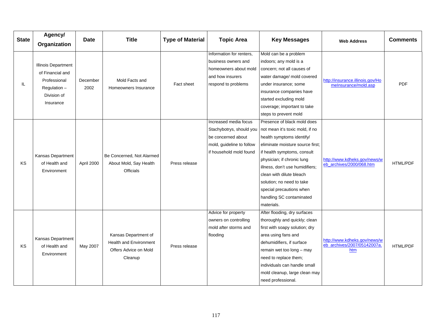| <b>State</b> | Agency/<br>Organization                                                                                    | Date             | <b>Title</b>                                                                              | <b>Type of Material</b> | <b>Topic Area</b>                                                                                                               | <b>Key Messages</b>                                                                                                                                                                                                                                                                                                                                            | <b>Web Address</b>                                                 | <b>Comments</b> |
|--------------|------------------------------------------------------------------------------------------------------------|------------------|-------------------------------------------------------------------------------------------|-------------------------|---------------------------------------------------------------------------------------------------------------------------------|----------------------------------------------------------------------------------------------------------------------------------------------------------------------------------------------------------------------------------------------------------------------------------------------------------------------------------------------------------------|--------------------------------------------------------------------|-----------------|
| IL           | <b>Illinois Department</b><br>of Financial and<br>Professional<br>Regulation -<br>Division of<br>Insurance | December<br>2002 | Mold Facts and<br>Homeowners Insurance                                                    | Fact sheet              | Information for renters,<br>business owners and<br>homeowners about mold<br>and how insurers<br>respond to problems             | Mold can be a problem<br>indoors; any mold is a<br>concern; not all causes of<br>water damage/ mold covered<br>under insurance; some<br>insurance companies have<br>started excluding mold<br>coverage; important to take<br>steps to prevent mold                                                                                                             | http://insurance.illinois.gov/Ho<br>melnsurance/mold.asp           | <b>PDF</b>      |
| <b>KS</b>    | Kansas Department<br>of Health and<br>Environment                                                          | April 2000       | Be Concerned, Not Alarmed<br>About Mold, Say Health<br>Officials                          | Press release           | Increased media focus<br>Stachybotrys, should you<br>be concerned about<br>mold, guideline to follow<br>if household mold found | Presence of black mold does<br>not mean it's toxic mold, if no<br>health symptoms identify/<br>eliminate moisture source first;<br>if health symptoms, consult<br>physician; if chronic lung<br>illness, don't use humidifiers;<br>clean with dilute bleach<br>solution; no need to take<br>special precautions when<br>handling SC contaminated<br>materials. | http://www.kdheks.gov/news/w<br>eb_archives/2000/068.htm           | <b>HTML/PDF</b> |
| KS           | Kansas Department<br>of Health and<br>Environment                                                          | May 2007         | Kansas Department of<br><b>Health and Environment</b><br>Offers Advice on Mold<br>Cleanup | Press release           | Advice for property<br>owners on controlling<br>mold after storms and<br>flooding                                               | After flooding, dry surfaces<br>thoroughly and quickly; clean<br>first with soapy solution; dry<br>area using fans and<br>dehumidifiers, if surface<br>remain wet too long - may<br>need to replace them;<br>individuals can handle small<br>mold cleanup, large clean may<br>need professional.                                                               | http://www.kdheks.gov/news/w<br>eb_archives/2007/05142007a.<br>htm | HTML/PDF        |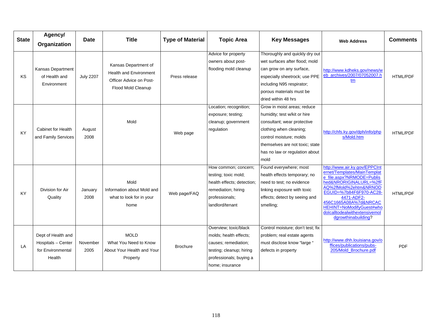| <b>State</b> | Agency/<br>Organization                                                 | <b>Date</b>      | <b>Title</b>                                                                                           | <b>Type of Material</b> | <b>Topic Area</b>                                                                                                                                 | <b>Key Messages</b>                                                                                                                                                                                                           | <b>Web Address</b>                                                                                                                                                                                                                                                                                 | <b>Comments</b> |
|--------------|-------------------------------------------------------------------------|------------------|--------------------------------------------------------------------------------------------------------|-------------------------|---------------------------------------------------------------------------------------------------------------------------------------------------|-------------------------------------------------------------------------------------------------------------------------------------------------------------------------------------------------------------------------------|----------------------------------------------------------------------------------------------------------------------------------------------------------------------------------------------------------------------------------------------------------------------------------------------------|-----------------|
| <b>KS</b>    | Kansas Department<br>of Health and<br>Environment                       | <b>July 2207</b> | Kansas Department of<br><b>Health and Environment</b><br>Officer Advice on Post-<br>Flood Mold Cleanup | Press release           | Advice for property<br>owners about post-<br>flooding mold cleanup                                                                                | Thoroughly and quickly dry out<br>wet surfaces after flood; mold<br>can grow on any surface,<br>especially sheetrock; use PPE<br>including N95 respirator;<br>porous materials must be<br>dried within 48 hrs                 | http://www.kdheks.gov/news/w<br>eb_archives/2007/07052007.h<br><u>tm</u>                                                                                                                                                                                                                           | <b>HTML/PDF</b> |
| KY           | <b>Cabinet for Health</b><br>and Family Services                        | August<br>2008   | Mold                                                                                                   | Web page                | Location; recognition;<br>exposure; testing;<br>cleanup; government<br>regulation                                                                 | Grow in moist areas; reduce<br>humidity; test w/kit or hire<br>consultant; wear protective<br>clothing when cleaning;<br>control moisture; molds<br>themselves are not toxic; state<br>has no law or regulation about<br>mold | http://chfs.ky.gov/dph/info/php<br>s/Mold.htm                                                                                                                                                                                                                                                      | <b>HTML/PDF</b> |
| <b>KY</b>    | Division for Air<br>Quality                                             | January<br>2008  | Mold<br>Information about Mold and<br>what to look for in your<br>home                                 | Web page/FAQ            | How common; concern;<br>testing; toxic mold;<br>health effects; detection;<br>remediation; hiring<br>professionals;<br>landlord/tenant            | Found everywhere; most<br>health effects temporary; no<br>need to test; no evidence<br>linking exposure with toxic<br>effects; detect by seeing and<br>smelling;                                                              | http://www.air.ky.gov/EPPCInt<br>ernet/Templates/MainTemplat<br>e_file.aspx?NRMODE=Publis<br>hed&NRORIGINALURL=%2fF<br>AQ%2fMold%2ehtm&NRNOD<br>EGUID=%7b84F6F970-AC28-<br>4471-ADF2-<br>456C1665A08A%7d&NRCAC<br>HEHINT=NoModifyGuest#who<br>dolcalltodealwithextensivemol<br>dgrowthinabuilding? | <b>HTML/PDF</b> |
| LA           | Dept of Health and<br>Hospitals - Center<br>for Environmental<br>Health | November<br>2005 | <b>MOLD</b><br>What You Need to Know<br>About Your Health and Your<br>Property                         | <b>Brochure</b>         | Overview; toxic/black<br>molds; health effects;<br>causes; remediation;<br>testing; cleanup; hiring<br>professionals; buying a<br>home; insurance | Control moisture; don't test; fix<br>problem; real estate agents<br>must disclose know "large "<br>defects in property                                                                                                        | http://www.dhh.louisiana.gov/o<br>ffices/publications/pubs-<br>205/Mold Brochure.pdf                                                                                                                                                                                                               | <b>PDF</b>      |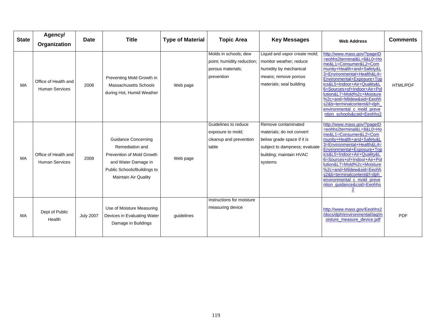| <b>State</b> | Agency/<br>Organization                       | <b>Date</b>      | <b>Title</b>                                                                                                                                                    | <b>Type of Material</b> | <b>Topic Area</b>                                                                      | <b>Key Messages</b>                                                                                                                                   | <b>Web Address</b>                                                                                                                                                                                                                                                                                                                                                                                             | <b>Comments</b> |
|--------------|-----------------------------------------------|------------------|-----------------------------------------------------------------------------------------------------------------------------------------------------------------|-------------------------|----------------------------------------------------------------------------------------|-------------------------------------------------------------------------------------------------------------------------------------------------------|----------------------------------------------------------------------------------------------------------------------------------------------------------------------------------------------------------------------------------------------------------------------------------------------------------------------------------------------------------------------------------------------------------------|-----------------|
| MA           | Office of Health and<br><b>Human Services</b> | 2008             | Preventing Mold Growth in<br><b>Massachusetts Schools</b><br>during Hot, Humid Weather                                                                          | Web page                | Molds in schools; dew<br>point; humidity reduction;<br>porous materials;<br>prevention | Liquid and vapor create mold;<br>monitor weather; reduce<br>humidity by mechanical<br>means; remove porous<br>materials; seal building                | http://www.mass.gov/?pageID<br>=eohhs2terminal&L=8&L0=Ho<br>me&L1=Consumer&L2=Com<br>munity+Health+and+Safety&L<br>3=Environmental+Health&L4=<br>Environmental+Exposure+Top<br>ics&L5=Indoor+Air+Quality&L<br>6=Sources+of+Indoor+Air+Pol<br>lution&L7=Mold%2c+Moisture<br>%2c+and+Mildew&sid=Eeohh<br>s2&b=terminalcontent&f=dph<br>environmental c mold preve<br>ntion_schools&csid=Eeohhs2                  | <b>HTML/PDF</b> |
| MA           | Office of Health and<br><b>Human Services</b> | 2008             | <b>Guidance Concerning</b><br>Remediation and<br>Prevention of Mold Growth<br>and Water Damage in<br>Public Schools/Buildings to<br><b>Maintain Air Quality</b> | Web page                | Guidelines to reduce<br>exposure to mold;<br>cleanup and prevention<br>table           | Remove contaminated<br>materials; do not convert<br>below grade space if it is<br>subject to dampness; evaluate<br>building; maintain HVAC<br>systems | http://www.mass.gov/?pageID<br>eohhs2terminal&L=8&L0=Ho<br>me&L1=Consumer&L2=Com<br>munity+Health+and+Safety&L<br>3=Environmental+Health&L4=<br>Environmental+Exposure+Top<br>ics&L5=Indoor+Air+Quality&L<br>6=Sources+of+Indoor+Air+Pol<br>lution&L7=Mold%2c+Moisture<br>%2c+and+Mildew&sid=Eeohh<br>s2&b=terminalcontent&f=dph<br>environmental c mold preve<br>ntion_guidance&csid=Eeohhs<br>$\overline{2}$ |                 |
| <b>MA</b>    | Dept of Public<br>Health                      | <b>July 2007</b> | Use of Moisture Measuring<br>Devices in Evaluating Water<br>Damage in Buildings                                                                                 | guidelines              | Instructions for moisture<br>measuring device                                          |                                                                                                                                                       | http://www.mass.gov/Eeohhs2<br>/docs/dph/environmental/iaq/m<br>oisture_measure_device.pdf                                                                                                                                                                                                                                                                                                                     | <b>PDF</b>      |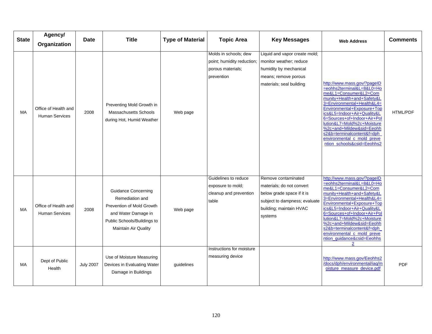| <b>State</b> | Agency/<br>Organization                       | <b>Date</b>      | <b>Title</b>                                                                                                                                                    | <b>Type of Material</b> | <b>Topic Area</b>                                                                      | <b>Key Messages</b>                                                                                                                                   | <b>Web Address</b>                                                                                                                                                                                                                                                                                                                                                                                            | <b>Comments</b> |
|--------------|-----------------------------------------------|------------------|-----------------------------------------------------------------------------------------------------------------------------------------------------------------|-------------------------|----------------------------------------------------------------------------------------|-------------------------------------------------------------------------------------------------------------------------------------------------------|---------------------------------------------------------------------------------------------------------------------------------------------------------------------------------------------------------------------------------------------------------------------------------------------------------------------------------------------------------------------------------------------------------------|-----------------|
| <b>MA</b>    | Office of Health and<br><b>Human Services</b> | 2008             | Preventing Mold Growth in<br><b>Massachusetts Schools</b><br>during Hot, Humid Weather                                                                          | Web page                | Molds in schools; dew<br>point; humidity reduction;<br>porous materials;<br>prevention | Liquid and vapor create mold;<br>monitor weather; reduce<br>humidity by mechanical<br>means; remove porous<br>materials; seal building                | http://www.mass.gov/?pageID<br>=eohhs2terminal&L=8&L0=Ho<br>me&L1=Consumer&L2=Com<br>munity+Health+and+Safety&I<br>3=Environmental+Health&L4=<br>Environmental+Exposure+Top<br>ics&L5=Indoor+Air+Quality&L<br>6=Sources+of+Indoor+Air+Pol<br>lution&L7=Mold%2c+Moisture<br>%2c+and+Mildew&sid=Eeohh<br>s2&b=terminalcontent&f=dph<br>environmental c mold preve<br>ntion_schools&csid=Eeohhs2                 | <b>HTML/PDF</b> |
| MA           | Office of Health and<br><b>Human Services</b> | 2008             | <b>Guidance Concerning</b><br>Remediation and<br>Prevention of Mold Growth<br>and Water Damage in<br>Public Schools/Buildings to<br><b>Maintain Air Quality</b> | Web page                | Guidelines to reduce<br>exposure to mold;<br>cleanup and prevention<br>table           | Remove contaminated<br>materials; do not convert<br>below grade space if it is<br>subject to dampness; evaluate<br>building; maintain HVAC<br>systems | http://www.mass.gov/?pageID<br>eohhs2terminal&L=8&L0=Ho<br>me&L1=Consumer&L2=Com<br>munity+Health+and+Safety&L<br>3=Environmental+Health&L4=<br>Environmental+Exposure+Top<br>ics&L5=Indoor+Air+Quality&L<br>6=Sources+of+Indoor+Air+Pol<br>lution&L7=Mold%2c+Moisture<br>%2c+and+Mildew&sid=Eeohh<br>s2&b=terminalcontent&f=dph<br>environmental_c_mold_preve<br>ntion_guidance&csid=Eeohhs<br>$\mathcal{P}$ |                 |
| MA           | Dept of Public<br>Health                      | <b>July 2007</b> | Use of Moisture Measuring<br>Devices in Evaluating Water<br>Damage in Buildings                                                                                 | guidelines              | Instructions for moisture<br>measuring device                                          |                                                                                                                                                       | http://www.mass.gov/Eeohhs2<br>/docs/dph/environmental/iaq/m<br>oisture_measure_device.pdf                                                                                                                                                                                                                                                                                                                    | <b>PDF</b>      |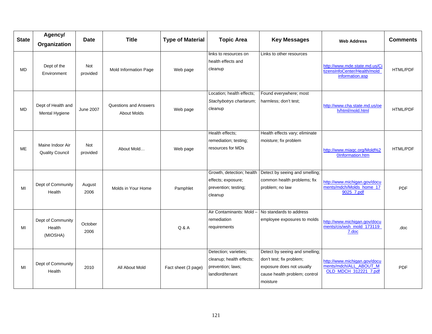| <b>State</b> | Agency/<br>Organization                    | <b>Date</b>      | <b>Title</b>                                       | <b>Type of Material</b> | <b>Topic Area</b>                                                                         | <b>Key Messages</b>                                                                                                                  | <b>Web Address</b>                                                               | <b>Comments</b> |
|--------------|--------------------------------------------|------------------|----------------------------------------------------|-------------------------|-------------------------------------------------------------------------------------------|--------------------------------------------------------------------------------------------------------------------------------------|----------------------------------------------------------------------------------|-----------------|
| <b>MD</b>    | Dept of the<br>Environment                 | Not<br>provided  | Mold Information Page                              | Web page                | links to resources on<br>health effects and<br>cleanup                                    | Links to other resources                                                                                                             | http://www.mde.state.md.us/Ci<br>tizensInfoCenter/Health/mold<br>information.asp | HTML/PDF        |
| <b>MD</b>    | Dept of Health and<br>Mental Hygiene       | <b>June 2007</b> | <b>Questions and Answers</b><br><b>About Molds</b> | Web page                | Location; health effects;<br>Stachybotrys chartarum;<br>cleanup                           | Found everywhere; most<br>harmless; don't test;                                                                                      | http://www.cha.state.md.us/oe<br>h/html/mold.html                                | HTML/PDF        |
| <b>ME</b>    | Maine Indoor Air<br><b>Quality Council</b> | Not<br>provided  | About Mold                                         | Web page                | Health effects;<br>remediation; testing;<br>resources for MDs                             | Health effects vary; eliminate<br>moisture; fix problem                                                                              | http://www.miaqc.org/Mold%2<br>OInformation.htm                                  | HTML/PDF        |
| MI           | Dept of Community<br>Health                | August<br>2006   | Molds in Your Home                                 | Pamphlet                | Growth, detection; health<br>effects; exposure;<br>prevention; testing;<br>cleanup        | Detect by seeing and smelling;<br>common health problems; fix<br>problem; no law                                                     | http://www.michigan.gov/docu<br>ments/mdch/Molds_home_17<br>9025 7.pdf           | <b>PDF</b>      |
| MI           | Dept of Community<br>Health<br>(MIOSHA)    | October<br>2006  |                                                    | Q & A                   | Air Contaminants: Mold -<br>remediation<br>requirements                                   | No standards to address<br>employee exposures to molds                                                                               | http://www.michigan.gov/docu<br>ments/cis/wsh_mold_173119<br>7.doc               | .doc            |
| MI           | Dept of Community<br>Health                | 2010             | All About Mold                                     | Fact sheet (3 page)     | Detection; varieties;<br>cleanup; health effects;<br>prevention; laws;<br>landlord/tenant | Detect by seeing and smelling;<br>don't test; fix problem;<br>exposure does not usually<br>cause health problem; control<br>moisture | http://www.michigan.gov/docu<br>ments/mdch/ALL_ABOUT_M<br>OLD MDCH 312221 7.pdf  | <b>PDF</b>      |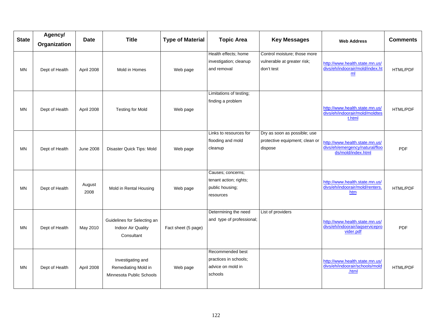| <b>State</b> | Agency/<br>Organization | <b>Date</b>      | <b>Title</b>                                                         | <b>Type of Material</b> | <b>Topic Area</b>                                                           | <b>Key Messages</b>                                                       | <b>Web Address</b>                                                                     | <b>Comments</b> |
|--------------|-------------------------|------------------|----------------------------------------------------------------------|-------------------------|-----------------------------------------------------------------------------|---------------------------------------------------------------------------|----------------------------------------------------------------------------------------|-----------------|
| MN           | Dept of Health          | April 2008       | Mold in Homes                                                        | Web page                | Health effects; home<br>investigation; cleanup<br>and removal               | Control moisture; those more<br>vulnerable at greater risk;<br>don't test | http://www.health.state.mn.us/<br>divs/eh/indoorair/mold/index.ht<br>ml                | HTML/PDF        |
| <b>MN</b>    | Dept of Health          | April 2008       | <b>Testing for Mold</b>                                              | Web page                | Limitations of testing;<br>finding a problem                                |                                                                           | http://www.health.state.mn.us/<br>divs/eh/indoorair/mold/moldtes<br>t.html             | HTML/PDF        |
| MN           | Dept of Health          | <b>June 2008</b> | Disaster Quick Tips: Mold                                            | Web page                | Links to resources for<br>flooding and mold<br>cleanup                      | Dry as soon as possible; use<br>protective equipment; clean or<br>dispose | http://www.health.state.mn.us/<br>divs/eh/emergency/natural/floo<br>ds/mold/index.html | <b>PDF</b>      |
| <b>MN</b>    | Dept of Health          | August<br>2008   | Mold in Rental Housing                                               | Web page                | Causes; concerns;<br>tenant action; rights;<br>public housing;<br>resources |                                                                           | http://www.health.state.mn.us/<br>divs/eh/indoorair/mold/renters.<br>htm               | HTML/PDF        |
| MN           | Dept of Health          | May 2010         | Guidelines for Selecting an<br>Indoor Air Quality<br>Consultant      | Fact sheet (5 page)     | Determining the need<br>and type of professional;                           | List of providers                                                         | http://www.health.state.mn.us/<br>divs/eh/indoorair/iagservicepro<br>vider.pdf         | <b>PDF</b>      |
| <b>MN</b>    | Dept of Health          | April 2008       | Investigating and<br>Remediating Mold in<br>Minnesota Public Schools | Web page                | Recommended best<br>practices in schools;<br>advice on mold in<br>schools   |                                                                           | http://www.health.state.mn.us/<br>divs/eh/indoorair/schools/mold<br>.html              | HTML/PDF        |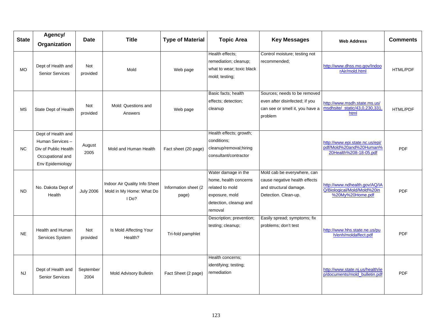| <b>State</b> | Agency/<br>Organization                                                                               | Date              | <b>Title</b>                                                       | <b>Type of Material</b>        | <b>Topic Area</b>                                                                                                      | <b>Key Messages</b>                                                                                            | <b>Web Address</b>                                                                   | <b>Comments</b> |
|--------------|-------------------------------------------------------------------------------------------------------|-------------------|--------------------------------------------------------------------|--------------------------------|------------------------------------------------------------------------------------------------------------------------|----------------------------------------------------------------------------------------------------------------|--------------------------------------------------------------------------------------|-----------------|
| <b>MO</b>    | Dept of Health and<br><b>Senior Services</b>                                                          | Not<br>provided   | Mold                                                               | Web page                       | Health effects;<br>remediation; cleanup;<br>what to wear; toxic black<br>mold; testing;                                | Control moisture; testing not<br>recommended;                                                                  | http://www.dhss.mo.gov/Indoo<br>rAir/mold.html                                       | HTML/PDF        |
| <b>MS</b>    | State Dept of Health                                                                                  | Not<br>provided   | Mold: Questions and<br>Answers                                     | Web page                       | Basic facts; health<br>effects; detection;<br>cleanup                                                                  | Sources; needs to be removed<br>even after disinfected; if you<br>can see or smell it, you have a<br>problem   | http://www.msdh.state.ms.us/<br>msdhsite/_static/43,0,230,331<br>html                | HTML/PDF        |
| <b>NC</b>    | Dept of Health and<br>Human Services-<br>Div of Public Health<br>Occupational and<br>Env Epidemiology | August<br>2005    | Mold and Human Health                                              | Fact sheet (20 page)           | Health effects; growth;<br>conditions;<br>cleanup/removal;hiring<br>consultant/contractor                              |                                                                                                                | http://www.epi.state.nc.us/epi/<br>pdf/Mold%20and%20Human%<br>20Health%208-18-05.pdf | <b>PDF</b>      |
| <b>ND</b>    | No. Dakota Dept of<br>Health                                                                          | <b>July 2006</b>  | Indoor Air Quality Info Sheet<br>Mold in My Home: What Do<br>I Do? | Information sheet (2)<br>page) | Water damage in the<br>home, health concerns<br>related to mold<br>exposure, mold<br>detection, cleanup and<br>removal | Mold cab be everywhere, can<br>cause negative health effects<br>and structural damage.<br>Detection. Clean-up. | http://www.ndhealth.gov/AQ/IA<br>Q/Biological/Mold/Mold%20in<br>%20My%20Home.pdf     | <b>PDF</b>      |
| <b>NE</b>    | Health and Human<br>Services System                                                                   | Not<br>provided   | Is Mold Affecting Your<br>Health?                                  | Tri-fold pamphlet              | Description; prevention;<br>testing; cleanup;                                                                          | Easily spread; symptoms; fix<br>problems; don't test                                                           | http://www.hhs.state.ne.us/pu<br>h/enh/moldaffect.pdf                                | <b>PDF</b>      |
| <b>NJ</b>    | Dept of Health and<br><b>Senior Services</b>                                                          | September<br>2004 | Mold Advisory Bulletin                                             | Fact Sheet (2 page)            | Health concerns;<br>identifying; testing;<br>remediation                                                               |                                                                                                                | http://www.state.nj.us/health/ie<br>p/documents/mold_bulletin.pdf                    | <b>PDF</b>      |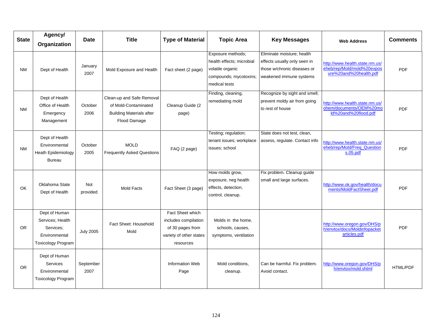| <b>State</b> | Agency/<br>Organization                                                                      | Date              | <b>Title</b>                                                                                         | <b>Type of Material</b>                                                                              | <b>Topic Area</b>                                                                                             | <b>Key Messages</b>                                                                                                  | <b>Web Address</b>                                                                     | <b>Comments</b> |
|--------------|----------------------------------------------------------------------------------------------|-------------------|------------------------------------------------------------------------------------------------------|------------------------------------------------------------------------------------------------------|---------------------------------------------------------------------------------------------------------------|----------------------------------------------------------------------------------------------------------------------|----------------------------------------------------------------------------------------|-----------------|
| <b>NM</b>    | Dept of Health                                                                               | January<br>2007   | Mold Exposure and Health                                                                             | Fact sheet (2 page)                                                                                  | Exposure methods;<br>health effects; microbial<br>volatile organic<br>compounds; mycotoxins;<br>medical tests | Eliminate moisture; health<br>effects usually only seen in<br>those w/chronic diseases or<br>weakened immune systems | http://www.health.state.nm.us/<br>eheb/rep/Mold/mold%20expos<br>ure%20and%20health.pdf | <b>PDF</b>      |
| <b>NM</b>    | Dept of Health<br>Office of Health<br>Emergency<br>Management                                | October<br>2006   | Clean-up and Safe Removal<br>of Mold-Contaminated<br><b>Building Materials after</b><br>Flood Damage | Cleanup Guide (2<br>page)                                                                            | Finding, cleaning,<br>remediating mold                                                                        | Recognize by sight and smell;<br>prevent moldy air from going<br>to rest of house                                    | http://www.health.state.nm.us/<br>ohem/documents/OEM%20mo<br>Id%20and%20flood.pdf      | <b>PDF</b>      |
| <b>NM</b>    | Dept of Health<br>Environmental<br>Heath Epidemiology<br><b>Bureau</b>                       | October<br>2005   | <b>MOLD</b><br><b>Frequently Asked Questions</b>                                                     | FAQ (2 page)                                                                                         | Testing; regulation;<br>tenant issues; workplace<br>issues; school                                            | State does not test, clean,<br>assess, regulate. Contact info                                                        | http://www.health.state.nm.us/<br>eheb/rep/Mold/Freq_Question<br>s.05.pdf              | <b>PDF</b>      |
| <b>OK</b>    | Oklahoma State<br>Dept of Health                                                             | Not<br>provided   | <b>Mold Facts</b>                                                                                    | Fact Sheet (3 page)                                                                                  | How molds grow,<br>exposure, neg health<br>effects, detection,<br>control, cleanup.                           | Fix problem. Cleanup guide<br>small and large surfaces.                                                              | http://www.ok.gov/health/docu<br>ments/MoldFactSheet.pdf                               | <b>PDF</b>      |
| <b>OR</b>    | Dept of Human<br>Services; Health<br>Services:<br>Environmental<br><b>Toxicology Program</b> | <b>July 2005</b>  | Fact Sheet: Household<br>Mold                                                                        | Fact Sheet which<br>includes compilation<br>of 30 pages from<br>variety of other states<br>resources | Molds in the home,<br>schools, causes,<br>symptoms, ventilation                                               |                                                                                                                      | http://www.oregon.gov/DHS/p<br>h/envtox/docs/Moldinfopacket<br>articles.pdf            | <b>PDF</b>      |
| <b>OR</b>    | Dept of Human<br><b>Services</b><br>Environmental<br><b>Toxicology Program</b>               | September<br>2007 |                                                                                                      | <b>Information Web</b><br>Page                                                                       | Mold conditions.<br>cleanup.                                                                                  | Can be harmful. Fix problem.<br>Avoid contact.                                                                       | http://www.oregon.gov/DHS/p<br>h/envtox/mold.shtml                                     | HTML/PDF        |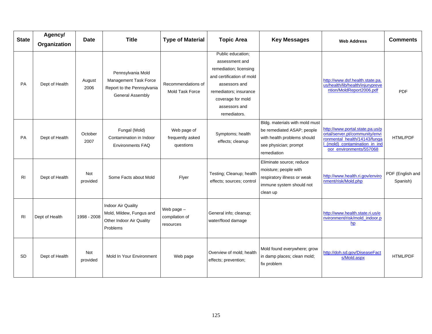| <b>State</b> | Agency/<br>Organization | <b>Date</b>     | <b>Title</b>                                                                                        | <b>Type of Material</b>                      | <b>Topic Area</b>                                                                                                                                                                           | <b>Key Messages</b>                                                                                                                 | <b>Web Address</b>                                                                                                                                          | <b>Comments</b>              |
|--------------|-------------------------|-----------------|-----------------------------------------------------------------------------------------------------|----------------------------------------------|---------------------------------------------------------------------------------------------------------------------------------------------------------------------------------------------|-------------------------------------------------------------------------------------------------------------------------------------|-------------------------------------------------------------------------------------------------------------------------------------------------------------|------------------------------|
| <b>PA</b>    | Dept of Health          | August<br>2006  | Pennsylvania Mold<br>Management Task Force<br>Report to the Pennsylvania<br><b>General Assembly</b> | Recommendations of<br><b>Mold Task Force</b> | Public education;<br>assessment and<br>remediation; licensing<br>and certification of mold<br>assessors and<br>remediators; insurance<br>coverage for mold<br>assessors and<br>remediators. |                                                                                                                                     | http://www.dsf.health.state.pa.<br>us/health/lib/health/injurypreve<br>ntion/MoldReport2006.pdf                                                             | <b>PDF</b>                   |
| <b>PA</b>    | Dept of Health          | October<br>2007 | Fungal (Mold)<br>Contamination in Indoor<br><b>Environments FAQ</b>                                 | Web page of<br>frequently asked<br>questions | Symptoms; health<br>effects; cleanup                                                                                                                                                        | Bldg. materials with mold must<br>be remediated ASAP; people<br>with health problems should<br>see physician; prompt<br>remediation | http://www.portal.state.pa.us/p<br>ortal/server.pt/community/envi<br>ronmental_health/14143/funga<br>(mold) contamination in ind<br>oor_environments/557068 | HTML/PDF                     |
| <b>RI</b>    | Dept of Health          | Not<br>provided | Some Facts about Mold                                                                               | Flyer                                        | Testing; Cleanup; health<br>effects; sources; control                                                                                                                                       | Eliminate source; reduce<br>moisture; people with<br>respiratory illness or weak<br>immune system should not<br>clean up            | http://www.health.ri.gov/enviro<br>nment/risk/Mold.php                                                                                                      | PDF (English and<br>Spanish) |
| <b>RI</b>    | Dept of Health          | 1998 - 2008     | Indoor Air Quality<br>Mold, Mildew, Fungus and<br>Other Indoor Air Quality<br>Problems              | Web page $-$<br>compilation of<br>resources  | General info; cleanup;<br>water/flood damage                                                                                                                                                |                                                                                                                                     | http://www.health.state.ri.us/e<br>nvironment/risk/mold_indoor.p<br>hp                                                                                      |                              |
| SD           | Dept of Health          | Not<br>provided | Mold In Your Environment                                                                            | Web page                                     | Overview of mold; health<br>effects; prevention;                                                                                                                                            | Mold found everywhere; grow<br>in damp places; clean mold;<br>fix problem                                                           | http://doh.sd.gov/DiseaseFact<br>s/Mold.aspx                                                                                                                | HTML/PDF                     |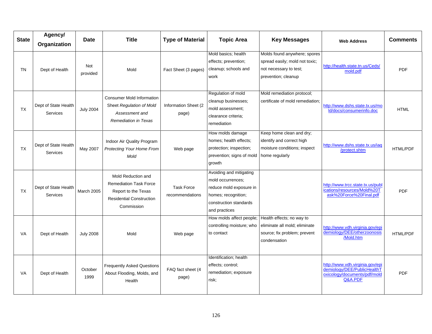| <b>State</b> | Agency/<br>Organization          | Date             | <b>Title</b>                                                                                                                | <b>Type of Material</b>              | <b>Topic Area</b>                                                                                                                         | <b>Key Messages</b>                                                                                             | <b>Web Address</b>                                                                                        | <b>Comments</b> |
|--------------|----------------------------------|------------------|-----------------------------------------------------------------------------------------------------------------------------|--------------------------------------|-------------------------------------------------------------------------------------------------------------------------------------------|-----------------------------------------------------------------------------------------------------------------|-----------------------------------------------------------------------------------------------------------|-----------------|
| <b>TN</b>    | Dept of Health                   | Not<br>provided  | Mold                                                                                                                        | Fact Sheet (3 pages)                 | Mold basics; health<br>effects; prevention;<br>cleanup; schools and<br>work                                                               | Molds found anywhere; spores<br>spread easily; mold not toxic;<br>not necessary to test;<br>prevention; cleanup | http://health.state.tn.us/Ceds/<br>mold.pdf                                                               | <b>PDF</b>      |
| <b>TX</b>    | Dept of State Health<br>Services | <b>July 2004</b> | <b>Consumer Mold Information</b><br>Sheet Regulation of Mold<br>Assessment and<br>Remediation in Texas                      | Information Sheet (2)<br>page)       | Regulation of mold<br>cleanup businesses;<br>mold assessment;<br>clearance criteria;<br>remediation                                       | Mold remediation protocol;<br>certificate of mold remediation;                                                  | http://www.dshs.state.tx.us/mo<br>Id/docs/consumerinfo.doc                                                | <b>HTML</b>     |
| <b>TX</b>    | Dept of State Health<br>Services | May 2007         | Indoor Air Quality Program<br>Protecting Your Home From<br>Mold                                                             | Web page                             | How molds damage<br>homes; health effects;<br>protection; inspection;<br>prevention; signs of mold<br>growth                              | Keep home clean and dry;<br>identify and correct high<br>moisture conditions; inspect<br>home regularly         | http://www.dshs.state.tx.us/iaq<br>/protect.shtm                                                          | HTML/PDF        |
| <b>TX</b>    | Dept of State Health<br>Services | March 2005       | Mold Reduction and<br><b>Remediation Task Force</b><br>Report to the Texas<br><b>Residential Construction</b><br>Commission | <b>Task Force</b><br>recommendations | Avoiding and mitigating<br>mold occurrences:<br>reduce mold exposure in<br>homes; recognition;<br>construction standards<br>and practices |                                                                                                                 | http://www.trcc.state.tx.us/publ<br>ications/resources/Mold%20T<br>ask%20Force%20Final.pdf                | <b>PDF</b>      |
| VA           | Dept of Health                   | <b>July 2008</b> | Mold                                                                                                                        | Web page                             | How molds affect people;<br>controlling moisture; who<br>to contact                                                                       | Health effects; no way to<br>eliminate all mold; eliminate<br>source; fix problem; prevent<br>condensation      | http://www.vdh.virginia.gov/epi<br>demiology/DEE/otherzoonosis<br>/Mold.htm                               | <b>HTML/PDF</b> |
| VA           | Dept of Health                   | October<br>1999  | <b>Frequently Asked Questions</b><br>About Flooding, Molds, and<br>Health                                                   | FAQ fact sheet (4<br>page)           | Identification; health<br>effects; control;<br>remediation; exposure<br>risk;                                                             |                                                                                                                 | http://www.vdh.virginia.gov/epi<br>demiology/DEE/PublicHealthT<br>oxicology/documents/pdf/mold<br>Q&A.PDF | <b>PDF</b>      |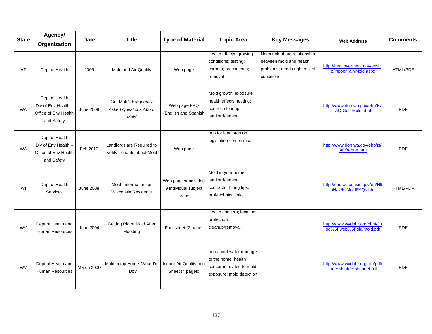| <b>State</b> | Agency/<br>Organization                                                     | <b>Date</b>      | <b>Title</b>                                                 | <b>Type of Material</b>                              | <b>Topic Area</b>                                                                                      | <b>Key Messages</b>                                                                                  | <b>Web Address</b>                                        | <b>Comments</b> |
|--------------|-----------------------------------------------------------------------------|------------------|--------------------------------------------------------------|------------------------------------------------------|--------------------------------------------------------------------------------------------------------|------------------------------------------------------------------------------------------------------|-----------------------------------------------------------|-----------------|
| VT           | Dept of Health                                                              | 2005             | Mold and Air Quality                                         | Web page                                             | Health effects; growing<br>conditions; testing;<br>carpets; precautions;<br>removal                    | Not much about relationship<br>between mold and health<br>problems; needs right mix of<br>conditions | http://healthvermont.gov/envir<br>o/indoor_air/Mold.aspx  | HTML/PDF        |
| <b>WA</b>    | Dept of Health<br>Div of Env Health -<br>Office of Env Health<br>and Safety | <b>June 2008</b> | Got Mold? Frequently<br><b>Asked Questions About</b><br>Mold | Web page FAQ<br>(English and Spanish                 | Mold growth; exposure;<br>health effects; testing;<br>control; cleanup;<br>landlord/tenant             |                                                                                                      | http://www.doh.wa.gov/ehp/ts/l<br>AQ/Got_Mold.html        | <b>PDF</b>      |
| <b>WA</b>    | Dept of Health<br>Div of Env Health -<br>Office of Env Health<br>and Safety | Feb 2010         | Landlords are Required to<br>Notify Tenants about Mold       | Web page                                             | Info for landlords on<br>legislation compliance                                                        |                                                                                                      | http://www.doh.wa.gov/ehp/ts/l<br>AQ/renter.htm           | <b>PDF</b>      |
| WI           | Dept of Health<br>Services                                                  | <b>June 2008</b> | Mold: Information for<br><b>Wisconsin Residents</b>          | Web page subdivided<br>9 individual subject<br>areas | Mold in your home;<br>landlord/tenant;<br>contractor hiring tips;<br>prof/technical info               |                                                                                                      | http://dhs.wisconsin.gov/eh/Hlt<br>hHaz/fs/MoldFAQs.htm   | HTML/PDF        |
| <b>WV</b>    | Dept of Health and<br>Human Resources                                       | <b>June 2004</b> | Getting Rid of Mold After<br>Flooding                        | Fact sheet (2 page)                                  | Health concern; locating;<br>protection;<br>cleanup/removal;                                           |                                                                                                      | http://www.wvdhhr.org/bhhf/flo<br>od%5Fweb%5Fold/mold.pdf | <b>PDF</b>      |
| <b>WV</b>    | Dept of Health and<br><b>Human Resources</b>                                | March 2000       | Mold in my Home: What Do<br>I Do?                            | Indoor Air Quality Info<br>Sheet (4 pages)           | Info about water damage<br>to the home; health<br>concerns related to mold<br>exposure; mold detection |                                                                                                      | http://www.wvdhhr.org/rtia/pdf/<br>iaq%5Finfo%5Fsheet.pdf | <b>PDF</b>      |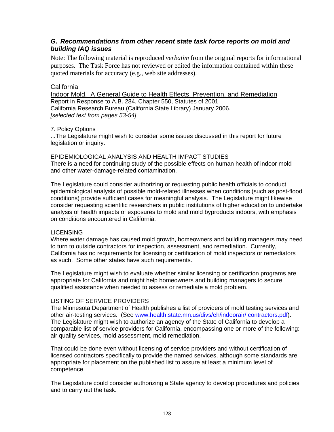# *G. Recommendations from other recent state task force reports on mold and building IAQ issues*

Note: The following material is reproduced *verbatim* from the original reports for informational purposes. The Task Force has not reviewed or edited the information contained within these quoted materials for accuracy (e.g., web site addresses).

## California

Indoor Mold. A General Guide to Health Effects, Prevention, and Remediation Report in Response to A.B. 284, Chapter 550, Statutes of 2001 California Research Bureau (California State Library) January 2006. *[selected text from pages 53-54]* 

### 7. Policy Options

...The Legislature might wish to consider some issues discussed in this report for future legislation or inquiry.

EPIDEMIOLOGICAL ANALYSIS AND HEALTH IMPACT STUDIES There is a need for continuing study of the possible effects on human health of indoor mold and other water-damage-related contamination.

The Legislature could consider authorizing or requesting public health officials to conduct epidemiological analysis of possible mold-related illnesses when conditions (such as post-flood conditions) provide sufficient cases for meaningful analysis. The Legislature might likewise consider requesting scientific researchers in public institutions of higher education to undertake analysis of health impacts of exposures to mold and mold byproducts indoors, with emphasis on conditions encountered in California.

## **LICENSING**

Where water damage has caused mold growth, homeowners and building managers may need to turn to outside contractors for inspection, assessment, and remediation. Currently, California has no requirements for licensing or certification of mold inspectors or remediators as such. Some other states have such requirements.

The Legislature might wish to evaluate whether similar licensing or certification programs are appropriate for California and might help homeowners and building managers to secure qualified assistance when needed to assess or remediate a mold problem.

#### LISTING OF SERVICE PROVIDERS

The Minnesota Department of Health publishes a list of providers of mold testing services and other air-testing services. (See www.health.state.mn.us/divs/eh/indoorair/ contractors.pdf). The Legislature might wish to authorize an agency of the State of California to develop a comparable list of service providers for California, encompassing one or more of the following: air quality services, mold assessment, mold remediation.

That could be done even without licensing of service providers and without certification of licensed contractors specifically to provide the named services, although some standards are appropriate for placement on the published list to assure at least a minimum level of competence.

The Legislature could consider authorizing a State agency to develop procedures and policies and to carry out the task.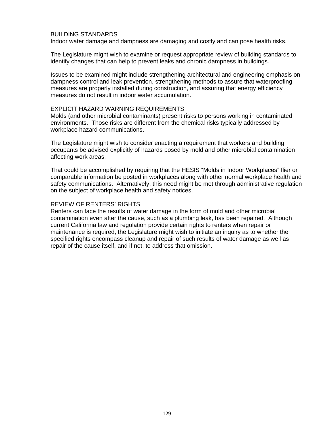### BUILDING STANDARDS

Indoor water damage and dampness are damaging and costly and can pose health risks.

The Legislature might wish to examine or request appropriate review of building standards to identify changes that can help to prevent leaks and chronic dampness in buildings.

Issues to be examined might include strengthening architectural and engineering emphasis on dampness control and leak prevention, strengthening methods to assure that waterproofing measures are properly installed during construction, and assuring that energy efficiency measures do not result in indoor water accumulation.

### EXPLICIT HAZARD WARNING REQUIREMENTS

Molds (and other microbial contaminants) present risks to persons working in contaminated environments. Those risks are different from the chemical risks typically addressed by workplace hazard communications.

The Legislature might wish to consider enacting a requirement that workers and building occupants be advised explicitly of hazards posed by mold and other microbial contamination affecting work areas.

That could be accomplished by requiring that the HESIS "Molds in Indoor Workplaces" flier or comparable information be posted in workplaces along with other normal workplace health and safety communications. Alternatively, this need might be met through administrative regulation on the subject of workplace health and safety notices.

### REVIEW OF RENTERS' RIGHTS

Renters can face the results of water damage in the form of mold and other microbial contamination even after the cause, such as a plumbing leak, has been repaired. Although current California law and regulation provide certain rights to renters when repair or maintenance is required, the Legislature might wish to initiate an inquiry as to whether the specified rights encompass cleanup and repair of such results of water damage as well as repair of the cause itself, and if not, to address that omission.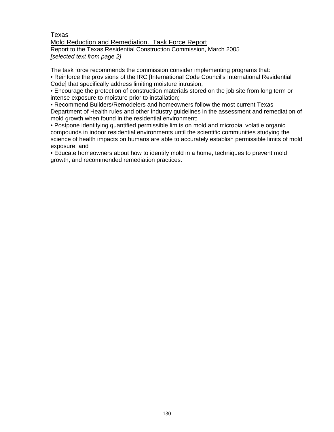# Texas Mold Reduction and Remediation. Task Force Report Report to the Texas Residential Construction Commission, March 2005

*[selected text from page 2]* 

The task force recommends the commission consider implementing programs that:

• Reinforce the provisions of the IRC [International Code Council's International Residential Code] that specifically address limiting moisture intrusion;

• Encourage the protection of construction materials stored on the job site from long term or intense exposure to moisture prior to installation;

• Recommend Builders/Remodelers and homeowners follow the most current Texas Department of Health rules and other industry guidelines in the assessment and remediation of mold growth when found in the residential environment;

• Postpone identifying quantified permissible limits on mold and microbial volatile organic compounds in indoor residential environments until the scientific communities studying the science of health impacts on humans are able to accurately establish permissible limits of mold exposure; and

• Educate homeowners about how to identify mold in a home, techniques to prevent mold growth, and recommended remediation practices.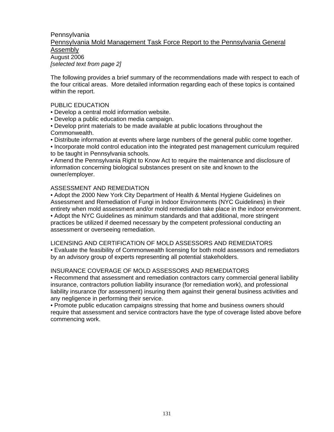## **Pennsylvania** Pennsylvania Mold Management Task Force Report to the Pennsylvania General Assembly August 2006 *[selected text from page 2]*

The following provides a brief summary of the recommendations made with respect to each of the four critical areas. More detailed information regarding each of these topics is contained within the report.

### PUBLIC EDUCATION

• Develop a central mold information website.

• Develop a public education media campaign.

• Develop print materials to be made available at public locations throughout the Commonwealth.

• Distribute information at events where large numbers of the general public come together.

• Incorporate mold control education into the integrated pest management curriculum required to be taught in Pennsylvania schools.

• Amend the Pennsylvania Right to Know Act to require the maintenance and disclosure of information concerning biological substances present on site and known to the owner/employer.

### ASSESSMENT AND REMEDIATION

• Adopt the 2000 New York City Department of Health & Mental Hygiene Guidelines on Assessment and Remediation of Fungi in Indoor Environments (NYC Guidelines) in their entirety when mold assessment and/or mold remediation take place in the indoor environment. • Adopt the NYC Guidelines as minimum standards and that additional, more stringent practices be utilized if deemed necessary by the competent professional conducting an assessment or overseeing remediation.

LICENSING AND CERTIFICATION OF MOLD ASSESSORS AND REMEDIATORS • Evaluate the feasibility of Commonwealth licensing for both mold assessors and remediators by an advisory group of experts representing all potential stakeholders.

## INSURANCE COVERAGE OF MOLD ASSESSORS AND REMEDIATORS

• Recommend that assessment and remediation contractors carry commercial general liability insurance, contractors pollution liability insurance (for remediation work), and professional liability insurance (for assessment) insuring them against their general business activities and any negligence in performing their service.

• Promote public education campaigns stressing that home and business owners should require that assessment and service contractors have the type of coverage listed above before commencing work.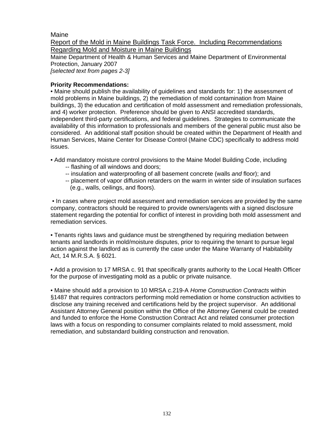Maine

Report of the Mold in Maine Buildings Task Force. Including Recommendations Regarding Mold and Moisture in Maine Buildings

Maine Department of Health & Human Services and Maine Department of Environmental Protection, January 2007

*[selected text from pages 2-3]* 

## **Priority Recommendations:**

• Maine should publish the availability of guidelines and standards for: 1) the assessment of mold problems in Maine buildings, 2) the remediation of mold contamination from Maine buildings, 3) the education and certification of mold assessment and remediation professionals, and 4) worker protection. Preference should be given to ANSI accredited standards, independent third-party certifications, and federal guidelines. Strategies to communicate the availability of this information to professionals and members of the general public must also be considered. An additional staff position should be created within the Department of Health and Human Services, Maine Center for Disease Control (Maine CDC) specifically to address mold issues.

• Add mandatory moisture control provisions to the Maine Model Building Code, including

- -- flashing of all windows and doors;
- -- insulation and waterproofing of all basement concrete (walls *and* floor); and
- -- placement of vapor diffusion retarders on the warm in winter side of insulation surfaces (e.g., walls, ceilings, and floors).

 • In cases where project mold assessment and remediation services are provided by the same company, contractors should be required to provide owners/agents with a signed disclosure statement regarding the potential for conflict of interest in providing both mold assessment and remediation services.

• Tenants rights laws and guidance must be strengthened by requiring mediation between tenants and landlords in mold/moisture disputes, prior to requiring the tenant to pursue legal action against the landlord as is currently the case under the Maine Warranty of Habitability Act, 14 M.R.S.A. § 6021.

• Add a provision to 17 MRSA c. 91 that specifically grants authority to the Local Health Officer for the purpose of investigating mold as a public or private nuisance.

• Maine should add a provision to 10 MRSA c.219-A *Home Construction Contracts* within §1487 that requires contractors performing mold remediation or home construction activities to disclose any training received and certifications held by the project supervisor. An additional Assistant Attorney General position within the Office of the Attorney General could be created and funded to enforce the Home Construction Contract Act and related consumer protection laws with a focus on responding to consumer complaints related to mold assessment, mold remediation, and substandard building construction and renovation.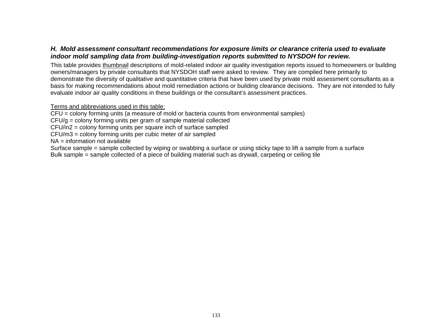# *H. Mold assessment consultant recommendations for exposure limits or clearance criteria used to evaluate indoor mold sampling data from building-investigation reports submitted to NYSDOH for review.*

This table provides thumbnail descriptions of mold-related indoor air quality investigation reports issued to homeowners or building owners/managers by private consultants that NYSDOH staff were asked to review. They are compiled here primarily to demonstrate the diversity of qualitative and quantitative criteria that have been used by private mold assessment consultants as a basis for making recommendations about mold remediation actions or building clearance decisions. They are not intended to fully evaluate indoor air quality conditions in these buildings or the consultant's assessment practices.

#### Terms and abbreviations used in this table:

 $CFU =$  colony forming units (a measure of mold or bacteria counts from environmental samples)

CFU/g = colony forming units per gram of sample material collected

CFU/in2 = colony forming units per square inch of surface sampled

CFU/m3 = colony forming units per cubic meter of air sampled

NA = information not available

Surface sample = sample collected by wiping or swabbing a surface or using sticky tape to lift a sample from a surface Bulk sample = sample collected of a piece of building material such as drywall, carpeting or ceiling tile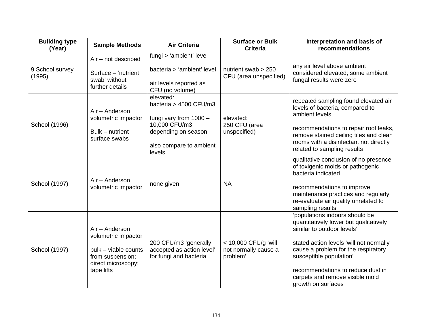| <b>Building type</b><br>(Year) | <b>Sample Methods</b>                                                                                                 | <b>Air Criteria</b>                                                                                                                          | <b>Surface or Bulk</b><br><b>Criteria</b>                | Interpretation and basis of<br>recommendations                                                                                                                                                                                                                                                                    |
|--------------------------------|-----------------------------------------------------------------------------------------------------------------------|----------------------------------------------------------------------------------------------------------------------------------------------|----------------------------------------------------------|-------------------------------------------------------------------------------------------------------------------------------------------------------------------------------------------------------------------------------------------------------------------------------------------------------------------|
| 9 School survey<br>(1995)      | Air - not described<br>Surface - 'nutrient<br>swab' without<br>further details                                        | fungi > 'ambient' level<br>bacteria > 'ambient' level<br>air levels reported as<br>CFU (no volume)                                           | nutrient swab $> 250$<br>CFU (area unspecified)          | any air level above ambient<br>considered elevated; some ambient<br>fungal results were zero                                                                                                                                                                                                                      |
| School (1996)                  | Air - Anderson<br>volumetric impactor<br>Bulk - nutrient<br>surface swabs                                             | elevated:<br>bacteria > 4500 $CFU/m3$<br>fungi vary from 1000 -<br>10,000 CFU/m3<br>depending on season<br>also compare to ambient<br>levels | elevated:<br>250 CFU (area<br>unspecified)               | repeated sampling found elevated air<br>levels of bacteria, compared to<br>ambient levels<br>recommendations to repair roof leaks,<br>remove stained ceiling tiles and clean<br>rooms with a disinfectant not directly<br>related to sampling results                                                             |
| School (1997)                  | Air - Anderson<br>volumetric impactor                                                                                 | none given                                                                                                                                   | <b>NA</b>                                                | qualitative conclusion of no presence<br>of toxigenic molds or pathogenic<br>bacteria indicated<br>recommendations to improve<br>maintenance practices and regularly<br>re-evaluate air quality unrelated to<br>sampling results                                                                                  |
| School (1997)                  | Air - Anderson<br>volumetric impactor<br>bulk - viable counts<br>from suspension;<br>direct microscopy;<br>tape lifts | 200 CFU/m3 'generally<br>accepted as action level'<br>for fungi and bacteria                                                                 | < 10,000 CFU/g 'will<br>not normally cause a<br>problem' | 'populations indoors should be<br>quantitatively lower but qualitatively<br>similar to outdoor levels'<br>stated action levels 'will not normally<br>cause a problem for the respiratory<br>susceptible population'<br>recommendations to reduce dust in<br>carpets and remove visible mold<br>growth on surfaces |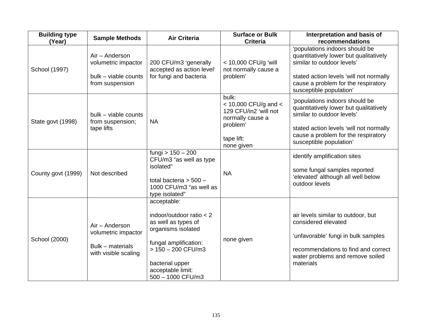| <b>Building type</b><br>(Year) | <b>Sample Methods</b>                                                             | <b>Air Criteria</b>                                                                                                                                                                                    | <b>Surface or Bulk</b><br><b>Criteria</b>                                                                              | Interpretation and basis of<br>recommendations                                                                                                                                                                      |
|--------------------------------|-----------------------------------------------------------------------------------|--------------------------------------------------------------------------------------------------------------------------------------------------------------------------------------------------------|------------------------------------------------------------------------------------------------------------------------|---------------------------------------------------------------------------------------------------------------------------------------------------------------------------------------------------------------------|
| School (1997)                  | Air - Anderson<br>volumetric impactor<br>bulk - viable counts<br>from suspension  | 200 CFU/m3 'generally<br>accepted as action level'<br>for fungi and bacteria                                                                                                                           | < 10,000 CFU/g 'will<br>not normally cause a<br>problem'                                                               | 'populations indoors should be<br>quantitatively lower but qualitatively<br>similar to outdoor levels'<br>stated action levels 'will not normally<br>cause a problem for the respiratory<br>susceptible population' |
| State govt (1998)              | bulk - viable counts<br>from suspension;<br>tape lifts                            | <b>NA</b>                                                                                                                                                                                              | bulk:<br>$<$ 10,000 CFU/g and $<$<br>129 CFU/in2 'will not<br>normally cause a<br>problem'<br>tape lift:<br>none given | 'populations indoors should be<br>quantitatively lower but qualitatively<br>similar to outdoor levels'<br>stated action levels 'will not normally<br>cause a problem for the respiratory<br>susceptible population' |
| County govt (1999)             | Not described                                                                     | fungi $> 150 - 200$<br>CFU/m3 "as well as type<br>isolated"<br>total bacteria $> 500 -$<br>1000 CFU/m3 "as well as<br>type isolated"                                                                   | <b>NA</b>                                                                                                              | identify amplification sites<br>some fungal samples reported<br>'elevated' although all well below<br>outdoor levels                                                                                                |
| School (2000)                  | Air - Anderson<br>volumetric impactor<br>Bulk - materials<br>with visible scaling | acceptable:<br>indoor/outdoor ratio $<$ 2<br>as well as types of<br>organisms isolated<br>fungal amplification:<br>$> 150 - 200$ CFU/m3<br>bacterial upper<br>acceptable limit:<br>$500 - 1000$ CFU/m3 | none given                                                                                                             | air levels similar to outdoor, but<br>considered elevated<br>'unfavorable' fungi in bulk samples<br>recommendations to find and correct<br>water problems and remove soiled<br>materials                            |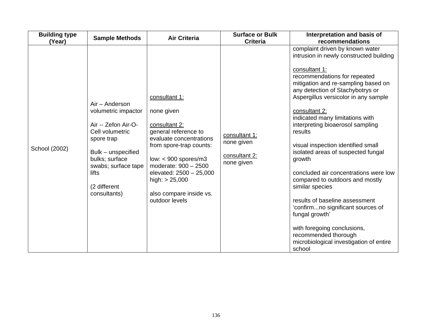| <b>Building type</b><br>(Year) | <b>Sample Methods</b>                                                                                                                                                                                 | <b>Air Criteria</b>                                                                                                                                                                                                                                                      | <b>Surface or Bulk</b><br><b>Criteria</b>                  | Interpretation and basis of<br>recommendations                                                                                                                                                                                                                                                                                                                                                                                                                                                                                                                                                                                                                                                                                              |
|--------------------------------|-------------------------------------------------------------------------------------------------------------------------------------------------------------------------------------------------------|--------------------------------------------------------------------------------------------------------------------------------------------------------------------------------------------------------------------------------------------------------------------------|------------------------------------------------------------|---------------------------------------------------------------------------------------------------------------------------------------------------------------------------------------------------------------------------------------------------------------------------------------------------------------------------------------------------------------------------------------------------------------------------------------------------------------------------------------------------------------------------------------------------------------------------------------------------------------------------------------------------------------------------------------------------------------------------------------------|
| School (2002)                  | Air - Anderson<br>volumetric impactor<br>Air -- Zefon Air-O-<br>Cell volumetric<br>spore trap<br>Bulk - unspecified<br>bulks; surface<br>swabs; surface tape<br>lifts<br>(2 different<br>consultants) | consultant 1:<br>none given<br>consultant 2:<br>general reference to<br>evaluate concentrations<br>from spore-trap counts:<br>$low: < 900$ spores/m3<br>moderate: 900 - 2500<br>elevated: 2500 - 25,000<br>high: $> 25,000$<br>also compare inside vs.<br>outdoor levels | consultant 1:<br>none given<br>consultant 2:<br>none given | complaint driven by known water<br>intrusion in newly constructed building<br>consultant 1:<br>recommendations for repeated<br>mitigation and re-sampling based on<br>any detection of Stachybotrys or<br>Aspergillus versicolor in any sample<br>consultant 2:<br>indicated many limitations with<br>interpreting bioaerosol sampling<br>results<br>visual inspection identified small<br>isolated areas of suspected fungal<br>growth<br>concluded air concentrations were low<br>compared to outdoors and mostly<br>similar species<br>results of baseline assessment<br>'confirmno significant sources of<br>fungal growth'<br>with foregoing conclusions,<br>recommended thorough<br>microbiological investigation of entire<br>school |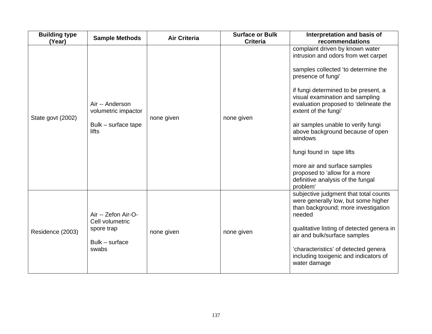| <b>Building type</b><br>(Year) | <b>Sample Methods</b>                                                           | <b>Air Criteria</b> | <b>Surface or Bulk</b><br><b>Criteria</b> | Interpretation and basis of<br>recommendations                                                                                                                                                                                                                                                                                                                                                                                                                                                                      |
|--------------------------------|---------------------------------------------------------------------------------|---------------------|-------------------------------------------|---------------------------------------------------------------------------------------------------------------------------------------------------------------------------------------------------------------------------------------------------------------------------------------------------------------------------------------------------------------------------------------------------------------------------------------------------------------------------------------------------------------------|
| State govt (2002)              | Air -- Anderson<br>volumetric impactor<br>Bulk - surface tape<br>lifts          | none given          | none given                                | complaint driven by known water<br>intrusion and odors from wet carpet<br>samples collected 'to determine the<br>presence of fungi'<br>if fungi determined to be present, a<br>visual examination and sampling<br>evaluation proposed to 'delineate the<br>extent of the fungi'<br>air samples unable to verify fungi<br>above background because of open<br>windows<br>fungi found in tape lifts<br>more air and surface samples<br>proposed to 'allow for a more<br>definitive analysis of the fungal<br>problem' |
| Residence (2003)               | Air -- Zefon Air-O-<br>Cell volumetric<br>spore trap<br>Bulk - surface<br>swabs | none given          | none given                                | subjective judgment that total counts<br>were generally low, but some higher<br>than background; more investigation<br>needed<br>qualitative listing of detected genera in<br>air and bulk/surface samples<br>'characteristics' of detected genera<br>including toxigenic and indicators of<br>water damage                                                                                                                                                                                                         |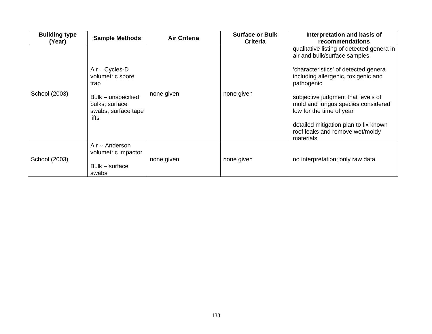| <b>Building type</b><br>(Year) | <b>Sample Methods</b>                                                                                                | <b>Air Criteria</b> | <b>Surface or Bulk</b><br><b>Criteria</b> | Interpretation and basis of<br>recommendations                                                                                                                                                                                                                                                                                                                          |
|--------------------------------|----------------------------------------------------------------------------------------------------------------------|---------------------|-------------------------------------------|-------------------------------------------------------------------------------------------------------------------------------------------------------------------------------------------------------------------------------------------------------------------------------------------------------------------------------------------------------------------------|
| School (2003)                  | $Air$ – Cycles-D<br>volumetric spore<br>trap<br>Bulk – unspecified<br>bulks; surface<br>swabs; surface tape<br>lifts | none given          | none given                                | qualitative listing of detected genera in<br>air and bulk/surface samples<br>'characteristics' of detected genera<br>including allergenic, toxigenic and<br>pathogenic<br>subjective judgment that levels of<br>mold and fungus species considered<br>low for the time of year<br>detailed mitigation plan to fix known<br>roof leaks and remove wet/moldy<br>materials |
| School (2003)                  | Air -- Anderson<br>volumetric impactor<br>Bulk – surface<br>swabs                                                    | none given          | none given                                | no interpretation; only raw data                                                                                                                                                                                                                                                                                                                                        |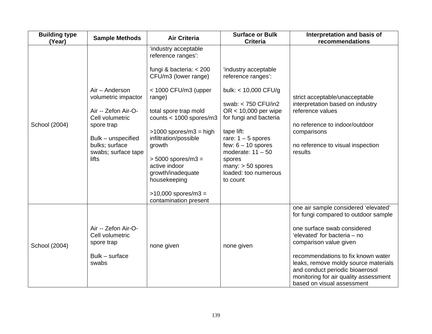| <b>Building type</b><br>(Year) | <b>Sample Methods</b>                                                                                                                                                 | <b>Air Criteria</b>                                                                                                                                                                                                                                                                                                                                                                  | <b>Surface or Bulk</b><br><b>Criteria</b>                                                                                                                                                                                                                                                              | Interpretation and basis of<br>recommendations                                                                                                                                                                                                                                                                                                                |
|--------------------------------|-----------------------------------------------------------------------------------------------------------------------------------------------------------------------|--------------------------------------------------------------------------------------------------------------------------------------------------------------------------------------------------------------------------------------------------------------------------------------------------------------------------------------------------------------------------------------|--------------------------------------------------------------------------------------------------------------------------------------------------------------------------------------------------------------------------------------------------------------------------------------------------------|---------------------------------------------------------------------------------------------------------------------------------------------------------------------------------------------------------------------------------------------------------------------------------------------------------------------------------------------------------------|
| School (2004)                  | Air - Anderson<br>volumetric impactor<br>Air -- Zefon Air-O-<br>Cell volumetric<br>spore trap<br>Bulk - unspecified<br>bulks; surface<br>swabs; surface tape<br>lifts | 'industry acceptable<br>reference ranges':<br>fungi & bacteria: < 200<br>CFU/m3 (lower range)<br>< 1000 CFU/m3 (upper<br>range)<br>total spore trap mold<br>counts $<$ 1000 spores/m3<br>$>1000$ spores/m3 = high<br>infiltration/possible<br>growth<br>$> 5000$ spores/m3 =<br>active indoor<br>growth/inadequate<br>housekeeping<br>$>10,000$ spores/m3 =<br>contamination present | industry acceptable<br>reference ranges':<br>bulk: < 10,000 CFU/g<br>swab: < 750 CFU/in2<br>OR $<$ 10,000 per wipe<br>for fungi and bacteria<br>tape lift:<br>rare: $1 - 5$ spores<br>few: $6 - 10$ spores<br>moderate: $11 - 50$<br>spores<br>$many:$ > 50 spores<br>loaded: too numerous<br>to count | strict acceptable/unacceptable<br>interpretation based on industry<br>reference values<br>no reference to indoor/outdoor<br>comparisons<br>no reference to visual inspection<br>results                                                                                                                                                                       |
| School (2004)                  | Air -- Zefon Air-O-<br>Cell volumetric<br>spore trap<br>Bulk - surface<br>swabs                                                                                       | none given                                                                                                                                                                                                                                                                                                                                                                           | none given                                                                                                                                                                                                                                                                                             | one air sample considered 'elevated'<br>for fungi compared to outdoor sample<br>one surface swab considered<br>'elevated' for bacteria - no<br>comparison value given<br>recommendations to fix known water<br>leaks, remove moldy source materials<br>and conduct periodic bioaerosol<br>monitoring for air quality assessment<br>based on visual assessment |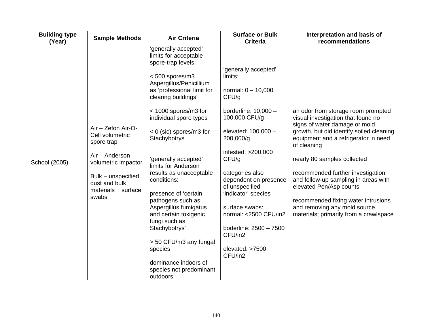| <b>Building type</b> | <b>Sample Methods</b>                                                                                                                                               | <b>Air Criteria</b>                                                                                                                                                                                                                                                                                                                                                                                                                                                                                                                                                                              | <b>Surface or Bulk</b>                                                                                                                                                                                                                                                                                                                                                            | Interpretation and basis of                                                                                                                                                                                                                                                                                                                                                                                                                                          |
|----------------------|---------------------------------------------------------------------------------------------------------------------------------------------------------------------|--------------------------------------------------------------------------------------------------------------------------------------------------------------------------------------------------------------------------------------------------------------------------------------------------------------------------------------------------------------------------------------------------------------------------------------------------------------------------------------------------------------------------------------------------------------------------------------------------|-----------------------------------------------------------------------------------------------------------------------------------------------------------------------------------------------------------------------------------------------------------------------------------------------------------------------------------------------------------------------------------|----------------------------------------------------------------------------------------------------------------------------------------------------------------------------------------------------------------------------------------------------------------------------------------------------------------------------------------------------------------------------------------------------------------------------------------------------------------------|
| (Year)               |                                                                                                                                                                     |                                                                                                                                                                                                                                                                                                                                                                                                                                                                                                                                                                                                  | <b>Criteria</b>                                                                                                                                                                                                                                                                                                                                                                   | recommendations                                                                                                                                                                                                                                                                                                                                                                                                                                                      |
| School (2005)        | Air - Zefon Air-O-<br>Cell volumetric<br>spore trap<br>Air - Anderson<br>volumetric impactor<br>Bulk - unspecified<br>dust and bulk<br>materials + surface<br>swabs | 'generally accepted'<br>limits for acceptable<br>spore-trap levels:<br><500 spores/m3<br>Aspergillus/Penicillium<br>as 'professional limit for<br>clearing buildings'<br>< 1000 spores/m3 for<br>individual spore types<br>< 0 (sic) spores/m3 for<br>Stachybotrys<br>'generally accepted'<br>limits for Anderson<br>results as unacceptable<br>conditions:<br>presence of 'certain<br>pathogens such as<br>Aspergillus fumigatus<br>and certain toxigenic<br>fungi such as<br>Stachybotrys'<br>> 50 CFU/m3 any fungal<br>species<br>dominance indoors of<br>species not predominant<br>outdoors | 'generally accepted'<br>limits:<br>normal: $0 - 10,000$<br>CFU/g<br>borderline: $10,000 -$<br>100,000 CFU/g<br>elevated: 100,000 -<br>200,000/g<br>infested: >200,000<br>CFU/g<br>categories also<br>dependent on presence<br>of unspecified<br>'indicator' species<br>surface swabs:<br>normal: <2500 CFU/in2<br>boderline: 2500 - 7500<br>CFU/in2<br>elevated: >7500<br>CFU/in2 | an odor from storage room prompted<br>visual investigation that found no<br>signs of water damage or mold<br>growth, but did identify soiled cleaning<br>equipment and a refrigerator in need<br>of cleaning<br>nearly 80 samples collected<br>recommended further investigation<br>and follow-up sampling in areas with<br>elevated Pen/Asp counts<br>recommended fixing water intrusions<br>and removing any mold source<br>materials; primarily from a crawlspace |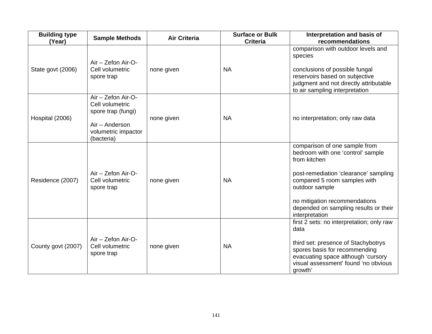| <b>Building type</b><br>(Year) | <b>Sample Methods</b>                                                                                              | <b>Air Criteria</b> | <b>Surface or Bulk</b><br><b>Criteria</b> | Interpretation and basis of<br>recommendations                                                                                                                                                                                                                            |
|--------------------------------|--------------------------------------------------------------------------------------------------------------------|---------------------|-------------------------------------------|---------------------------------------------------------------------------------------------------------------------------------------------------------------------------------------------------------------------------------------------------------------------------|
| State govt (2006)              | Air - Zefon Air-O-<br>Cell volumetric<br>spore trap                                                                | none given          | <b>NA</b>                                 | comparison with outdoor levels and<br>species<br>conclusions of possible fungal<br>reservoirs based on subjective<br>judgment and not directly attributable<br>to air sampling interpretation                                                                             |
| Hospital (2006)                | Air - Zefon Air-O-<br>Cell volumetric<br>spore trap (fungi)<br>Air - Anderson<br>volumetric impactor<br>(bacteria) | none given          | <b>NA</b>                                 | no interpretation; only raw data                                                                                                                                                                                                                                          |
| Residence (2007)               | Air - Zefon Air-O-<br>Cell volumetric<br>spore trap                                                                | none given          | <b>NA</b>                                 | comparison of one sample from<br>bedroom with one 'control' sample<br>from kitchen<br>post-remediation 'clearance' sampling<br>compared 5 room samples with<br>outdoor sample<br>no mitigation recommendations<br>depended on sampling results or their<br>interpretation |
| County govt (2007)             | Air - Zefon Air-O-<br>Cell volumetric<br>spore trap                                                                | none given          | <b>NA</b>                                 | first 2 sets: no interpretation; only raw<br>data<br>third set: presence of Stachybotrys<br>spores basis for recommending<br>evacuating space although 'cursory<br>visual assessment' found 'no obvious<br>growth'                                                        |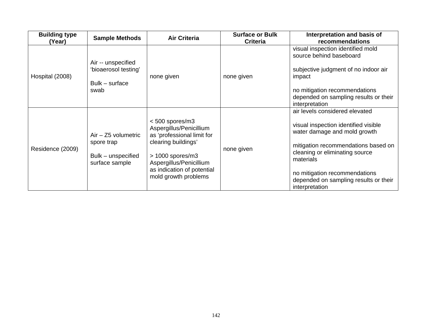| <b>Building type</b><br>(Year) | <b>Sample Methods</b>                                                     | <b>Air Criteria</b>                                                                                                                                                                                      | <b>Surface or Bulk</b><br><b>Criteria</b> | Interpretation and basis of<br>recommendations                                                                                                                                                                                                                                           |
|--------------------------------|---------------------------------------------------------------------------|----------------------------------------------------------------------------------------------------------------------------------------------------------------------------------------------------------|-------------------------------------------|------------------------------------------------------------------------------------------------------------------------------------------------------------------------------------------------------------------------------------------------------------------------------------------|
| Hospital (2008)                | Air -- unspecified<br>'bioaerosol testing'<br>Bulk – surface<br>swab      | none given                                                                                                                                                                                               | none given                                | visual inspection identified mold<br>source behind baseboard<br>subjective judgment of no indoor air<br>impact<br>no mitigation recommendations<br>depended on sampling results or their<br>interpretation                                                                               |
| Residence (2009)               | Air - Z5 volumetric<br>spore trap<br>Bulk - unspecified<br>surface sample | $< 500$ spores/m3<br>Aspergillus/Penicillium<br>as 'professional limit for<br>clearing buildings'<br>$> 1000$ spores/m3<br>Aspergillus/Penicillium<br>as indication of potential<br>mold growth problems | none given                                | air levels considered elevated<br>visual inspection identified visible<br>water damage and mold growth<br>mitigation recommendations based on<br>cleaning or eliminating source<br>materials<br>no mitigation recommendations<br>depended on sampling results or their<br>interpretation |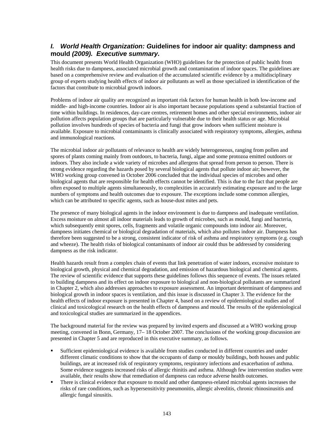# *I. World Health Organization: G***uidelines for indoor air quality: dampness and mould** *(2009). Executive summary.*

 This document presents World Health Organization (WHO) guidelines for the protection of public health from health risks due to dampness, associated microbial growth and contamination of indoor spaces. The guidelines are based on a comprehensive review and evaluation of the accumulated scientific evidence by a multidisciplinary group of experts studying health effects of indoor air pollutants as well as those specialized in identification of the factors that contribute to microbial growth indoors.

 available. Exposure to microbial contaminants is clinically associated with respiratory symptoms, allergies, asthma Problems of indoor air quality are recognized as important risk factors for human health in both low-income and middle- and high-income countries. Indoor air is also important because populations spend a substantial fraction of time within buildings. In residences, day-care centres, retirement homes and other special environments, indoor air pollution affects population groups that are particularly vulnerable due to their health status or age. Microbial pollution involves hundreds of species of bacteria and fungi that grow indoors when sufficient moisture is and immunological reactions.

 The microbial indoor air pollutants of relevance to health are widely heterogeneous, ranging from pollen and spores of plants coming mainly from outdoors, to bacteria, fungi, algae and some protozoa emitted outdoors or indoors. They also include a wide variety of microbes and allergens that spread from person to person. There is strong evidence regarding the hazards posed by several biological agents that pollute indoor air; however, the WHO working group convened in October 2006 concluded that the individual species of microbes and other biological agents that are responsible for health effects cannot be identified. This is due to the fact that people are often exposed to multiple agents simultaneously, to complexities in accurately estimating exposure and to the large numbers of symptoms and health outcomes due to exposure. The exceptions include some common allergies, which can be attributed to specific agents, such as house-dust mites and pets.

The presence of many biological agents in the indoor environment is due to dampness and inadequate ventilation. Excess moisture on almost all indoor materials leads to growth of microbes, such as mould, fungi and bacteria, which subsequently emit spores, cells, fragments and volatile organic compounds into indoor air. Moreover, dampness initiates chemical or biological degradation of materials, which also pollutes indoor air. Dampness has therefore been suggested to be a strong, consistent indicator of risk of asthma and respiratory symptoms (e.g. cough and wheeze). The health risks of biological contaminants of indoor air could thus be addressed by considering dampness as the risk indicator.

 health effects of indoor exposure is presented in Chapter 4, based on a review of epidemiological studies and of Health hazards result from a complex chain of events that link penetration of water indoors, excessive moisture to biological growth, physical and chemical degradation, and emission of hazardous biological and chemical agents. The review of scientific evidence that supports these guidelines follows this sequence of events. The issues related to building dampness and its effect on indoor exposure to biological and non-biological pollutants are summarized in Chapter 2, which also addresses approaches to exposure assessment. An important determinant of dampness and biological growth in indoor spaces is ventilation, and this issue is discussed in Chapter 3. The evidence for the clinical and toxicological research on the health effects of dampness and mould. The results of the epidemiological and toxicological studies are summarized in the appendices.

The background material for the review was prepared by invited experts and discussed at a WHO working group meeting, convened in Bonn, Germany, 17– 18 October 2007. The conclusions of the working group discussion are presented in Chapter 5 and are reproduced in this executive summary, as follows.

- Some evidence suggests increased risks of allergic rhinitis and asthma. Although few intervention studies were Sufficient epidemiological evidence is available from studies conducted in different countries and under different climatic conditions to show that the occupants of damp or mouldy buildings, both houses and public buildings, are at increased risk of respiratory symptoms, respiratory infections and exacerbation of asthma. available, their results show that remediation of dampness can reduce adverse health outcomes.
- There is clinical evidence that exposure to mould and other dampness-related microbial agents increases the risks of rare conditions, such as hypersensitivity pneumonitis, allergic alveolitis, chronic rhinosinusitis and allergic fungal sinusitis.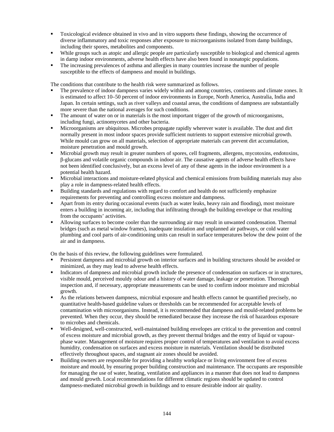- Toxicological evidence obtained in vivo and in vitro supports these findings, showing the occurrence of diverse inflammatory and toxic responses after exposure to microorganisms isolated from damp buildings, including their spores, metabolites and components.
- While groups such as atopic and allergic people are particularly susceptible to biological and chemical agents in damp indoor environments, adverse health effects have also been found in nonatopic populations.
- The increasing prevalences of asthma and allergies in many countries increase the number of people susceptible to the effects of dampness and mould in buildings.

The conditions that contribute to the health risk were summarized as follows.

- The prevalence of indoor dampness varies widely within and among countries, continents and climate zones. It is estimated to affect 10–50 percent of indoor environments in Europe, North America, Australia, India and Japan. In certain settings, such as river valleys and coastal areas, the conditions of dampness are substantially more severe than the national averages for such conditions.
- The amount of water on or in materials is the most important trigger of the growth of microorganisms, including fungi, actinomycetes and other bacteria.
- Microorganisms are ubiquitous. Microbes propagate rapidly wherever water is available. The dust and dirt normally present in most indoor spaces provide sufficient nutrients to support extensive microbial growth. While mould can grow on all materials, selection of appropriate materials can prevent dirt accumulation, moisture penetration and mould growth.
- not been identified conclusively, but an excess level of any of these agents in the indoor environment is a Microbial growth may result in greater numbers of spores, cell fragments, allergens, mycotoxins, endotoxins, β-glucans and volatile organic compounds in indoor air. The causative agents of adverse health effects have potential health hazard.
- Microbial interactions and moisture-related physical and chemical emissions from building materials may also play a role in dampness-related health effects.
- **Building standards and regulations with regard to comfort and health do not sufficiently emphasize** requirements for preventing and controlling excess moisture and dampness.
- Apart from its entry during occasional events (such as water leaks, heavy rain and flooding), most moisture enters a building in incoming air, including that infiltrating through the building envelope or that resulting from the occupants' activities.
- Allowing surfaces to become cooler than the surrounding air may result in unwanted condensation. Thermal bridges (such as metal window frames), inadequate insulation and unplanned air pathways, or cold water plumbing and cool parts of air-conditioning units can result in surface temperatures below the dew point of the air and in dampness.

On the basis of this review, the following guidelines were formulated.

- Persistent dampness and microbial growth on interior surfaces and in building structures should be avoided or minimized, as they may lead to adverse health effects.
- visible mould, perceived mouldy odour and a history of water damage, leakage or penetration. Thorough Indicators of dampness and microbial growth include the presence of condensation on surfaces or in structures, inspection and, if necessary, appropriate measurements can be used to confirm indoor moisture and microbial growth.
- As the relations between dampness, microbial exposure and health effects cannot be quantified precisely, no quantitative health-based guideline values or thresholds can be recommended for acceptable levels of contamination with microorganisms. Instead, it is recommended that dampness and mould-related problems be prevented. When they occur, they should be remediated because they increase the risk of hazardous exposure to microbes and chemicals.
- Well-designed, well-constructed, well-maintained building envelopes are critical to the prevention and control of excess moisture and microbial growth, as they prevent thermal bridges and the entry of liquid or vapourphase water. Management of moisture requires proper control of temperatures and ventilation to avoid excess humidity, condensation on surfaces and excess moisture in materials. Ventilation should be distributed effectively throughout spaces, and stagnant air zones should be avoided.
- Building owners are responsible for providing a healthy workplace or living environment free of excess moisture and mould, by ensuring proper building construction and maintenance. The occupants are responsible for managing the use of water, heating, ventilation and appliances in a manner that does not lead to dampness and mould growth. Local recommendations for different climatic regions should be updated to control dampness-mediated microbial growth in buildings and to ensure desirable indoor air quality.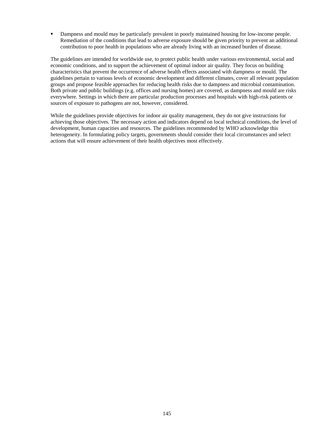Remediation of the conditions that lead to adverse exposure should be given priority to prevent an additional contribution to poor health in populations who are already living with an increased burden of disease. **•** Dampness and mould may be particularly prevalent in poorly maintained housing for low-income people.

 The guidelines are intended for worldwide use, to protect public health under various environmental, social and characteristics that prevent the occurrence of adverse health effects associated with dampness or mould. The groups and propose feasible approaches for reducing health risks due to dampness and microbial contamination. economic conditions, and to support the achievement of optimal indoor air quality. They focus on building guidelines pertain to various levels of economic development and different climates, cover all relevant population Both private and public buildings (e.g. offices and nursing homes) are covered, as dampness and mould are risks everywhere. Settings in which there are particular production processes and hospitals with high-risk patients or sources of exposure to pathogens are not, however, considered.

 development, human capacities and resources. The guidelines recommended by WHO acknowledge this While the guidelines provide objectives for indoor air quality management, they do not give instructions for achieving those objectives. The necessary action and indicators depend on local technical conditions, the level of heterogeneity. In formulating policy targets, governments should consider their local circumstances and select actions that will ensure achievement of their health objectives most effectively.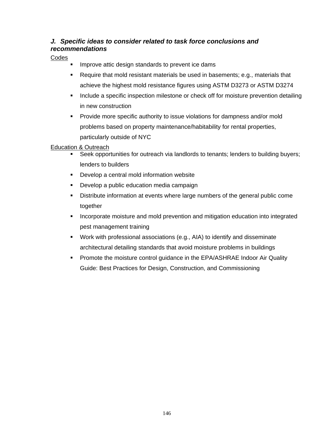# *J. Specific ideas to consider related to task force conclusions and recommendations*

#### Codes

- Improve attic design standards to prevent ice dams
- Require that mold resistant materials be used in basements; e.g., materials that achieve the highest mold resistance figures using ASTM D3273 or ASTM D3274
- Include a specific inspection milestone or check off for moisture prevention detailing in new construction
- **Provide more specific authority to issue violations for dampness and/or mold** problems based on property maintenance/habitability for rental properties, particularly outside of NYC

#### Education & Outreach

- Seek opportunities for outreach via landlords to tenants; lenders to building buyers; lenders to builders
- **Develop a central mold information website**
- **Develop a public education media campaign**
- Distribute information at events where large numbers of the general public come together
- Incorporate moisture and mold prevention and mitigation education into integrated pest management training
- Work with professional associations (e.g., AIA) to identify and disseminate architectural detailing standards that avoid moisture problems in buildings
- **Promote the moisture control guidance in the EPA/ASHRAE Indoor Air Quality** Guide: Best Practices for Design, Construction, and Commissioning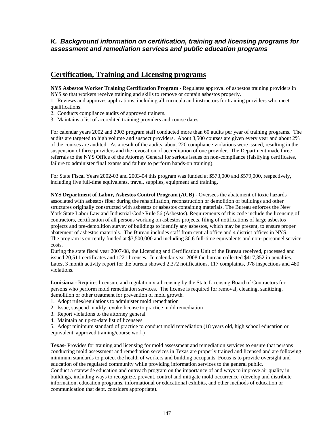# *K. Background information on certification, training and licensing programs for assessment and remediation services and public education programs*

# **Certification, Training and Licensing programs**

**NYS Asbestos Worker Training Certification Program -** Regulates approval of asbestos training providers in NYS so that workers receive training and skills to remove or contain asbestos properly.

1. Reviews and approves applications, including all curricula and instructors for training providers who meet qualifications.

- 2. Conducts compliance audits of approved trainers.
- 3. Maintains a list of accredited training providers and course dates.

 For calendar years 2002 and 2003 program staff conducted more than 60 audits per year of training programs. The of the courses are audited. As a result of the audits, about 220 compliance violations were issued, resulting in the audits are targeted to high volume and suspect providers. About 3,500 courses are given every year and about 2% suspension of three providers and the revocation of accreditation of one provider. The Department made three referrals to the NYS Office of the Attorney General for serious issues on non-compliance (falsifying certificates, failure to administer final exams and failure to perform hands-on training).

For State Fiscal Years 2002-03 and 2003-04 this program was funded at \$573,000 and \$579,000, respectively, including five full-time equivalents, travel, supplies, equipment and training**.** 

**NYS Department of Labor, Asbestos Control Program (ACB)** - Oversees the abatement of toxic hazards associated with asbestos fiber during the rehabilitation, reconstruction or demolition of buildings and other structures originally constructed with asbestos or asbestos containing materials. The Bureau enforces the New York State Labor Law and Industrial Code Rule 56 (Asbestos). Requirements of this code include the licensing of contractors, certification of all persons working on asbestos projects, filing of notifications of large asbestos projects and pre-demolition survey of buildings to identify any asbestos, which may be present, to ensure proper abatement of asbestos materials. The Bureau includes staff from central office and 4 district offices in NYS. The program is currently funded at \$3,500,000 and including 30.6 full-time equivalents and non- personnel service costs.

 issued 20,511 certificates and 1221 licenses. In calendar year 2008 the bureau collected \$417,352 in penalties. During the state fiscal year 2007-08, the Licensing and Certification Unit of the Bureau received, processed and Latest 3 month activity report for the bureau showed 2,372 notifications, 117 complaints, 978 inspections and 480 violations.

 persons who perform mold remediation services. The license is required for removal, cleaning, sanitizing, **Louisiana -** Requires licensure and regulation via licensing by the State Licensing Board of Contractors for demolition or other treatment for prevention of mold growth.

- 1. Adopt rules/regulations to administer mold remediation
- 2. Issue, suspend modify revoke license to practice mold remediation
- 3. Report violations to the attorney general
- 4. Maintain an up-to-date list of licensees

5. Adopt minimum standard of practice to conduct mold remediation (18 years old, high school education or equivalent, approved training/course work)

**Texas-** Provides for training and licensing for mold assessment and remediation services to ensure that persons conducting mold assessment and remediation services in Texas are properly trained and licensed and are following minimum standards to protect the health of workers and building occupants. Focus is to provide oversight and education of the regulated community while providing information services to the general public. Conduct a statewide education and outreach program on the importance of and ways to improve air quality in buildings, including ways to recognize, prevent, control and mitigate mold occurrence (develop and distribute information, education programs, informational or educational exhibits, and other methods of education or communication that dept. considers appropriate).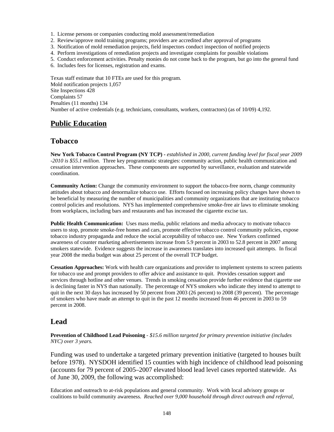- 1. License persons or companies conducting mold assessment/remediation
- 2. Review/approve mold training programs; providers are accredited after approval of programs
- 3. Notification of mold remediation projects, field inspectors conduct inspection of notified projects
- 4. Perform investigations of remediation projects and investigate complaints for possible violations
- 5. Conduct enforcement activities. Penalty monies do not come back to the program, but go into the general fund
- 6. Includes fees for licenses, registration and exams.

Texas staff estimate that 10 FTEs are used for this program. Mold notification projects 1,057 Site Inspections 428 Complaints 57 Penalties (11 months) 134 Number of active credentials (e.g. technicians, consultants, workers, contractors) (as of 10/09) 4,192.

# **Public Education**

# **Tobacco**

 *-2010 is \$55.1 million.* Three key programmatic strategies: community action, public health communication and **New York Tobacco Control Program (NY TCP) -** *established in 2000, current funding level for fiscal year 2009*  cessation intervention approaches. These components are supported by surveillance, evaluation and statewide coordination.

 from workplaces, including bars and restaurants and has increased the cigarette excise tax. **Community Action:** Change the community environment to support the tobacco-free norm, change community attitudes about tobacco and denormalize tobacco use. Efforts focused on increasing policy changes have shown to be beneficial by measuring the number of municipalities and community organizations that are instituting tobacco control policies and resolutions. NYS has implemented comprehensive smoke-free air laws to eliminate smoking

 **Public Health Communication:** Uses mass media, public relations and media advocacy to motivate tobacco awareness of counter marketing advertisements increase from 5.9 percent in 2003 to 52.8 percent in 2007 among smokers statewide. Evidence suggests the increase in awareness translates into increased quit attempts. In fiscal year 2008 the media budget was about 25 percent of the overall TCP budget. users to stop, promote smoke-free homes and cars, promote effective tobacco control community policies, expose tobacco industry propaganda and reduce the social acceptability of tobacco use. New Yorkers confirmed

 **Cessation Approaches:** Work with health care organizations and provider to implement systems to screen patients for tobacco use and prompt providers to offer advice and assistance to quit. Provides cessation support and is declining faster in NYS than nationally. The percentage of NYS smokers who indicate they intend to attempt to quit in the next 30 days has increased by 50 percent from 2003 (26 percent) to 2008 (39 percent). The percentage services through hotline and other venues. Trends in smoking cessation provide further evidence that cigarette use of smokers who have made an attempt to quit in the past 12 months increased from 46 percent in 2003 to 59 percent in 2008.

# **Lead**

**Prevention of Childhood Lead Poisoning** - *\$15.6 million targeted for primary prevention initiative (includes NYC) over 3 years.* 

Funding was used to undertake a targeted primary prevention initiative (targeted to houses built before 1978). NYSDOH identified 15 counties with high incidence of childhood lead poisoning (accounts for 79 percent of 2005–2007 elevated blood lead level cases reported statewide. As of June 30, 2009, the following was accomplished:

Education and outreach to at-risk populations and general community. Work with local advisory groups or coalitions to build community awareness. *Reached over 9,000 household through direct outreach and referral,*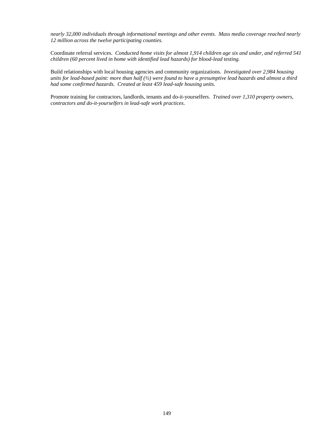*nearly 32,000 individuals through informational meetings and other events. Mass media coverage reached nearly 12 million across the twelve participating counties.* 

 Coordinate referral services. *Conducted home visits for almost 1,914 children age six and under, and referred 541 children (60 percent lived in home with identified lead hazards) for blood-lead testing.* 

 *units for lead-based paint: more than half (½) were found to have a presumptive lead hazards and almost a third*  Build relationships with local housing agencies and community organizations. *Investigated over 2,984 housing had some confirmed hazards. Created at least 459 lead-safe housing units.* 

Promote training for contractors, landlords, tenants and do-it-yourselfers. *Trained over 1,310 property owners, contractors and do-it-yourselfers in lead-safe work practices*.